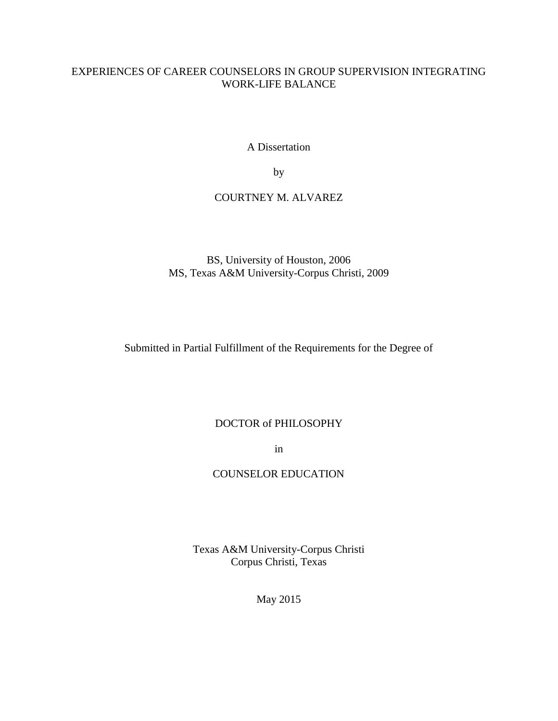## EXPERIENCES OF CAREER COUNSELORS IN GROUP SUPERVISION INTEGRATING WORK-LIFE BALANCE

A Dissertation

by

## COURTNEY M. ALVAREZ

BS, University of Houston, 2006 MS, Texas A&M University-Corpus Christi, 2009

Submitted in Partial Fulfillment of the Requirements for the Degree of

## DOCTOR of PHILOSOPHY

in

## COUNSELOR EDUCATION

Texas A&M University-Corpus Christi Corpus Christi, Texas

May 2015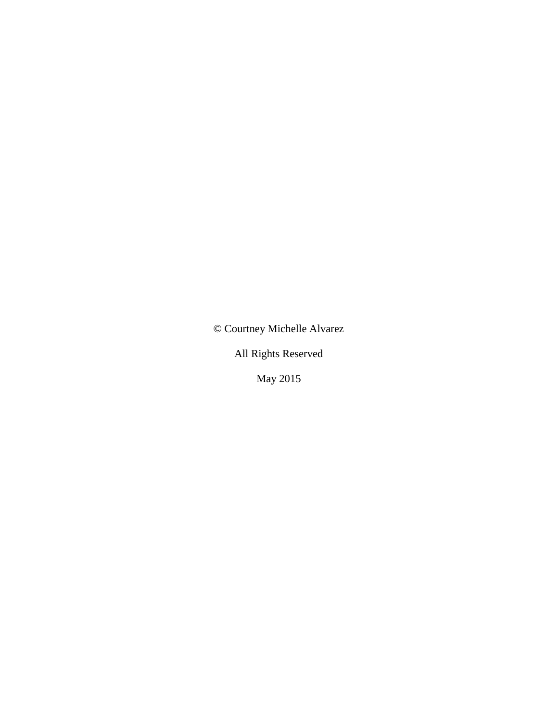© Courtney Michelle Alvarez

All Rights Reserved

May 2015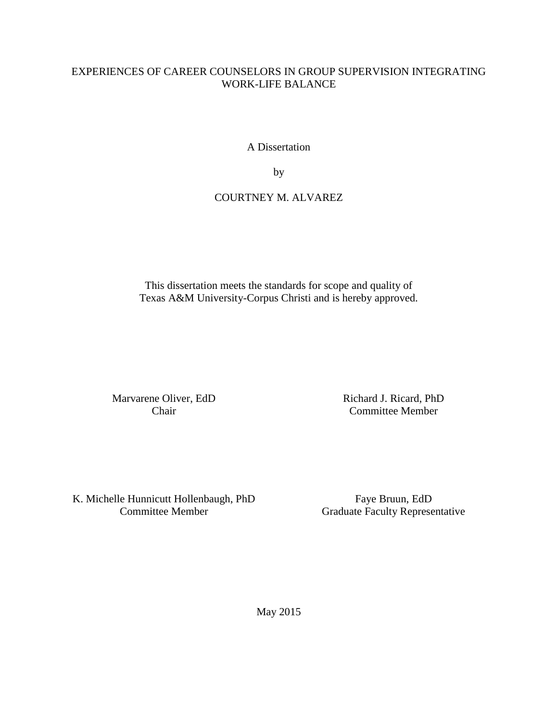## EXPERIENCES OF CAREER COUNSELORS IN GROUP SUPERVISION INTEGRATING WORK-LIFE BALANCE

A Dissertation

by

## COURTNEY M. ALVAREZ

This dissertation meets the standards for scope and quality of Texas A&M University-Corpus Christi and is hereby approved.

Marvarene Oliver, EdD Chair

Richard J. Ricard, PhD Committee Member

K. Michelle Hunnicutt Hollenbaugh, PhD Committee Member

Faye Bruun, EdD Graduate Faculty Representative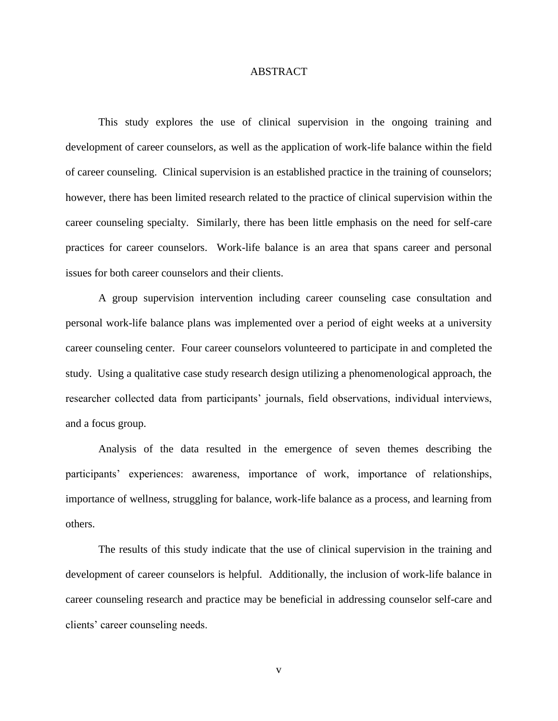### ABSTRACT

This study explores the use of clinical supervision in the ongoing training and development of career counselors, as well as the application of work-life balance within the field of career counseling. Clinical supervision is an established practice in the training of counselors; however, there has been limited research related to the practice of clinical supervision within the career counseling specialty. Similarly, there has been little emphasis on the need for self-care practices for career counselors. Work-life balance is an area that spans career and personal issues for both career counselors and their clients.

A group supervision intervention including career counseling case consultation and personal work-life balance plans was implemented over a period of eight weeks at a university career counseling center. Four career counselors volunteered to participate in and completed the study. Using a qualitative case study research design utilizing a phenomenological approach, the researcher collected data from participants' journals, field observations, individual interviews, and a focus group.

Analysis of the data resulted in the emergence of seven themes describing the participants' experiences: awareness, importance of work, importance of relationships, importance of wellness, struggling for balance, work-life balance as a process, and learning from others.

The results of this study indicate that the use of clinical supervision in the training and development of career counselors is helpful. Additionally, the inclusion of work-life balance in career counseling research and practice may be beneficial in addressing counselor self-care and clients' career counseling needs.

v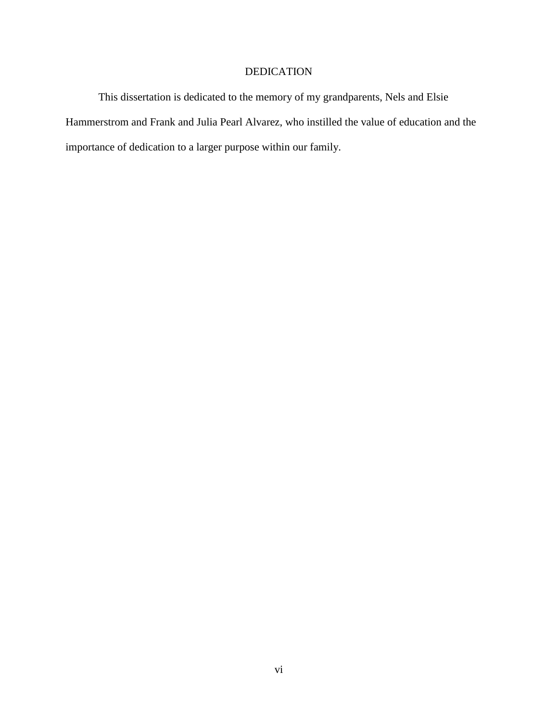## DEDICATION

This dissertation is dedicated to the memory of my grandparents, Nels and Elsie Hammerstrom and Frank and Julia Pearl Alvarez, who instilled the value of education and the importance of dedication to a larger purpose within our family.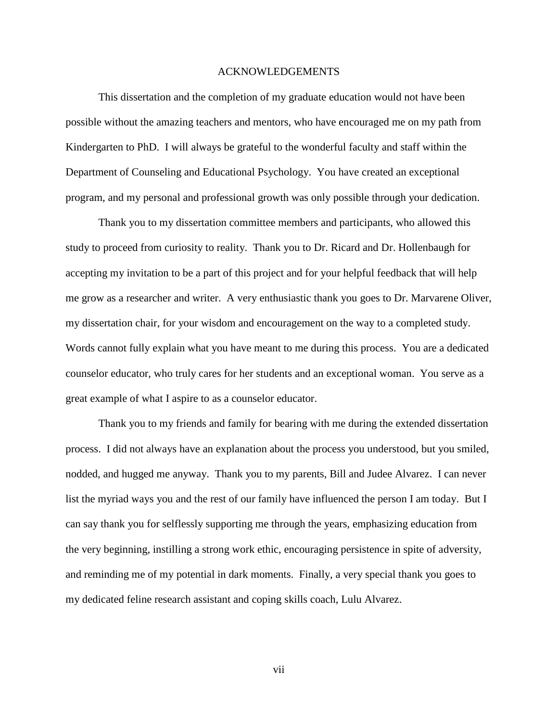#### ACKNOWLEDGEMENTS

This dissertation and the completion of my graduate education would not have been possible without the amazing teachers and mentors, who have encouraged me on my path from Kindergarten to PhD. I will always be grateful to the wonderful faculty and staff within the Department of Counseling and Educational Psychology. You have created an exceptional program, and my personal and professional growth was only possible through your dedication.

Thank you to my dissertation committee members and participants, who allowed this study to proceed from curiosity to reality. Thank you to Dr. Ricard and Dr. Hollenbaugh for accepting my invitation to be a part of this project and for your helpful feedback that will help me grow as a researcher and writer. A very enthusiastic thank you goes to Dr. Marvarene Oliver, my dissertation chair, for your wisdom and encouragement on the way to a completed study. Words cannot fully explain what you have meant to me during this process. You are a dedicated counselor educator, who truly cares for her students and an exceptional woman. You serve as a great example of what I aspire to as a counselor educator.

Thank you to my friends and family for bearing with me during the extended dissertation process. I did not always have an explanation about the process you understood, but you smiled, nodded, and hugged me anyway. Thank you to my parents, Bill and Judee Alvarez. I can never list the myriad ways you and the rest of our family have influenced the person I am today. But I can say thank you for selflessly supporting me through the years, emphasizing education from the very beginning, instilling a strong work ethic, encouraging persistence in spite of adversity, and reminding me of my potential in dark moments. Finally, a very special thank you goes to my dedicated feline research assistant and coping skills coach, Lulu Alvarez.

vii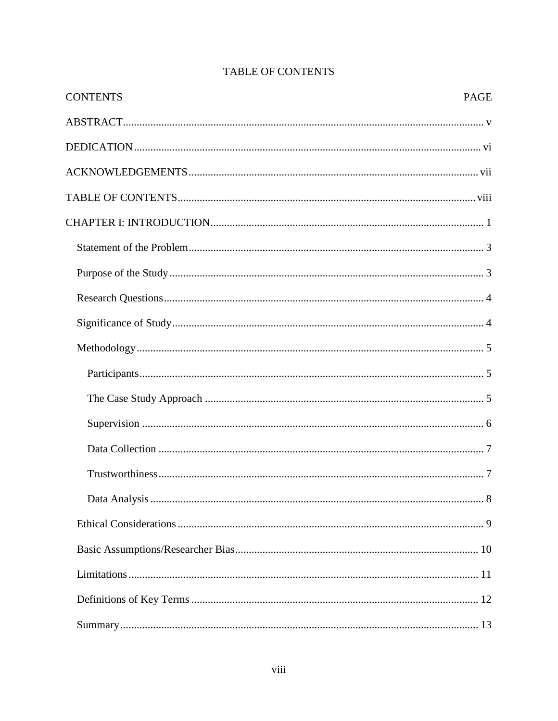| <b>CONTENTS</b> | <b>PAGE</b> |
|-----------------|-------------|
|                 |             |
|                 |             |
|                 |             |
|                 |             |
|                 |             |
|                 |             |
|                 |             |
|                 |             |
|                 |             |
|                 |             |
|                 |             |
|                 |             |
|                 |             |
|                 |             |
|                 |             |
|                 |             |
|                 |             |
|                 |             |
|                 |             |
|                 |             |
|                 |             |

# **TABLE OF CONTENTS**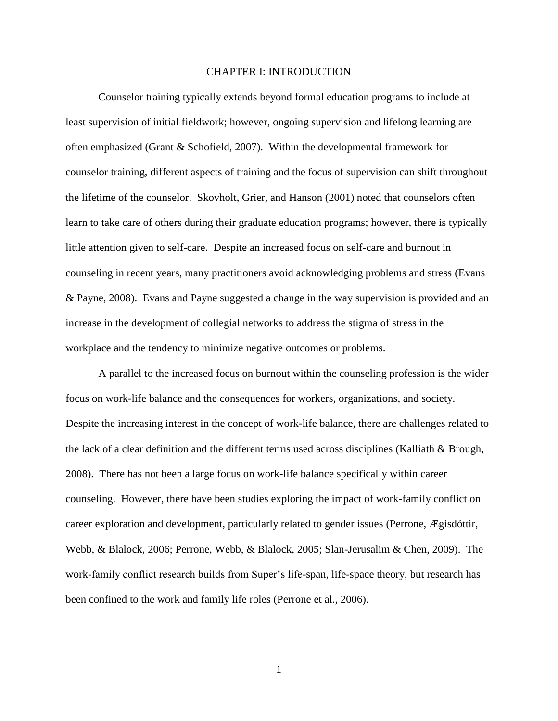#### CHAPTER I: INTRODUCTION

Counselor training typically extends beyond formal education programs to include at least supervision of initial fieldwork; however, ongoing supervision and lifelong learning are often emphasized (Grant & Schofield, 2007). Within the developmental framework for counselor training, different aspects of training and the focus of supervision can shift throughout the lifetime of the counselor. Skovholt, Grier, and Hanson (2001) noted that counselors often learn to take care of others during their graduate education programs; however, there is typically little attention given to self-care. Despite an increased focus on self-care and burnout in counseling in recent years, many practitioners avoid acknowledging problems and stress (Evans & Payne, 2008). Evans and Payne suggested a change in the way supervision is provided and an increase in the development of collegial networks to address the stigma of stress in the workplace and the tendency to minimize negative outcomes or problems.

A parallel to the increased focus on burnout within the counseling profession is the wider focus on work-life balance and the consequences for workers, organizations, and society. Despite the increasing interest in the concept of work-life balance, there are challenges related to the lack of a clear definition and the different terms used across disciplines (Kalliath & Brough, 2008). There has not been a large focus on work-life balance specifically within career counseling. However, there have been studies exploring the impact of work-family conflict on career exploration and development, particularly related to gender issues (Perrone, Ægisdóttir, Webb, & Blalock, 2006; Perrone, Webb, & Blalock, 2005; Slan-Jerusalim & Chen, 2009). The work-family conflict research builds from Super's life-span, life-space theory, but research has been confined to the work and family life roles (Perrone et al., 2006).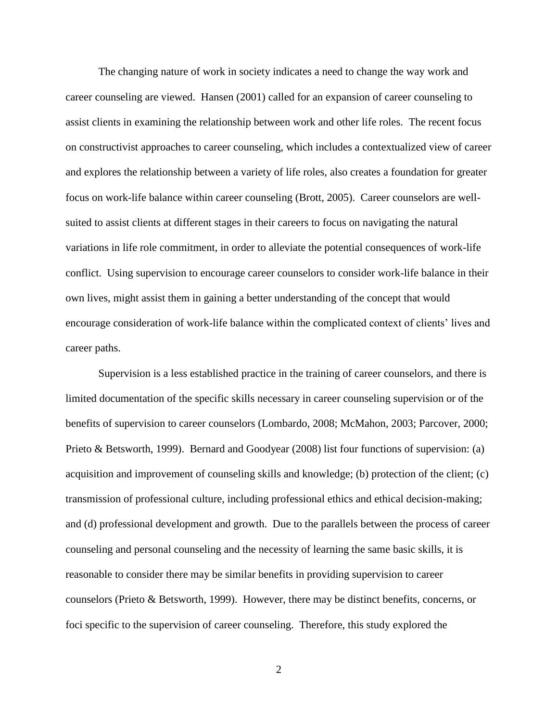The changing nature of work in society indicates a need to change the way work and career counseling are viewed. Hansen (2001) called for an expansion of career counseling to assist clients in examining the relationship between work and other life roles. The recent focus on constructivist approaches to career counseling, which includes a contextualized view of career and explores the relationship between a variety of life roles, also creates a foundation for greater focus on work-life balance within career counseling (Brott, 2005). Career counselors are wellsuited to assist clients at different stages in their careers to focus on navigating the natural variations in life role commitment, in order to alleviate the potential consequences of work-life conflict. Using supervision to encourage career counselors to consider work-life balance in their own lives, might assist them in gaining a better understanding of the concept that would encourage consideration of work-life balance within the complicated context of clients' lives and career paths.

Supervision is a less established practice in the training of career counselors, and there is limited documentation of the specific skills necessary in career counseling supervision or of the benefits of supervision to career counselors (Lombardo, 2008; McMahon, 2003; Parcover, 2000; Prieto & Betsworth, 1999). Bernard and Goodyear (2008) list four functions of supervision: (a) acquisition and improvement of counseling skills and knowledge; (b) protection of the client; (c) transmission of professional culture, including professional ethics and ethical decision-making; and (d) professional development and growth. Due to the parallels between the process of career counseling and personal counseling and the necessity of learning the same basic skills, it is reasonable to consider there may be similar benefits in providing supervision to career counselors (Prieto & Betsworth, 1999). However, there may be distinct benefits, concerns, or foci specific to the supervision of career counseling. Therefore, this study explored the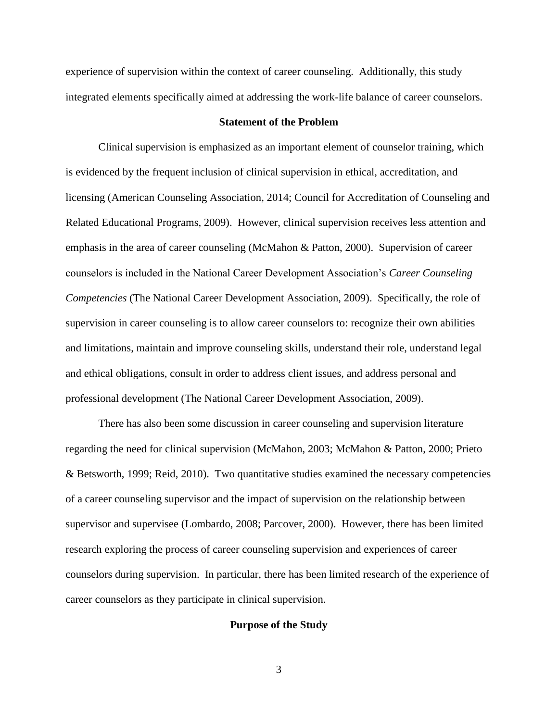experience of supervision within the context of career counseling. Additionally, this study integrated elements specifically aimed at addressing the work-life balance of career counselors.

### **Statement of the Problem**

Clinical supervision is emphasized as an important element of counselor training, which is evidenced by the frequent inclusion of clinical supervision in ethical, accreditation, and licensing (American Counseling Association, 2014; Council for Accreditation of Counseling and Related Educational Programs, 2009). However, clinical supervision receives less attention and emphasis in the area of career counseling (McMahon & Patton, 2000). Supervision of career counselors is included in the National Career Development Association's *Career Counseling Competencies* (The National Career Development Association, 2009). Specifically, the role of supervision in career counseling is to allow career counselors to: recognize their own abilities and limitations, maintain and improve counseling skills, understand their role, understand legal and ethical obligations, consult in order to address client issues, and address personal and professional development (The National Career Development Association, 2009).

There has also been some discussion in career counseling and supervision literature regarding the need for clinical supervision (McMahon, 2003; McMahon & Patton, 2000; Prieto & Betsworth, 1999; Reid, 2010). Two quantitative studies examined the necessary competencies of a career counseling supervisor and the impact of supervision on the relationship between supervisor and supervisee (Lombardo, 2008; Parcover, 2000). However, there has been limited research exploring the process of career counseling supervision and experiences of career counselors during supervision. In particular, there has been limited research of the experience of career counselors as they participate in clinical supervision.

#### **Purpose of the Study**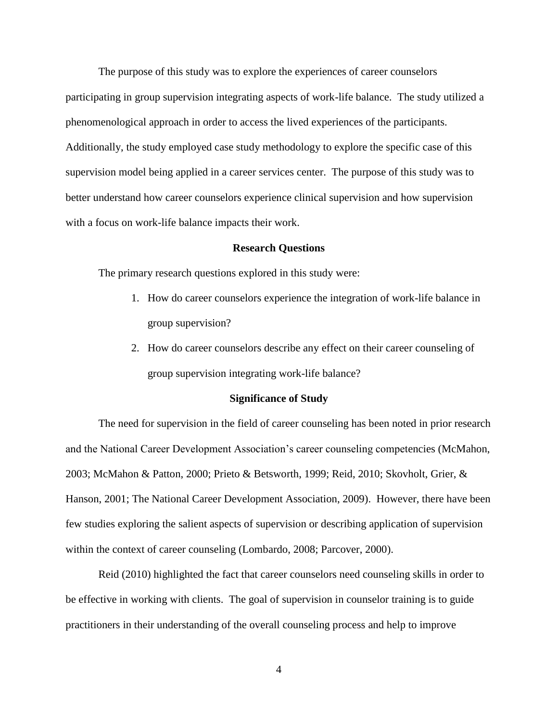The purpose of this study was to explore the experiences of career counselors participating in group supervision integrating aspects of work-life balance. The study utilized a phenomenological approach in order to access the lived experiences of the participants. Additionally, the study employed case study methodology to explore the specific case of this supervision model being applied in a career services center. The purpose of this study was to better understand how career counselors experience clinical supervision and how supervision with a focus on work-life balance impacts their work.

#### **Research Questions**

The primary research questions explored in this study were:

- 1. How do career counselors experience the integration of work-life balance in group supervision?
- 2. How do career counselors describe any effect on their career counseling of group supervision integrating work-life balance?

#### **Significance of Study**

The need for supervision in the field of career counseling has been noted in prior research and the National Career Development Association's career counseling competencies (McMahon, 2003; McMahon & Patton, 2000; Prieto & Betsworth, 1999; Reid, 2010; Skovholt, Grier, & Hanson, 2001; The National Career Development Association, 2009). However, there have been few studies exploring the salient aspects of supervision or describing application of supervision within the context of career counseling (Lombardo, 2008; Parcover, 2000).

Reid (2010) highlighted the fact that career counselors need counseling skills in order to be effective in working with clients. The goal of supervision in counselor training is to guide practitioners in their understanding of the overall counseling process and help to improve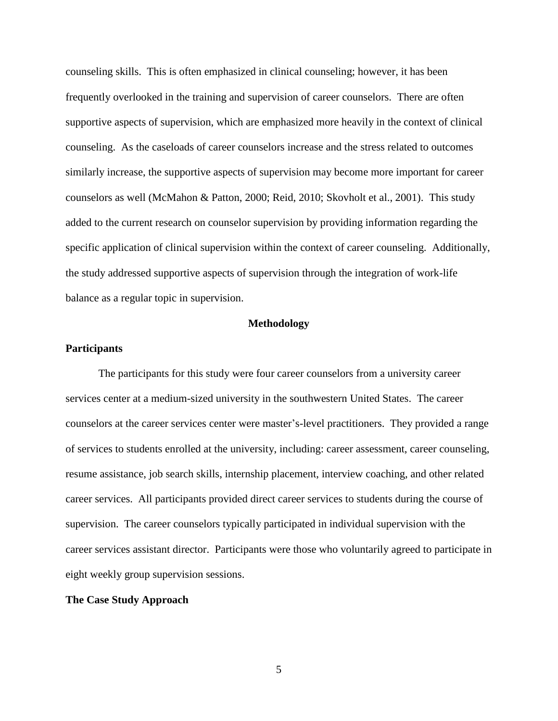counseling skills. This is often emphasized in clinical counseling; however, it has been frequently overlooked in the training and supervision of career counselors. There are often supportive aspects of supervision, which are emphasized more heavily in the context of clinical counseling. As the caseloads of career counselors increase and the stress related to outcomes similarly increase, the supportive aspects of supervision may become more important for career counselors as well (McMahon & Patton, 2000; Reid, 2010; Skovholt et al., 2001). This study added to the current research on counselor supervision by providing information regarding the specific application of clinical supervision within the context of career counseling. Additionally, the study addressed supportive aspects of supervision through the integration of work-life balance as a regular topic in supervision.

### **Methodology**

### **Participants**

The participants for this study were four career counselors from a university career services center at a medium-sized university in the southwestern United States. The career counselors at the career services center were master's-level practitioners. They provided a range of services to students enrolled at the university, including: career assessment, career counseling, resume assistance, job search skills, internship placement, interview coaching, and other related career services. All participants provided direct career services to students during the course of supervision. The career counselors typically participated in individual supervision with the career services assistant director. Participants were those who voluntarily agreed to participate in eight weekly group supervision sessions.

#### **The Case Study Approach**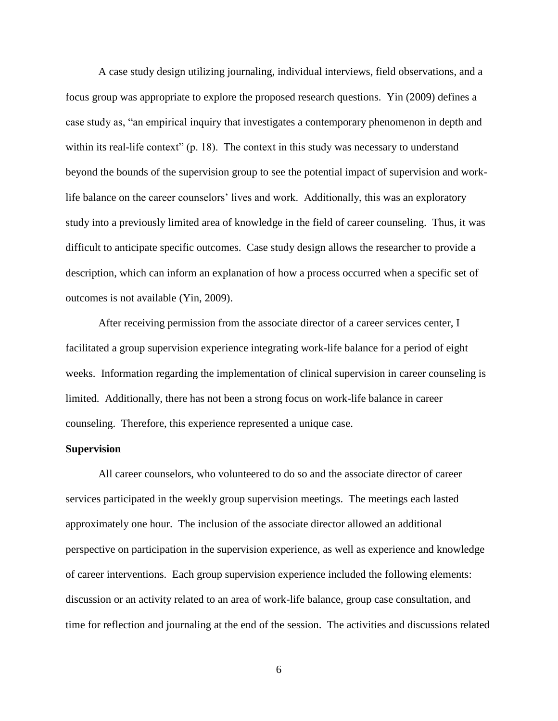A case study design utilizing journaling, individual interviews, field observations, and a focus group was appropriate to explore the proposed research questions. Yin (2009) defines a case study as, "an empirical inquiry that investigates a contemporary phenomenon in depth and within its real-life context" (p. 18). The context in this study was necessary to understand beyond the bounds of the supervision group to see the potential impact of supervision and worklife balance on the career counselors' lives and work. Additionally, this was an exploratory study into a previously limited area of knowledge in the field of career counseling. Thus, it was difficult to anticipate specific outcomes. Case study design allows the researcher to provide a description, which can inform an explanation of how a process occurred when a specific set of outcomes is not available (Yin, 2009).

After receiving permission from the associate director of a career services center, I facilitated a group supervision experience integrating work-life balance for a period of eight weeks. Information regarding the implementation of clinical supervision in career counseling is limited. Additionally, there has not been a strong focus on work-life balance in career counseling. Therefore, this experience represented a unique case.

#### **Supervision**

All career counselors, who volunteered to do so and the associate director of career services participated in the weekly group supervision meetings. The meetings each lasted approximately one hour. The inclusion of the associate director allowed an additional perspective on participation in the supervision experience, as well as experience and knowledge of career interventions. Each group supervision experience included the following elements: discussion or an activity related to an area of work-life balance, group case consultation, and time for reflection and journaling at the end of the session. The activities and discussions related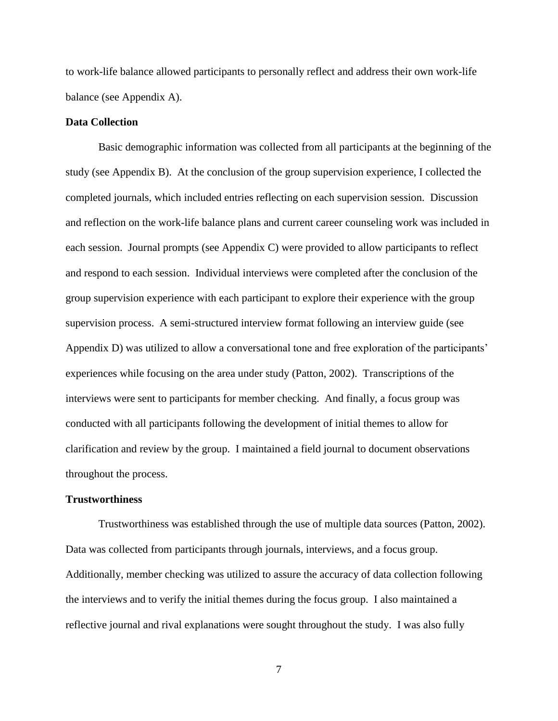to work-life balance allowed participants to personally reflect and address their own work-life balance (see Appendix A).

### **Data Collection**

Basic demographic information was collected from all participants at the beginning of the study (see Appendix B). At the conclusion of the group supervision experience, I collected the completed journals, which included entries reflecting on each supervision session. Discussion and reflection on the work-life balance plans and current career counseling work was included in each session. Journal prompts (see Appendix C) were provided to allow participants to reflect and respond to each session. Individual interviews were completed after the conclusion of the group supervision experience with each participant to explore their experience with the group supervision process. A semi-structured interview format following an interview guide (see Appendix D) was utilized to allow a conversational tone and free exploration of the participants' experiences while focusing on the area under study (Patton, 2002). Transcriptions of the interviews were sent to participants for member checking. And finally, a focus group was conducted with all participants following the development of initial themes to allow for clarification and review by the group. I maintained a field journal to document observations throughout the process.

### **Trustworthiness**

Trustworthiness was established through the use of multiple data sources (Patton, 2002). Data was collected from participants through journals, interviews, and a focus group. Additionally, member checking was utilized to assure the accuracy of data collection following the interviews and to verify the initial themes during the focus group. I also maintained a reflective journal and rival explanations were sought throughout the study. I was also fully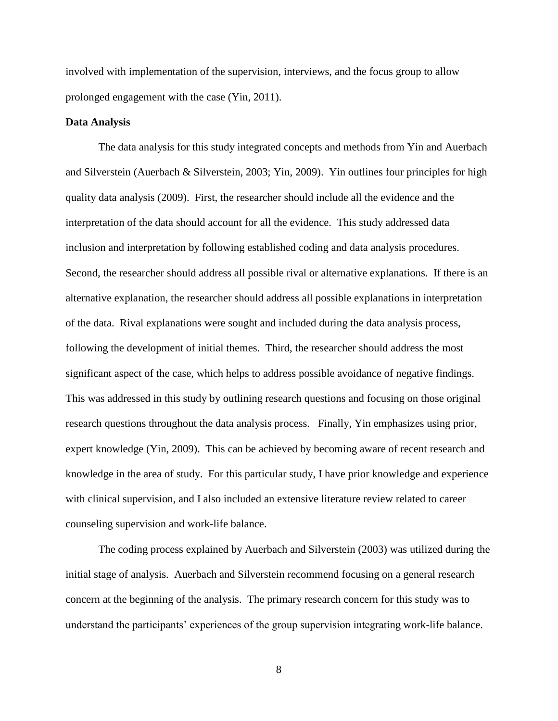involved with implementation of the supervision, interviews, and the focus group to allow prolonged engagement with the case (Yin, 2011).

### **Data Analysis**

The data analysis for this study integrated concepts and methods from Yin and Auerbach and Silverstein (Auerbach & Silverstein, 2003; Yin, 2009). Yin outlines four principles for high quality data analysis (2009). First, the researcher should include all the evidence and the interpretation of the data should account for all the evidence. This study addressed data inclusion and interpretation by following established coding and data analysis procedures. Second, the researcher should address all possible rival or alternative explanations. If there is an alternative explanation, the researcher should address all possible explanations in interpretation of the data. Rival explanations were sought and included during the data analysis process, following the development of initial themes. Third, the researcher should address the most significant aspect of the case, which helps to address possible avoidance of negative findings. This was addressed in this study by outlining research questions and focusing on those original research questions throughout the data analysis process. Finally, Yin emphasizes using prior, expert knowledge (Yin, 2009). This can be achieved by becoming aware of recent research and knowledge in the area of study. For this particular study, I have prior knowledge and experience with clinical supervision, and I also included an extensive literature review related to career counseling supervision and work-life balance.

The coding process explained by Auerbach and Silverstein (2003) was utilized during the initial stage of analysis. Auerbach and Silverstein recommend focusing on a general research concern at the beginning of the analysis. The primary research concern for this study was to understand the participants' experiences of the group supervision integrating work-life balance.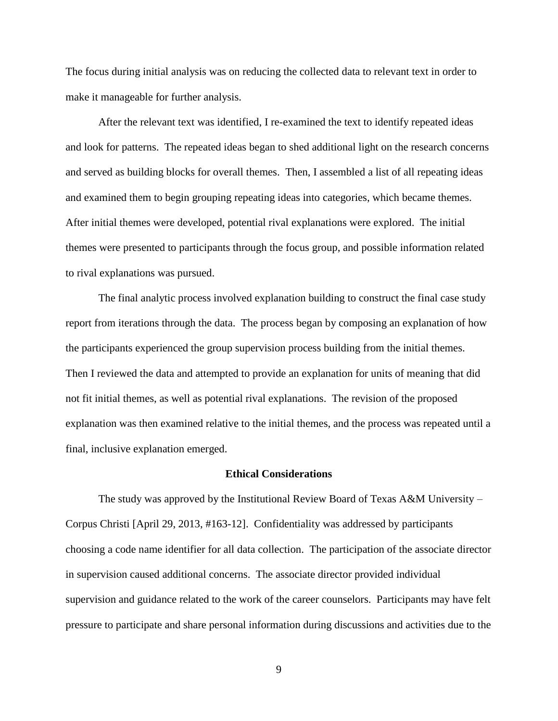The focus during initial analysis was on reducing the collected data to relevant text in order to make it manageable for further analysis.

After the relevant text was identified, I re-examined the text to identify repeated ideas and look for patterns. The repeated ideas began to shed additional light on the research concerns and served as building blocks for overall themes. Then, I assembled a list of all repeating ideas and examined them to begin grouping repeating ideas into categories, which became themes. After initial themes were developed, potential rival explanations were explored. The initial themes were presented to participants through the focus group, and possible information related to rival explanations was pursued.

The final analytic process involved explanation building to construct the final case study report from iterations through the data. The process began by composing an explanation of how the participants experienced the group supervision process building from the initial themes. Then I reviewed the data and attempted to provide an explanation for units of meaning that did not fit initial themes, as well as potential rival explanations. The revision of the proposed explanation was then examined relative to the initial themes, and the process was repeated until a final, inclusive explanation emerged.

#### **Ethical Considerations**

The study was approved by the Institutional Review Board of Texas A&M University – Corpus Christi [April 29, 2013, #163-12]. Confidentiality was addressed by participants choosing a code name identifier for all data collection. The participation of the associate director in supervision caused additional concerns. The associate director provided individual supervision and guidance related to the work of the career counselors. Participants may have felt pressure to participate and share personal information during discussions and activities due to the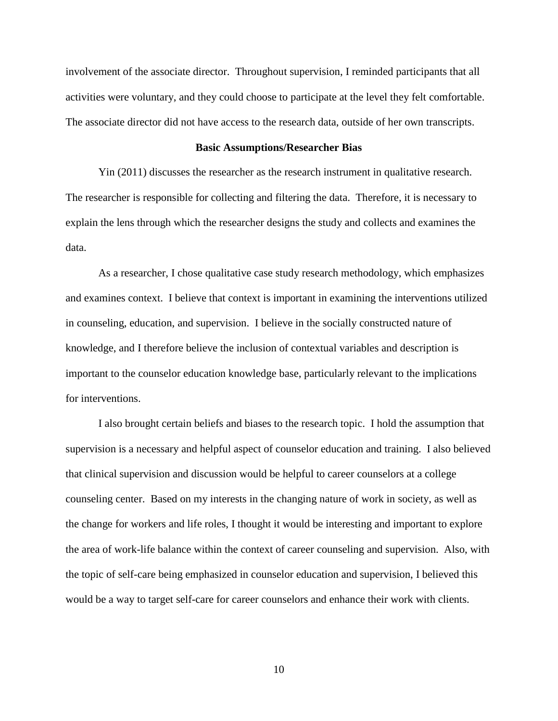involvement of the associate director. Throughout supervision, I reminded participants that all activities were voluntary, and they could choose to participate at the level they felt comfortable. The associate director did not have access to the research data, outside of her own transcripts.

#### **Basic Assumptions/Researcher Bias**

Yin (2011) discusses the researcher as the research instrument in qualitative research. The researcher is responsible for collecting and filtering the data. Therefore, it is necessary to explain the lens through which the researcher designs the study and collects and examines the data.

As a researcher, I chose qualitative case study research methodology, which emphasizes and examines context. I believe that context is important in examining the interventions utilized in counseling, education, and supervision. I believe in the socially constructed nature of knowledge, and I therefore believe the inclusion of contextual variables and description is important to the counselor education knowledge base, particularly relevant to the implications for interventions.

I also brought certain beliefs and biases to the research topic. I hold the assumption that supervision is a necessary and helpful aspect of counselor education and training. I also believed that clinical supervision and discussion would be helpful to career counselors at a college counseling center. Based on my interests in the changing nature of work in society, as well as the change for workers and life roles, I thought it would be interesting and important to explore the area of work-life balance within the context of career counseling and supervision. Also, with the topic of self-care being emphasized in counselor education and supervision, I believed this would be a way to target self-care for career counselors and enhance their work with clients.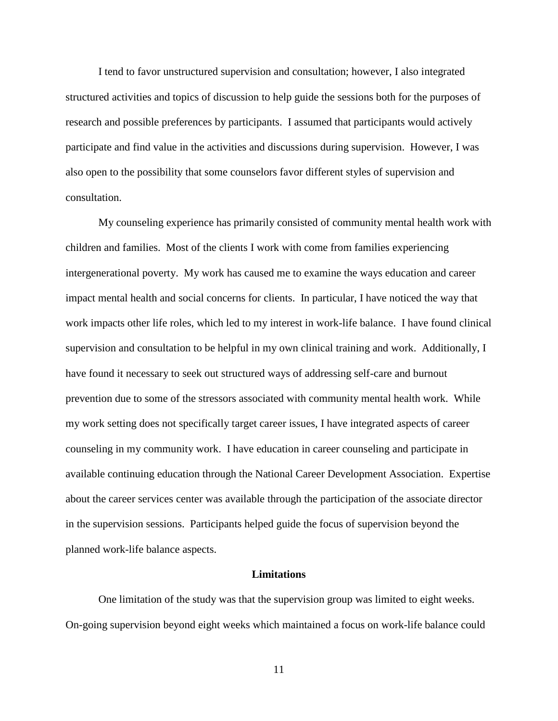I tend to favor unstructured supervision and consultation; however, I also integrated structured activities and topics of discussion to help guide the sessions both for the purposes of research and possible preferences by participants. I assumed that participants would actively participate and find value in the activities and discussions during supervision. However, I was also open to the possibility that some counselors favor different styles of supervision and consultation.

My counseling experience has primarily consisted of community mental health work with children and families. Most of the clients I work with come from families experiencing intergenerational poverty. My work has caused me to examine the ways education and career impact mental health and social concerns for clients. In particular, I have noticed the way that work impacts other life roles, which led to my interest in work-life balance. I have found clinical supervision and consultation to be helpful in my own clinical training and work. Additionally, I have found it necessary to seek out structured ways of addressing self-care and burnout prevention due to some of the stressors associated with community mental health work. While my work setting does not specifically target career issues, I have integrated aspects of career counseling in my community work. I have education in career counseling and participate in available continuing education through the National Career Development Association. Expertise about the career services center was available through the participation of the associate director in the supervision sessions. Participants helped guide the focus of supervision beyond the planned work-life balance aspects.

#### **Limitations**

One limitation of the study was that the supervision group was limited to eight weeks. On-going supervision beyond eight weeks which maintained a focus on work-life balance could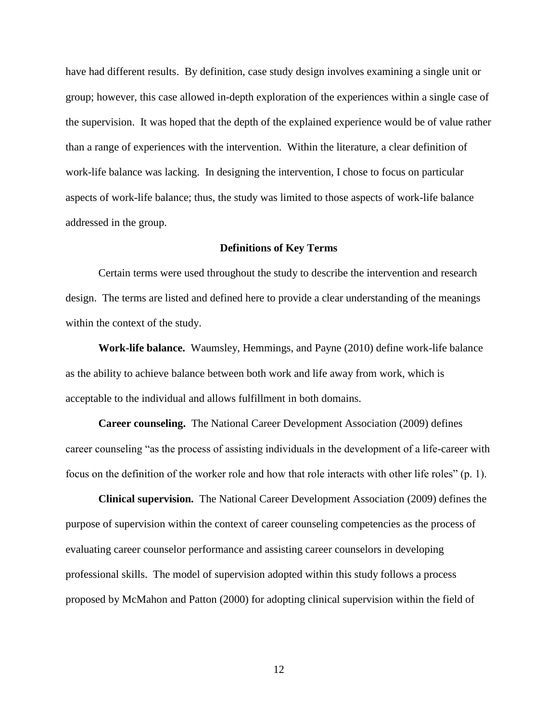have had different results. By definition, case study design involves examining a single unit or group; however, this case allowed in-depth exploration of the experiences within a single case of the supervision. It was hoped that the depth of the explained experience would be of value rather than a range of experiences with the intervention. Within the literature, a clear definition of work-life balance was lacking. In designing the intervention, I chose to focus on particular aspects of work-life balance; thus, the study was limited to those aspects of work-life balance addressed in the group.

#### **Definitions of Key Terms**

Certain terms were used throughout the study to describe the intervention and research design. The terms are listed and defined here to provide a clear understanding of the meanings within the context of the study.

**Work-life balance.** Waumsley, Hemmings, and Payne (2010) define work-life balance as the ability to achieve balance between both work and life away from work, which is acceptable to the individual and allows fulfillment in both domains.

**Career counseling.** The National Career Development Association (2009) defines career counseling "as the process of assisting individuals in the development of a life-career with focus on the definition of the worker role and how that role interacts with other life roles" (p. 1).

**Clinical supervision.** The National Career Development Association (2009) defines the purpose of supervision within the context of career counseling competencies as the process of evaluating career counselor performance and assisting career counselors in developing professional skills. The model of supervision adopted within this study follows a process proposed by McMahon and Patton (2000) for adopting clinical supervision within the field of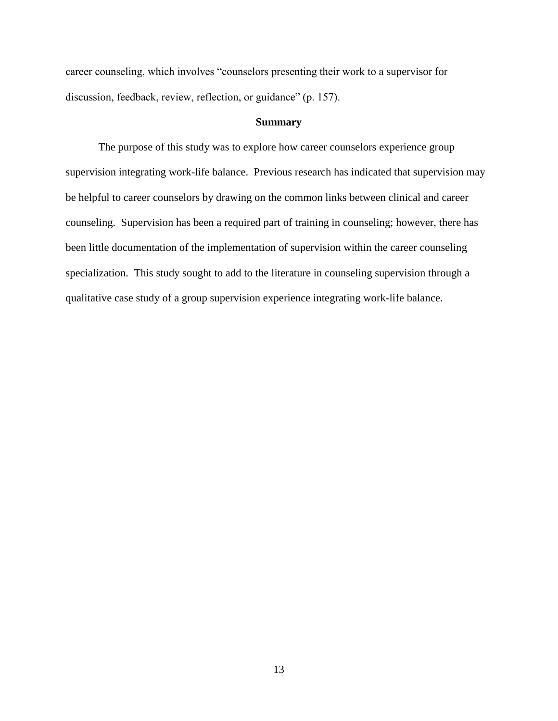career counseling, which involves "counselors presenting their work to a supervisor for discussion, feedback, review, reflection, or guidance" (p. 157).

### **Summary**

The purpose of this study was to explore how career counselors experience group supervision integrating work-life balance. Previous research has indicated that supervision may be helpful to career counselors by drawing on the common links between clinical and career counseling. Supervision has been a required part of training in counseling; however, there has been little documentation of the implementation of supervision within the career counseling specialization. This study sought to add to the literature in counseling supervision through a qualitative case study of a group supervision experience integrating work-life balance.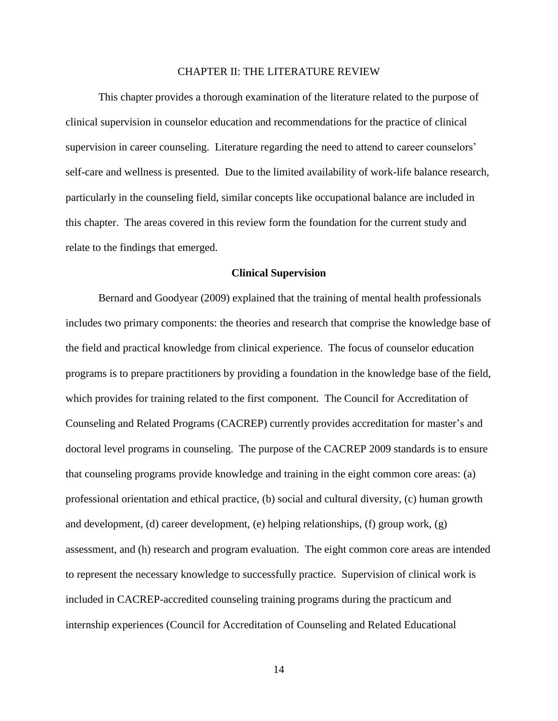#### CHAPTER II: THE LITERATURE REVIEW

This chapter provides a thorough examination of the literature related to the purpose of clinical supervision in counselor education and recommendations for the practice of clinical supervision in career counseling. Literature regarding the need to attend to career counselors' self-care and wellness is presented. Due to the limited availability of work-life balance research, particularly in the counseling field, similar concepts like occupational balance are included in this chapter. The areas covered in this review form the foundation for the current study and relate to the findings that emerged.

#### **Clinical Supervision**

Bernard and Goodyear (2009) explained that the training of mental health professionals includes two primary components: the theories and research that comprise the knowledge base of the field and practical knowledge from clinical experience. The focus of counselor education programs is to prepare practitioners by providing a foundation in the knowledge base of the field, which provides for training related to the first component. The Council for Accreditation of Counseling and Related Programs (CACREP) currently provides accreditation for master's and doctoral level programs in counseling. The purpose of the CACREP 2009 standards is to ensure that counseling programs provide knowledge and training in the eight common core areas: (a) professional orientation and ethical practice, (b) social and cultural diversity, (c) human growth and development, (d) career development, (e) helping relationships, (f) group work, (g) assessment, and (h) research and program evaluation. The eight common core areas are intended to represent the necessary knowledge to successfully practice. Supervision of clinical work is included in CACREP-accredited counseling training programs during the practicum and internship experiences (Council for Accreditation of Counseling and Related Educational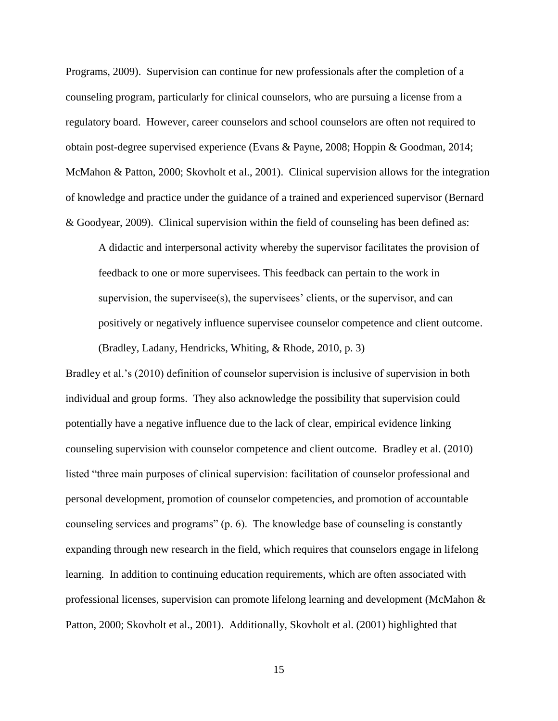Programs, 2009). Supervision can continue for new professionals after the completion of a counseling program, particularly for clinical counselors, who are pursuing a license from a regulatory board. However, career counselors and school counselors are often not required to obtain post-degree supervised experience (Evans & Payne, 2008; Hoppin & Goodman, 2014; McMahon & Patton, 2000; Skovholt et al., 2001). Clinical supervision allows for the integration of knowledge and practice under the guidance of a trained and experienced supervisor (Bernard & Goodyear, 2009). Clinical supervision within the field of counseling has been defined as:

A didactic and interpersonal activity whereby the supervisor facilitates the provision of feedback to one or more supervisees. This feedback can pertain to the work in supervision, the supervisee(s), the supervisees' clients, or the supervisor, and can positively or negatively influence supervisee counselor competence and client outcome. (Bradley, Ladany, Hendricks, Whiting, & Rhode, 2010, p. 3)

Bradley et al.'s (2010) definition of counselor supervision is inclusive of supervision in both individual and group forms. They also acknowledge the possibility that supervision could potentially have a negative influence due to the lack of clear, empirical evidence linking counseling supervision with counselor competence and client outcome. Bradley et al. (2010) listed "three main purposes of clinical supervision: facilitation of counselor professional and personal development, promotion of counselor competencies, and promotion of accountable counseling services and programs" (p. 6). The knowledge base of counseling is constantly expanding through new research in the field, which requires that counselors engage in lifelong learning. In addition to continuing education requirements, which are often associated with professional licenses, supervision can promote lifelong learning and development (McMahon & Patton, 2000; Skovholt et al., 2001). Additionally, Skovholt et al. (2001) highlighted that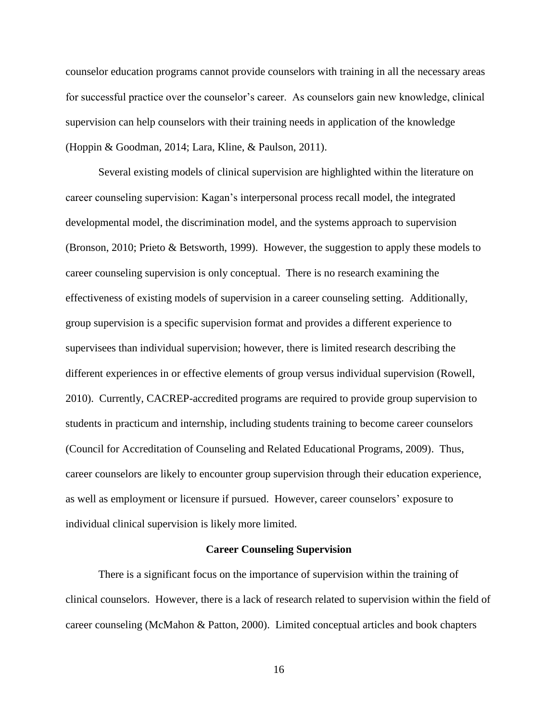counselor education programs cannot provide counselors with training in all the necessary areas for successful practice over the counselor's career. As counselors gain new knowledge, clinical supervision can help counselors with their training needs in application of the knowledge (Hoppin & Goodman, 2014; Lara, Kline, & Paulson, 2011).

Several existing models of clinical supervision are highlighted within the literature on career counseling supervision: Kagan's interpersonal process recall model, the integrated developmental model, the discrimination model, and the systems approach to supervision (Bronson, 2010; Prieto & Betsworth, 1999). However, the suggestion to apply these models to career counseling supervision is only conceptual. There is no research examining the effectiveness of existing models of supervision in a career counseling setting. Additionally, group supervision is a specific supervision format and provides a different experience to supervisees than individual supervision; however, there is limited research describing the different experiences in or effective elements of group versus individual supervision (Rowell, 2010). Currently, CACREP-accredited programs are required to provide group supervision to students in practicum and internship, including students training to become career counselors (Council for Accreditation of Counseling and Related Educational Programs, 2009). Thus, career counselors are likely to encounter group supervision through their education experience, as well as employment or licensure if pursued. However, career counselors' exposure to individual clinical supervision is likely more limited.

#### **Career Counseling Supervision**

There is a significant focus on the importance of supervision within the training of clinical counselors. However, there is a lack of research related to supervision within the field of career counseling (McMahon & Patton, 2000). Limited conceptual articles and book chapters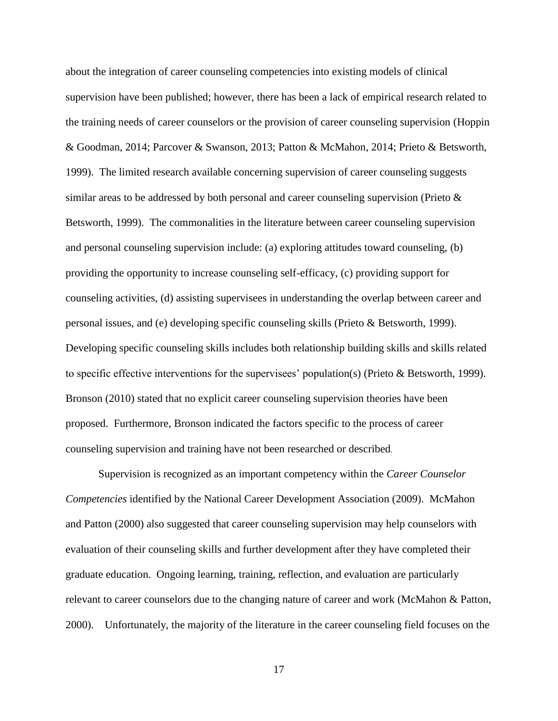about the integration of career counseling competencies into existing models of clinical supervision have been published; however, there has been a lack of empirical research related to the training needs of career counselors or the provision of career counseling supervision (Hoppin & Goodman, 2014; Parcover & Swanson, 2013; Patton & McMahon, 2014; Prieto & Betsworth, 1999). The limited research available concerning supervision of career counseling suggests similar areas to be addressed by both personal and career counseling supervision (Prieto  $\&$ Betsworth, 1999). The commonalities in the literature between career counseling supervision and personal counseling supervision include: (a) exploring attitudes toward counseling, (b) providing the opportunity to increase counseling self-efficacy, (c) providing support for counseling activities, (d) assisting supervisees in understanding the overlap between career and personal issues, and (e) developing specific counseling skills (Prieto & Betsworth, 1999). Developing specific counseling skills includes both relationship building skills and skills related to specific effective interventions for the supervisees' population(s) (Prieto & Betsworth, 1999). Bronson (2010) stated that no explicit career counseling supervision theories have been proposed. Furthermore, Bronson indicated the factors specific to the process of career counseling supervision and training have not been researched or described.

Supervision is recognized as an important competency within the *Career Counselor Competencies* identified by the National Career Development Association (2009). McMahon and Patton (2000) also suggested that career counseling supervision may help counselors with evaluation of their counseling skills and further development after they have completed their graduate education. Ongoing learning, training, reflection, and evaluation are particularly relevant to career counselors due to the changing nature of career and work (McMahon & Patton, 2000). Unfortunately, the majority of the literature in the career counseling field focuses on the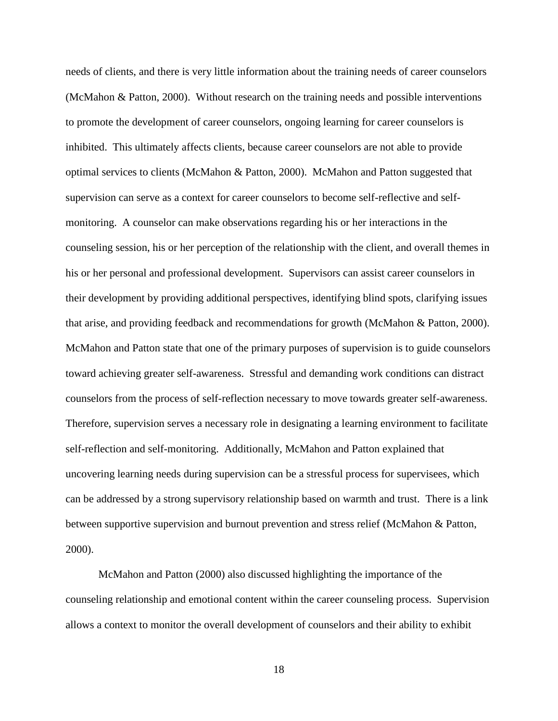needs of clients, and there is very little information about the training needs of career counselors (McMahon & Patton, 2000). Without research on the training needs and possible interventions to promote the development of career counselors, ongoing learning for career counselors is inhibited. This ultimately affects clients, because career counselors are not able to provide optimal services to clients (McMahon & Patton, 2000). McMahon and Patton suggested that supervision can serve as a context for career counselors to become self-reflective and selfmonitoring. A counselor can make observations regarding his or her interactions in the counseling session, his or her perception of the relationship with the client, and overall themes in his or her personal and professional development. Supervisors can assist career counselors in their development by providing additional perspectives, identifying blind spots, clarifying issues that arise, and providing feedback and recommendations for growth (McMahon & Patton, 2000). McMahon and Patton state that one of the primary purposes of supervision is to guide counselors toward achieving greater self-awareness. Stressful and demanding work conditions can distract counselors from the process of self-reflection necessary to move towards greater self-awareness. Therefore, supervision serves a necessary role in designating a learning environment to facilitate self-reflection and self-monitoring. Additionally, McMahon and Patton explained that uncovering learning needs during supervision can be a stressful process for supervisees, which can be addressed by a strong supervisory relationship based on warmth and trust. There is a link between supportive supervision and burnout prevention and stress relief (McMahon & Patton, 2000).

McMahon and Patton (2000) also discussed highlighting the importance of the counseling relationship and emotional content within the career counseling process. Supervision allows a context to monitor the overall development of counselors and their ability to exhibit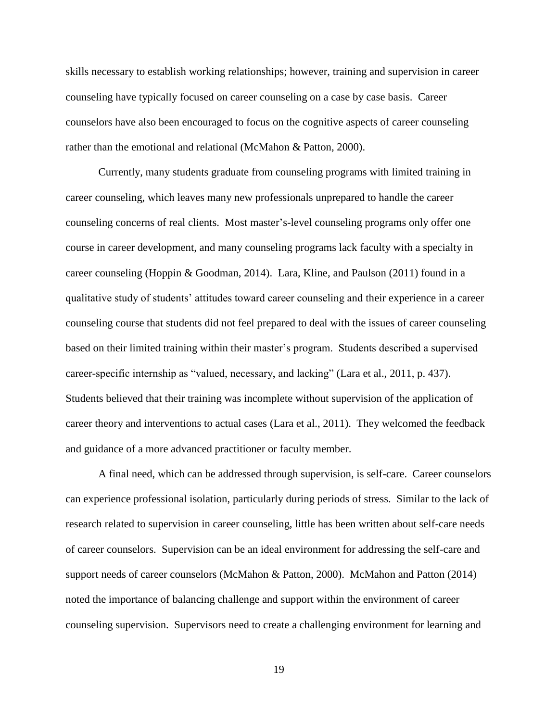skills necessary to establish working relationships; however, training and supervision in career counseling have typically focused on career counseling on a case by case basis. Career counselors have also been encouraged to focus on the cognitive aspects of career counseling rather than the emotional and relational (McMahon & Patton, 2000).

Currently, many students graduate from counseling programs with limited training in career counseling, which leaves many new professionals unprepared to handle the career counseling concerns of real clients. Most master's-level counseling programs only offer one course in career development, and many counseling programs lack faculty with a specialty in career counseling (Hoppin & Goodman, 2014). Lara, Kline, and Paulson (2011) found in a qualitative study of students' attitudes toward career counseling and their experience in a career counseling course that students did not feel prepared to deal with the issues of career counseling based on their limited training within their master's program. Students described a supervised career-specific internship as "valued, necessary, and lacking" (Lara et al., 2011, p. 437). Students believed that their training was incomplete without supervision of the application of career theory and interventions to actual cases (Lara et al., 2011). They welcomed the feedback and guidance of a more advanced practitioner or faculty member.

A final need, which can be addressed through supervision, is self-care. Career counselors can experience professional isolation, particularly during periods of stress. Similar to the lack of research related to supervision in career counseling, little has been written about self-care needs of career counselors. Supervision can be an ideal environment for addressing the self-care and support needs of career counselors (McMahon & Patton, 2000). McMahon and Patton (2014) noted the importance of balancing challenge and support within the environment of career counseling supervision. Supervisors need to create a challenging environment for learning and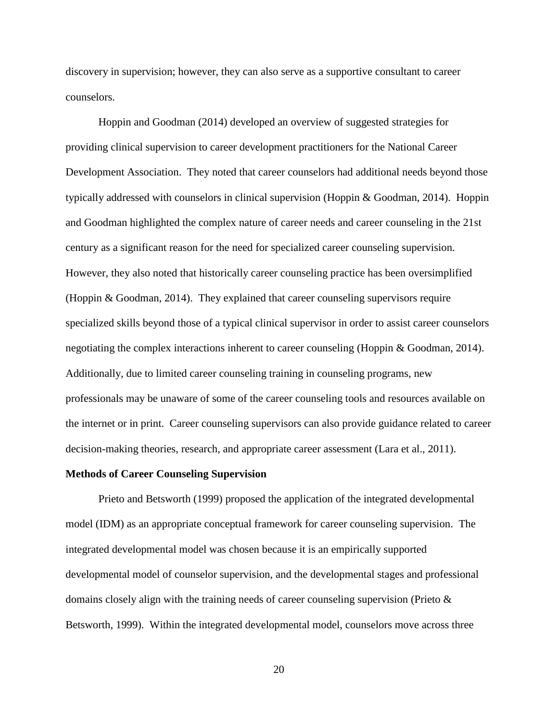discovery in supervision; however, they can also serve as a supportive consultant to career counselors.

Hoppin and Goodman (2014) developed an overview of suggested strategies for providing clinical supervision to career development practitioners for the National Career Development Association. They noted that career counselors had additional needs beyond those typically addressed with counselors in clinical supervision (Hoppin & Goodman, 2014). Hoppin and Goodman highlighted the complex nature of career needs and career counseling in the 21st century as a significant reason for the need for specialized career counseling supervision. However, they also noted that historically career counseling practice has been oversimplified (Hoppin & Goodman, 2014). They explained that career counseling supervisors require specialized skills beyond those of a typical clinical supervisor in order to assist career counselors negotiating the complex interactions inherent to career counseling (Hoppin & Goodman, 2014). Additionally, due to limited career counseling training in counseling programs, new professionals may be unaware of some of the career counseling tools and resources available on the internet or in print. Career counseling supervisors can also provide guidance related to career decision-making theories, research, and appropriate career assessment (Lara et al., 2011).

#### **Methods of Career Counseling Supervision**

Prieto and Betsworth (1999) proposed the application of the integrated developmental model (IDM) as an appropriate conceptual framework for career counseling supervision. The integrated developmental model was chosen because it is an empirically supported developmental model of counselor supervision, and the developmental stages and professional domains closely align with the training needs of career counseling supervision (Prieto  $\&$ Betsworth, 1999). Within the integrated developmental model, counselors move across three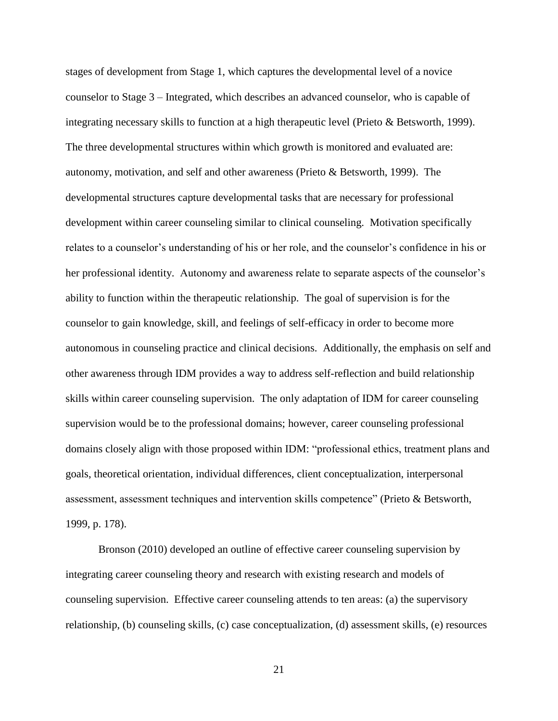stages of development from Stage 1, which captures the developmental level of a novice counselor to Stage 3 – Integrated, which describes an advanced counselor, who is capable of integrating necessary skills to function at a high therapeutic level (Prieto & Betsworth, 1999). The three developmental structures within which growth is monitored and evaluated are: autonomy, motivation, and self and other awareness (Prieto & Betsworth, 1999). The developmental structures capture developmental tasks that are necessary for professional development within career counseling similar to clinical counseling. Motivation specifically relates to a counselor's understanding of his or her role, and the counselor's confidence in his or her professional identity. Autonomy and awareness relate to separate aspects of the counselor's ability to function within the therapeutic relationship. The goal of supervision is for the counselor to gain knowledge, skill, and feelings of self-efficacy in order to become more autonomous in counseling practice and clinical decisions. Additionally, the emphasis on self and other awareness through IDM provides a way to address self-reflection and build relationship skills within career counseling supervision. The only adaptation of IDM for career counseling supervision would be to the professional domains; however, career counseling professional domains closely align with those proposed within IDM: "professional ethics, treatment plans and goals, theoretical orientation, individual differences, client conceptualization, interpersonal assessment, assessment techniques and intervention skills competence" (Prieto & Betsworth, 1999, p. 178).

Bronson (2010) developed an outline of effective career counseling supervision by integrating career counseling theory and research with existing research and models of counseling supervision. Effective career counseling attends to ten areas: (a) the supervisory relationship, (b) counseling skills, (c) case conceptualization, (d) assessment skills, (e) resources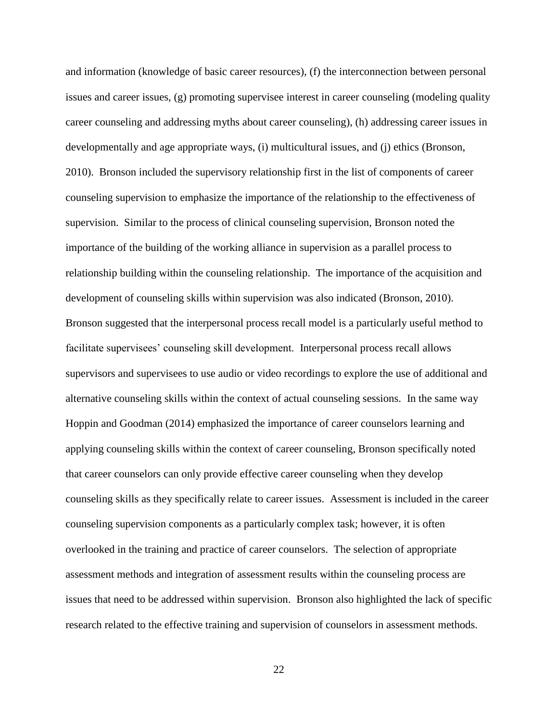and information (knowledge of basic career resources), (f) the interconnection between personal issues and career issues, (g) promoting supervisee interest in career counseling (modeling quality career counseling and addressing myths about career counseling), (h) addressing career issues in developmentally and age appropriate ways, (i) multicultural issues, and (j) ethics (Bronson, 2010). Bronson included the supervisory relationship first in the list of components of career counseling supervision to emphasize the importance of the relationship to the effectiveness of supervision. Similar to the process of clinical counseling supervision, Bronson noted the importance of the building of the working alliance in supervision as a parallel process to relationship building within the counseling relationship. The importance of the acquisition and development of counseling skills within supervision was also indicated (Bronson, 2010). Bronson suggested that the interpersonal process recall model is a particularly useful method to facilitate supervisees' counseling skill development. Interpersonal process recall allows supervisors and supervisees to use audio or video recordings to explore the use of additional and alternative counseling skills within the context of actual counseling sessions. In the same way Hoppin and Goodman (2014) emphasized the importance of career counselors learning and applying counseling skills within the context of career counseling, Bronson specifically noted that career counselors can only provide effective career counseling when they develop counseling skills as they specifically relate to career issues. Assessment is included in the career counseling supervision components as a particularly complex task; however, it is often overlooked in the training and practice of career counselors. The selection of appropriate assessment methods and integration of assessment results within the counseling process are issues that need to be addressed within supervision. Bronson also highlighted the lack of specific research related to the effective training and supervision of counselors in assessment methods.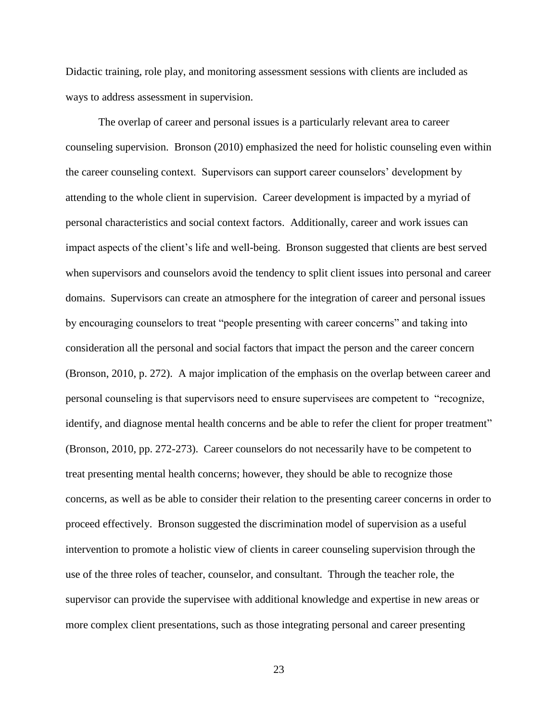Didactic training, role play, and monitoring assessment sessions with clients are included as ways to address assessment in supervision.

The overlap of career and personal issues is a particularly relevant area to career counseling supervision. Bronson (2010) emphasized the need for holistic counseling even within the career counseling context. Supervisors can support career counselors' development by attending to the whole client in supervision. Career development is impacted by a myriad of personal characteristics and social context factors. Additionally, career and work issues can impact aspects of the client's life and well-being. Bronson suggested that clients are best served when supervisors and counselors avoid the tendency to split client issues into personal and career domains. Supervisors can create an atmosphere for the integration of career and personal issues by encouraging counselors to treat "people presenting with career concerns" and taking into consideration all the personal and social factors that impact the person and the career concern (Bronson, 2010, p. 272). A major implication of the emphasis on the overlap between career and personal counseling is that supervisors need to ensure supervisees are competent to "recognize, identify, and diagnose mental health concerns and be able to refer the client for proper treatment" (Bronson, 2010, pp. 272-273). Career counselors do not necessarily have to be competent to treat presenting mental health concerns; however, they should be able to recognize those concerns, as well as be able to consider their relation to the presenting career concerns in order to proceed effectively. Bronson suggested the discrimination model of supervision as a useful intervention to promote a holistic view of clients in career counseling supervision through the use of the three roles of teacher, counselor, and consultant. Through the teacher role, the supervisor can provide the supervisee with additional knowledge and expertise in new areas or more complex client presentations, such as those integrating personal and career presenting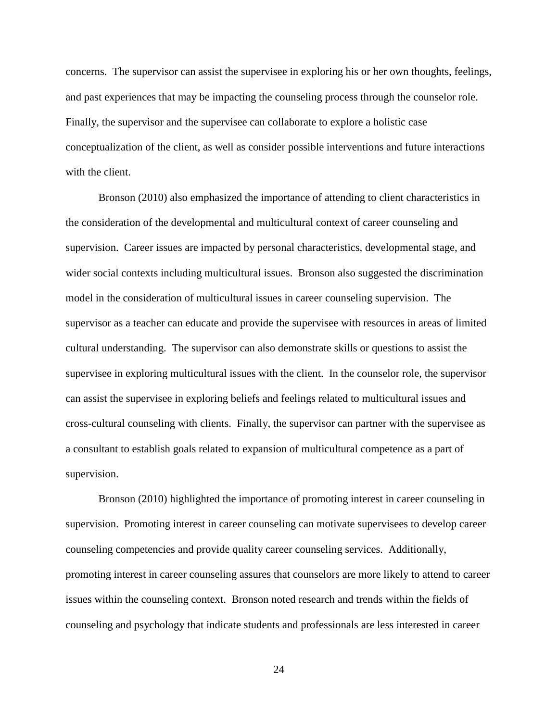concerns. The supervisor can assist the supervisee in exploring his or her own thoughts, feelings, and past experiences that may be impacting the counseling process through the counselor role. Finally, the supervisor and the supervisee can collaborate to explore a holistic case conceptualization of the client, as well as consider possible interventions and future interactions with the client.

Bronson (2010) also emphasized the importance of attending to client characteristics in the consideration of the developmental and multicultural context of career counseling and supervision. Career issues are impacted by personal characteristics, developmental stage, and wider social contexts including multicultural issues. Bronson also suggested the discrimination model in the consideration of multicultural issues in career counseling supervision. The supervisor as a teacher can educate and provide the supervisee with resources in areas of limited cultural understanding. The supervisor can also demonstrate skills or questions to assist the supervisee in exploring multicultural issues with the client. In the counselor role, the supervisor can assist the supervisee in exploring beliefs and feelings related to multicultural issues and cross-cultural counseling with clients. Finally, the supervisor can partner with the supervisee as a consultant to establish goals related to expansion of multicultural competence as a part of supervision.

Bronson (2010) highlighted the importance of promoting interest in career counseling in supervision. Promoting interest in career counseling can motivate supervisees to develop career counseling competencies and provide quality career counseling services. Additionally, promoting interest in career counseling assures that counselors are more likely to attend to career issues within the counseling context. Bronson noted research and trends within the fields of counseling and psychology that indicate students and professionals are less interested in career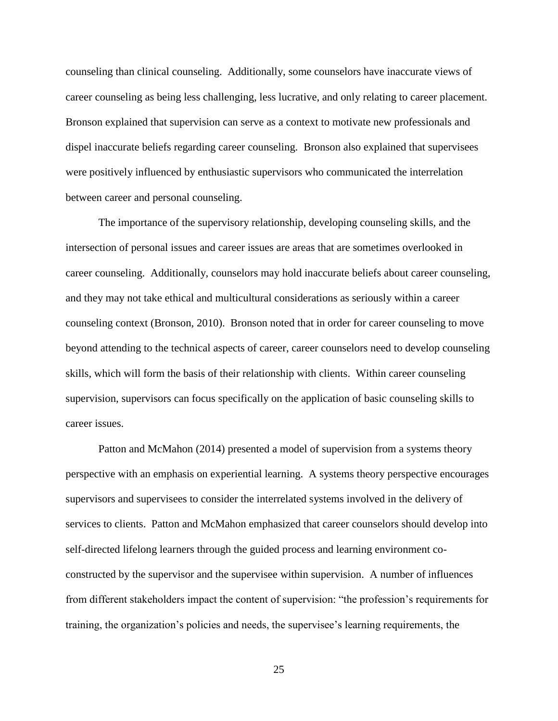counseling than clinical counseling. Additionally, some counselors have inaccurate views of career counseling as being less challenging, less lucrative, and only relating to career placement. Bronson explained that supervision can serve as a context to motivate new professionals and dispel inaccurate beliefs regarding career counseling. Bronson also explained that supervisees were positively influenced by enthusiastic supervisors who communicated the interrelation between career and personal counseling.

The importance of the supervisory relationship, developing counseling skills, and the intersection of personal issues and career issues are areas that are sometimes overlooked in career counseling. Additionally, counselors may hold inaccurate beliefs about career counseling, and they may not take ethical and multicultural considerations as seriously within a career counseling context (Bronson, 2010). Bronson noted that in order for career counseling to move beyond attending to the technical aspects of career, career counselors need to develop counseling skills, which will form the basis of their relationship with clients. Within career counseling supervision, supervisors can focus specifically on the application of basic counseling skills to career issues.

Patton and McMahon (2014) presented a model of supervision from a systems theory perspective with an emphasis on experiential learning. A systems theory perspective encourages supervisors and supervisees to consider the interrelated systems involved in the delivery of services to clients. Patton and McMahon emphasized that career counselors should develop into self-directed lifelong learners through the guided process and learning environment coconstructed by the supervisor and the supervisee within supervision. A number of influences from different stakeholders impact the content of supervision: "the profession's requirements for training, the organization's policies and needs, the supervisee's learning requirements, the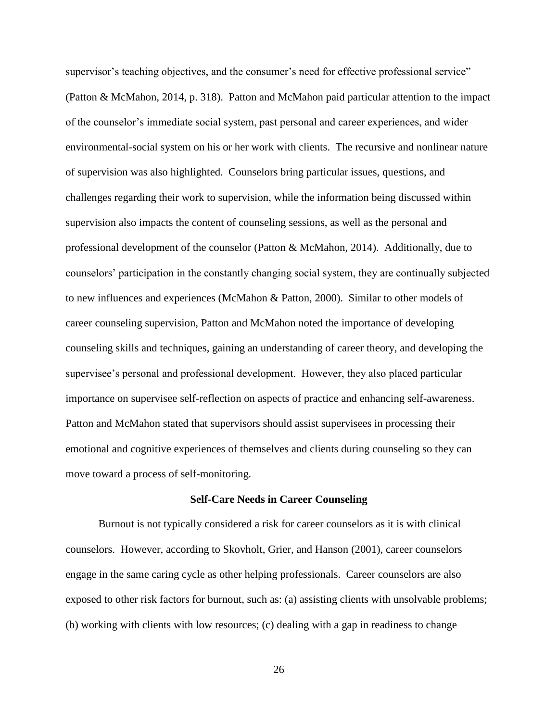supervisor's teaching objectives, and the consumer's need for effective professional service" (Patton & McMahon, 2014, p. 318). Patton and McMahon paid particular attention to the impact of the counselor's immediate social system, past personal and career experiences, and wider environmental-social system on his or her work with clients. The recursive and nonlinear nature of supervision was also highlighted. Counselors bring particular issues, questions, and challenges regarding their work to supervision, while the information being discussed within supervision also impacts the content of counseling sessions, as well as the personal and professional development of the counselor (Patton & McMahon, 2014). Additionally, due to counselors' participation in the constantly changing social system, they are continually subjected to new influences and experiences (McMahon & Patton, 2000). Similar to other models of career counseling supervision, Patton and McMahon noted the importance of developing counseling skills and techniques, gaining an understanding of career theory, and developing the supervisee's personal and professional development. However, they also placed particular importance on supervisee self-reflection on aspects of practice and enhancing self-awareness. Patton and McMahon stated that supervisors should assist supervisees in processing their emotional and cognitive experiences of themselves and clients during counseling so they can move toward a process of self-monitoring.

#### **Self-Care Needs in Career Counseling**

Burnout is not typically considered a risk for career counselors as it is with clinical counselors. However, according to Skovholt, Grier, and Hanson (2001), career counselors engage in the same caring cycle as other helping professionals. Career counselors are also exposed to other risk factors for burnout, such as: (a) assisting clients with unsolvable problems; (b) working with clients with low resources; (c) dealing with a gap in readiness to change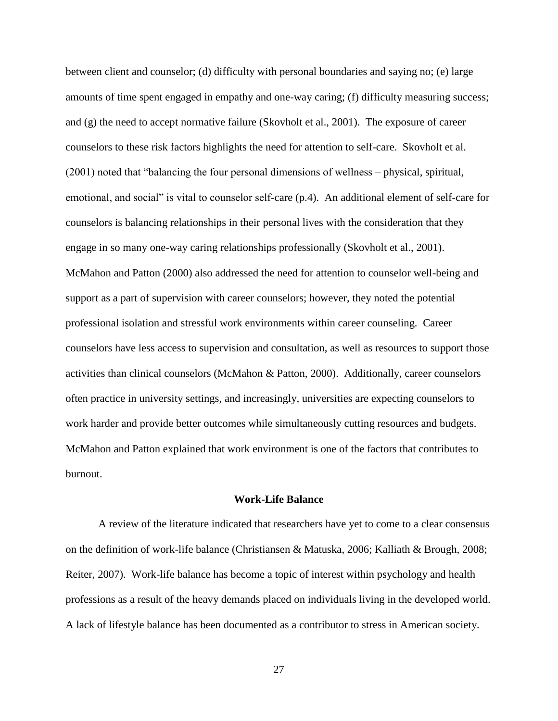between client and counselor; (d) difficulty with personal boundaries and saying no; (e) large amounts of time spent engaged in empathy and one-way caring; (f) difficulty measuring success; and  $(g)$  the need to accept normative failure (Skovholt et al., 2001). The exposure of career counselors to these risk factors highlights the need for attention to self-care. Skovholt et al. (2001) noted that "balancing the four personal dimensions of wellness – physical, spiritual, emotional, and social" is vital to counselor self-care (p.4). An additional element of self-care for counselors is balancing relationships in their personal lives with the consideration that they engage in so many one-way caring relationships professionally (Skovholt et al., 2001). McMahon and Patton (2000) also addressed the need for attention to counselor well-being and support as a part of supervision with career counselors; however, they noted the potential professional isolation and stressful work environments within career counseling. Career counselors have less access to supervision and consultation, as well as resources to support those activities than clinical counselors (McMahon & Patton, 2000). Additionally, career counselors often practice in university settings, and increasingly, universities are expecting counselors to work harder and provide better outcomes while simultaneously cutting resources and budgets. McMahon and Patton explained that work environment is one of the factors that contributes to burnout.

## **Work-Life Balance**

A review of the literature indicated that researchers have yet to come to a clear consensus on the definition of work-life balance (Christiansen & Matuska, 2006; Kalliath & Brough, 2008; Reiter, 2007). Work-life balance has become a topic of interest within psychology and health professions as a result of the heavy demands placed on individuals living in the developed world. A lack of lifestyle balance has been documented as a contributor to stress in American society.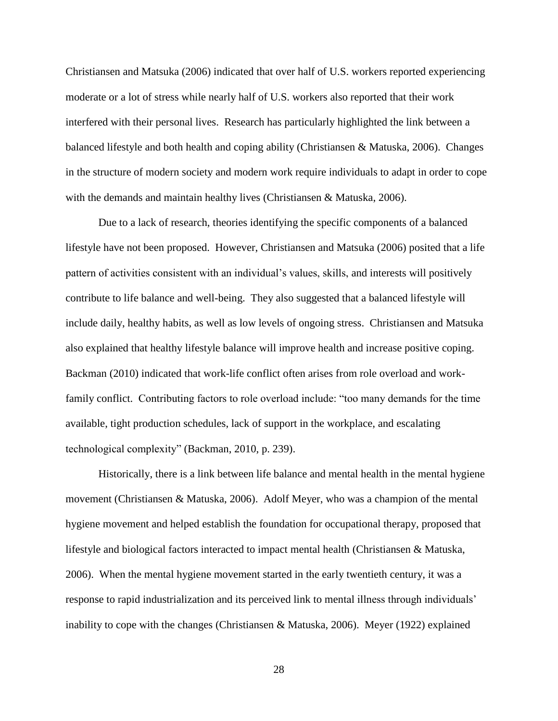Christiansen and Matsuka (2006) indicated that over half of U.S. workers reported experiencing moderate or a lot of stress while nearly half of U.S. workers also reported that their work interfered with their personal lives. Research has particularly highlighted the link between a balanced lifestyle and both health and coping ability (Christiansen & Matuska, 2006). Changes in the structure of modern society and modern work require individuals to adapt in order to cope with the demands and maintain healthy lives (Christiansen & Matuska, 2006).

Due to a lack of research, theories identifying the specific components of a balanced lifestyle have not been proposed. However, Christiansen and Matsuka (2006) posited that a life pattern of activities consistent with an individual's values, skills, and interests will positively contribute to life balance and well-being. They also suggested that a balanced lifestyle will include daily, healthy habits, as well as low levels of ongoing stress. Christiansen and Matsuka also explained that healthy lifestyle balance will improve health and increase positive coping. Backman (2010) indicated that work-life conflict often arises from role overload and workfamily conflict. Contributing factors to role overload include: "too many demands for the time available, tight production schedules, lack of support in the workplace, and escalating technological complexity" (Backman, 2010, p. 239).

Historically, there is a link between life balance and mental health in the mental hygiene movement (Christiansen & Matuska, 2006). Adolf Meyer, who was a champion of the mental hygiene movement and helped establish the foundation for occupational therapy, proposed that lifestyle and biological factors interacted to impact mental health (Christiansen & Matuska, 2006). When the mental hygiene movement started in the early twentieth century, it was a response to rapid industrialization and its perceived link to mental illness through individuals' inability to cope with the changes (Christiansen & Matuska, 2006). Meyer (1922) explained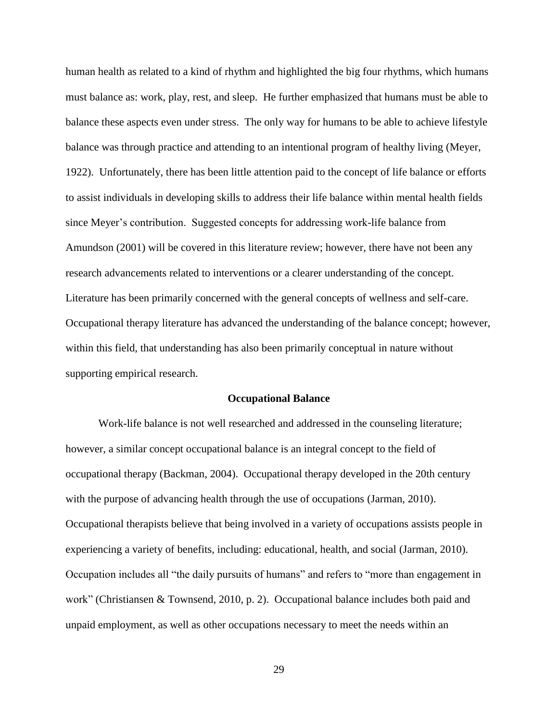human health as related to a kind of rhythm and highlighted the big four rhythms, which humans must balance as: work, play, rest, and sleep. He further emphasized that humans must be able to balance these aspects even under stress. The only way for humans to be able to achieve lifestyle balance was through practice and attending to an intentional program of healthy living (Meyer, 1922). Unfortunately, there has been little attention paid to the concept of life balance or efforts to assist individuals in developing skills to address their life balance within mental health fields since Meyer's contribution. Suggested concepts for addressing work-life balance from Amundson (2001) will be covered in this literature review; however, there have not been any research advancements related to interventions or a clearer understanding of the concept. Literature has been primarily concerned with the general concepts of wellness and self-care. Occupational therapy literature has advanced the understanding of the balance concept; however, within this field, that understanding has also been primarily conceptual in nature without supporting empirical research.

#### **Occupational Balance**

Work-life balance is not well researched and addressed in the counseling literature; however, a similar concept occupational balance is an integral concept to the field of occupational therapy (Backman, 2004). Occupational therapy developed in the 20th century with the purpose of advancing health through the use of occupations (Jarman, 2010). Occupational therapists believe that being involved in a variety of occupations assists people in experiencing a variety of benefits, including: educational, health, and social (Jarman, 2010). Occupation includes all "the daily pursuits of humans" and refers to "more than engagement in work" (Christiansen & Townsend, 2010, p. 2). Occupational balance includes both paid and unpaid employment, as well as other occupations necessary to meet the needs within an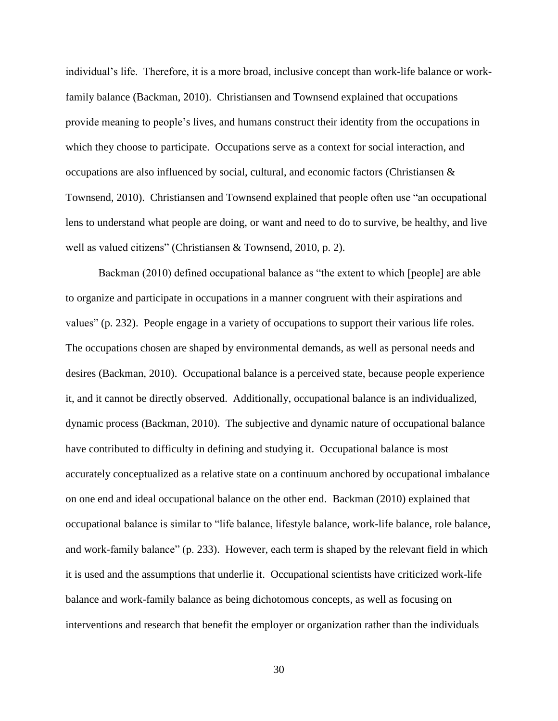individual's life. Therefore, it is a more broad, inclusive concept than work-life balance or workfamily balance (Backman, 2010). Christiansen and Townsend explained that occupations provide meaning to people's lives, and humans construct their identity from the occupations in which they choose to participate. Occupations serve as a context for social interaction, and occupations are also influenced by social, cultural, and economic factors (Christiansen & Townsend, 2010). Christiansen and Townsend explained that people often use "an occupational lens to understand what people are doing, or want and need to do to survive, be healthy, and live well as valued citizens" (Christiansen & Townsend, 2010, p. 2).

Backman (2010) defined occupational balance as "the extent to which [people] are able to organize and participate in occupations in a manner congruent with their aspirations and values" (p. 232). People engage in a variety of occupations to support their various life roles. The occupations chosen are shaped by environmental demands, as well as personal needs and desires (Backman, 2010). Occupational balance is a perceived state, because people experience it, and it cannot be directly observed. Additionally, occupational balance is an individualized, dynamic process (Backman, 2010). The subjective and dynamic nature of occupational balance have contributed to difficulty in defining and studying it. Occupational balance is most accurately conceptualized as a relative state on a continuum anchored by occupational imbalance on one end and ideal occupational balance on the other end. Backman (2010) explained that occupational balance is similar to "life balance, lifestyle balance, work-life balance, role balance, and work-family balance" (p. 233). However, each term is shaped by the relevant field in which it is used and the assumptions that underlie it. Occupational scientists have criticized work-life balance and work-family balance as being dichotomous concepts, as well as focusing on interventions and research that benefit the employer or organization rather than the individuals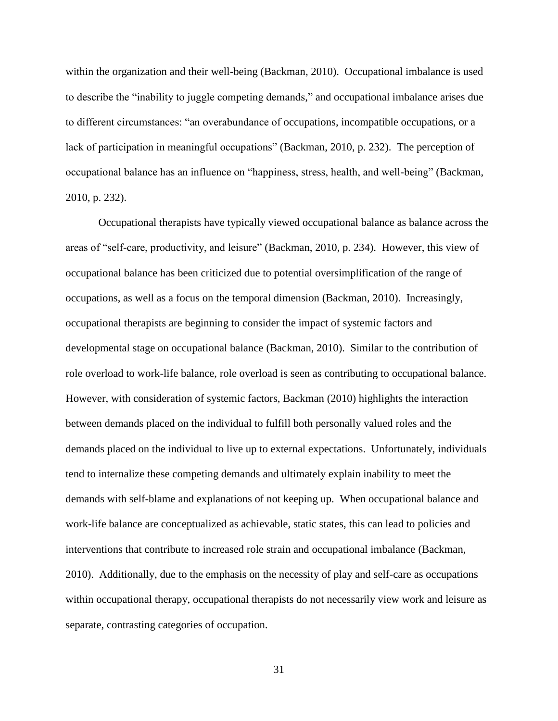within the organization and their well-being (Backman, 2010). Occupational imbalance is used to describe the "inability to juggle competing demands," and occupational imbalance arises due to different circumstances: "an overabundance of occupations, incompatible occupations, or a lack of participation in meaningful occupations" (Backman, 2010, p. 232). The perception of occupational balance has an influence on "happiness, stress, health, and well-being" (Backman, 2010, p. 232).

Occupational therapists have typically viewed occupational balance as balance across the areas of "self-care, productivity, and leisure" (Backman, 2010, p. 234). However, this view of occupational balance has been criticized due to potential oversimplification of the range of occupations, as well as a focus on the temporal dimension (Backman, 2010). Increasingly, occupational therapists are beginning to consider the impact of systemic factors and developmental stage on occupational balance (Backman, 2010). Similar to the contribution of role overload to work-life balance, role overload is seen as contributing to occupational balance. However, with consideration of systemic factors, Backman (2010) highlights the interaction between demands placed on the individual to fulfill both personally valued roles and the demands placed on the individual to live up to external expectations. Unfortunately, individuals tend to internalize these competing demands and ultimately explain inability to meet the demands with self-blame and explanations of not keeping up. When occupational balance and work-life balance are conceptualized as achievable, static states, this can lead to policies and interventions that contribute to increased role strain and occupational imbalance (Backman, 2010). Additionally, due to the emphasis on the necessity of play and self-care as occupations within occupational therapy, occupational therapists do not necessarily view work and leisure as separate, contrasting categories of occupation.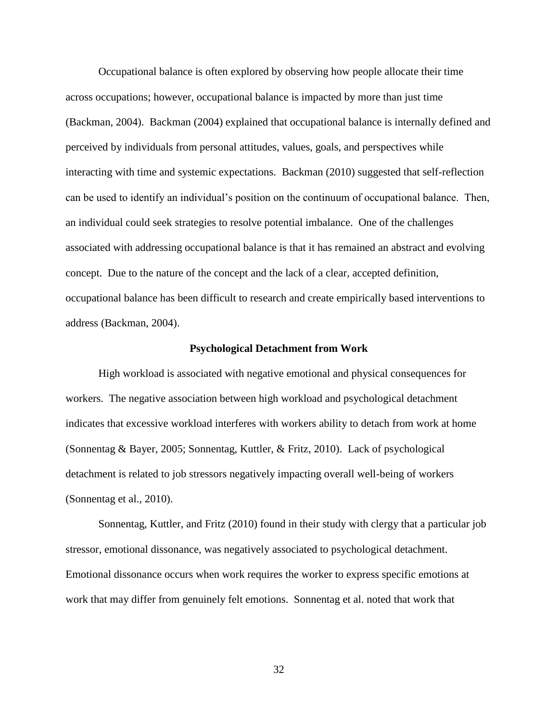Occupational balance is often explored by observing how people allocate their time across occupations; however, occupational balance is impacted by more than just time (Backman, 2004). Backman (2004) explained that occupational balance is internally defined and perceived by individuals from personal attitudes, values, goals, and perspectives while interacting with time and systemic expectations. Backman (2010) suggested that self-reflection can be used to identify an individual's position on the continuum of occupational balance. Then, an individual could seek strategies to resolve potential imbalance. One of the challenges associated with addressing occupational balance is that it has remained an abstract and evolving concept. Due to the nature of the concept and the lack of a clear, accepted definition, occupational balance has been difficult to research and create empirically based interventions to address (Backman, 2004).

### **Psychological Detachment from Work**

High workload is associated with negative emotional and physical consequences for workers. The negative association between high workload and psychological detachment indicates that excessive workload interferes with workers ability to detach from work at home (Sonnentag & Bayer, 2005; Sonnentag, Kuttler, & Fritz, 2010). Lack of psychological detachment is related to job stressors negatively impacting overall well-being of workers (Sonnentag et al., 2010).

Sonnentag, Kuttler, and Fritz (2010) found in their study with clergy that a particular job stressor, emotional dissonance, was negatively associated to psychological detachment. Emotional dissonance occurs when work requires the worker to express specific emotions at work that may differ from genuinely felt emotions. Sonnentag et al. noted that work that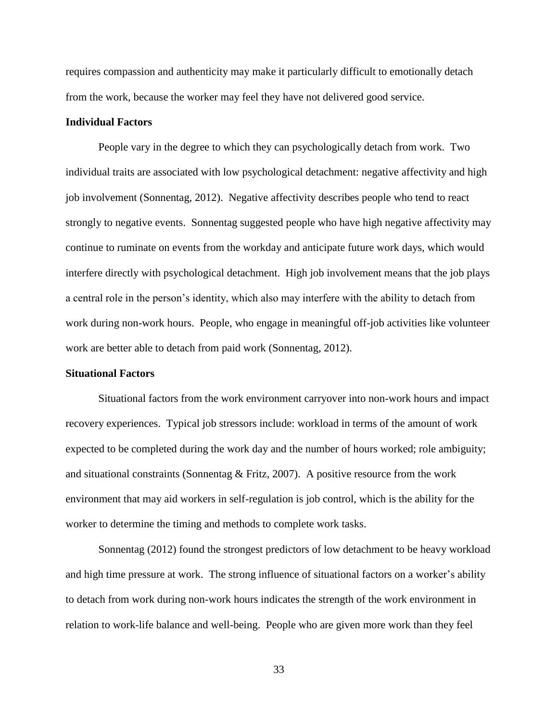requires compassion and authenticity may make it particularly difficult to emotionally detach from the work, because the worker may feel they have not delivered good service.

# **Individual Factors**

People vary in the degree to which they can psychologically detach from work. Two individual traits are associated with low psychological detachment: negative affectivity and high job involvement (Sonnentag, 2012). Negative affectivity describes people who tend to react strongly to negative events. Sonnentag suggested people who have high negative affectivity may continue to ruminate on events from the workday and anticipate future work days, which would interfere directly with psychological detachment. High job involvement means that the job plays a central role in the person's identity, which also may interfere with the ability to detach from work during non-work hours. People, who engage in meaningful off-job activities like volunteer work are better able to detach from paid work (Sonnentag, 2012).

## **Situational Factors**

Situational factors from the work environment carryover into non-work hours and impact recovery experiences. Typical job stressors include: workload in terms of the amount of work expected to be completed during the work day and the number of hours worked; role ambiguity; and situational constraints (Sonnentag  $&$  Fritz, 2007). A positive resource from the work environment that may aid workers in self-regulation is job control, which is the ability for the worker to determine the timing and methods to complete work tasks.

Sonnentag (2012) found the strongest predictors of low detachment to be heavy workload and high time pressure at work. The strong influence of situational factors on a worker's ability to detach from work during non-work hours indicates the strength of the work environment in relation to work-life balance and well-being. People who are given more work than they feel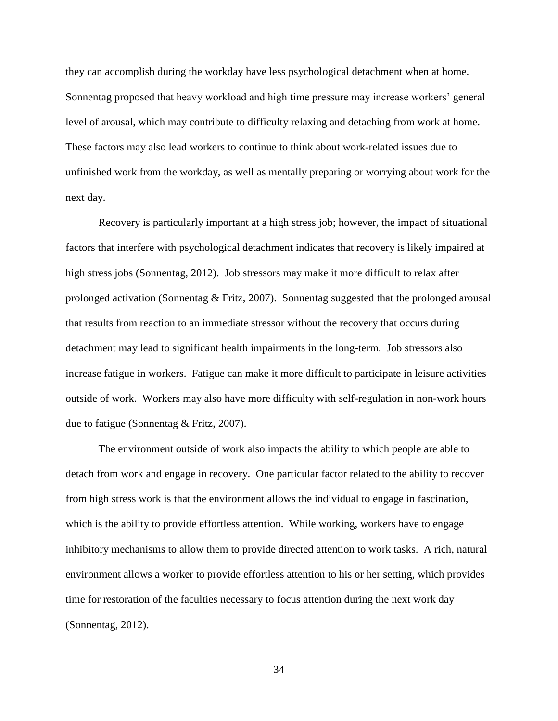they can accomplish during the workday have less psychological detachment when at home. Sonnentag proposed that heavy workload and high time pressure may increase workers' general level of arousal, which may contribute to difficulty relaxing and detaching from work at home. These factors may also lead workers to continue to think about work-related issues due to unfinished work from the workday, as well as mentally preparing or worrying about work for the next day.

Recovery is particularly important at a high stress job; however, the impact of situational factors that interfere with psychological detachment indicates that recovery is likely impaired at high stress jobs (Sonnentag, 2012). Job stressors may make it more difficult to relax after prolonged activation (Sonnentag & Fritz, 2007). Sonnentag suggested that the prolonged arousal that results from reaction to an immediate stressor without the recovery that occurs during detachment may lead to significant health impairments in the long-term. Job stressors also increase fatigue in workers. Fatigue can make it more difficult to participate in leisure activities outside of work. Workers may also have more difficulty with self-regulation in non-work hours due to fatigue (Sonnentag & Fritz, 2007).

The environment outside of work also impacts the ability to which people are able to detach from work and engage in recovery. One particular factor related to the ability to recover from high stress work is that the environment allows the individual to engage in fascination, which is the ability to provide effortless attention. While working, workers have to engage inhibitory mechanisms to allow them to provide directed attention to work tasks. A rich, natural environment allows a worker to provide effortless attention to his or her setting, which provides time for restoration of the faculties necessary to focus attention during the next work day (Sonnentag, 2012).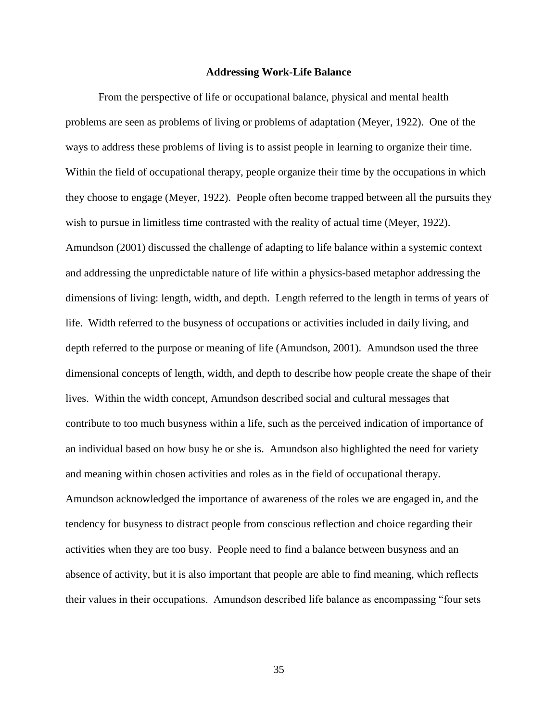#### **Addressing Work-Life Balance**

From the perspective of life or occupational balance, physical and mental health problems are seen as problems of living or problems of adaptation (Meyer, 1922). One of the ways to address these problems of living is to assist people in learning to organize their time. Within the field of occupational therapy, people organize their time by the occupations in which they choose to engage (Meyer, 1922). People often become trapped between all the pursuits they wish to pursue in limitless time contrasted with the reality of actual time (Meyer, 1922). Amundson (2001) discussed the challenge of adapting to life balance within a systemic context and addressing the unpredictable nature of life within a physics-based metaphor addressing the dimensions of living: length, width, and depth. Length referred to the length in terms of years of life. Width referred to the busyness of occupations or activities included in daily living, and depth referred to the purpose or meaning of life (Amundson, 2001). Amundson used the three dimensional concepts of length, width, and depth to describe how people create the shape of their lives. Within the width concept, Amundson described social and cultural messages that contribute to too much busyness within a life, such as the perceived indication of importance of an individual based on how busy he or she is. Amundson also highlighted the need for variety and meaning within chosen activities and roles as in the field of occupational therapy. Amundson acknowledged the importance of awareness of the roles we are engaged in, and the tendency for busyness to distract people from conscious reflection and choice regarding their activities when they are too busy. People need to find a balance between busyness and an absence of activity, but it is also important that people are able to find meaning, which reflects their values in their occupations. Amundson described life balance as encompassing "four sets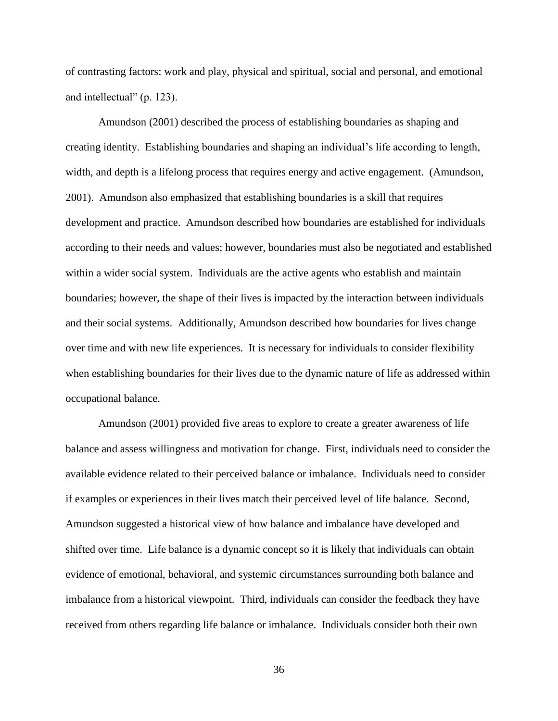of contrasting factors: work and play, physical and spiritual, social and personal, and emotional and intellectual" (p. 123).

Amundson (2001) described the process of establishing boundaries as shaping and creating identity. Establishing boundaries and shaping an individual's life according to length, width, and depth is a lifelong process that requires energy and active engagement. (Amundson, 2001). Amundson also emphasized that establishing boundaries is a skill that requires development and practice. Amundson described how boundaries are established for individuals according to their needs and values; however, boundaries must also be negotiated and established within a wider social system. Individuals are the active agents who establish and maintain boundaries; however, the shape of their lives is impacted by the interaction between individuals and their social systems. Additionally, Amundson described how boundaries for lives change over time and with new life experiences. It is necessary for individuals to consider flexibility when establishing boundaries for their lives due to the dynamic nature of life as addressed within occupational balance.

Amundson (2001) provided five areas to explore to create a greater awareness of life balance and assess willingness and motivation for change. First, individuals need to consider the available evidence related to their perceived balance or imbalance. Individuals need to consider if examples or experiences in their lives match their perceived level of life balance. Second, Amundson suggested a historical view of how balance and imbalance have developed and shifted over time. Life balance is a dynamic concept so it is likely that individuals can obtain evidence of emotional, behavioral, and systemic circumstances surrounding both balance and imbalance from a historical viewpoint. Third, individuals can consider the feedback they have received from others regarding life balance or imbalance. Individuals consider both their own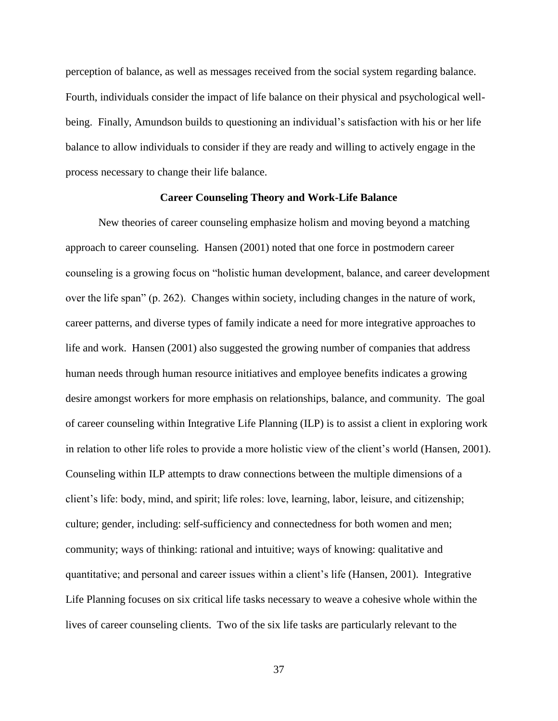perception of balance, as well as messages received from the social system regarding balance. Fourth, individuals consider the impact of life balance on their physical and psychological wellbeing. Finally, Amundson builds to questioning an individual's satisfaction with his or her life balance to allow individuals to consider if they are ready and willing to actively engage in the process necessary to change their life balance.

### **Career Counseling Theory and Work-Life Balance**

New theories of career counseling emphasize holism and moving beyond a matching approach to career counseling. Hansen (2001) noted that one force in postmodern career counseling is a growing focus on "holistic human development, balance, and career development over the life span" (p. 262). Changes within society, including changes in the nature of work, career patterns, and diverse types of family indicate a need for more integrative approaches to life and work. Hansen (2001) also suggested the growing number of companies that address human needs through human resource initiatives and employee benefits indicates a growing desire amongst workers for more emphasis on relationships, balance, and community. The goal of career counseling within Integrative Life Planning (ILP) is to assist a client in exploring work in relation to other life roles to provide a more holistic view of the client's world (Hansen, 2001). Counseling within ILP attempts to draw connections between the multiple dimensions of a client's life: body, mind, and spirit; life roles: love, learning, labor, leisure, and citizenship; culture; gender, including: self-sufficiency and connectedness for both women and men; community; ways of thinking: rational and intuitive; ways of knowing: qualitative and quantitative; and personal and career issues within a client's life (Hansen, 2001). Integrative Life Planning focuses on six critical life tasks necessary to weave a cohesive whole within the lives of career counseling clients. Two of the six life tasks are particularly relevant to the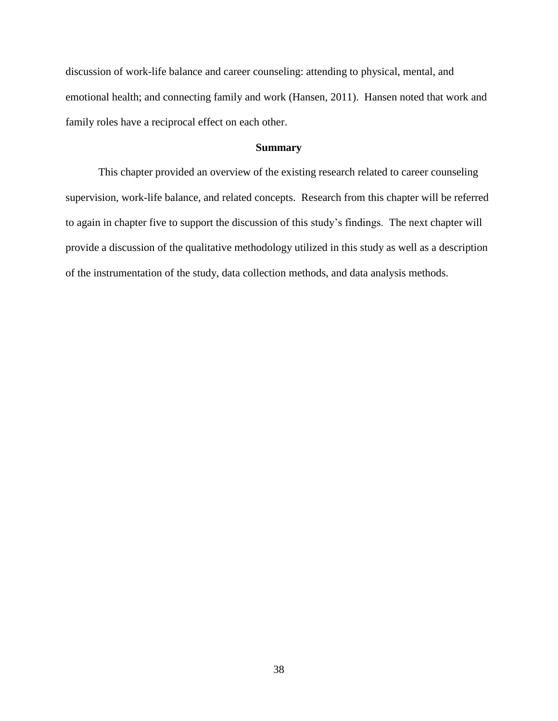discussion of work-life balance and career counseling: attending to physical, mental, and emotional health; and connecting family and work (Hansen, 2011). Hansen noted that work and family roles have a reciprocal effect on each other.

# **Summary**

This chapter provided an overview of the existing research related to career counseling supervision, work-life balance, and related concepts. Research from this chapter will be referred to again in chapter five to support the discussion of this study's findings. The next chapter will provide a discussion of the qualitative methodology utilized in this study as well as a description of the instrumentation of the study, data collection methods, and data analysis methods.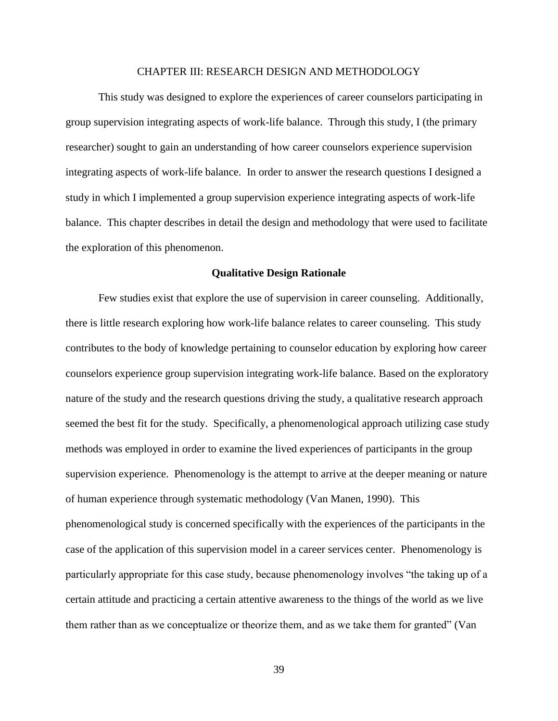#### CHAPTER III: RESEARCH DESIGN AND METHODOLOGY

This study was designed to explore the experiences of career counselors participating in group supervision integrating aspects of work-life balance. Through this study, I (the primary researcher) sought to gain an understanding of how career counselors experience supervision integrating aspects of work-life balance. In order to answer the research questions I designed a study in which I implemented a group supervision experience integrating aspects of work-life balance. This chapter describes in detail the design and methodology that were used to facilitate the exploration of this phenomenon.

#### **Qualitative Design Rationale**

Few studies exist that explore the use of supervision in career counseling. Additionally, there is little research exploring how work-life balance relates to career counseling. This study contributes to the body of knowledge pertaining to counselor education by exploring how career counselors experience group supervision integrating work-life balance. Based on the exploratory nature of the study and the research questions driving the study, a qualitative research approach seemed the best fit for the study. Specifically, a phenomenological approach utilizing case study methods was employed in order to examine the lived experiences of participants in the group supervision experience. Phenomenology is the attempt to arrive at the deeper meaning or nature of human experience through systematic methodology (Van Manen, 1990). This phenomenological study is concerned specifically with the experiences of the participants in the case of the application of this supervision model in a career services center. Phenomenology is particularly appropriate for this case study, because phenomenology involves "the taking up of a certain attitude and practicing a certain attentive awareness to the things of the world as we live them rather than as we conceptualize or theorize them, and as we take them for granted" (Van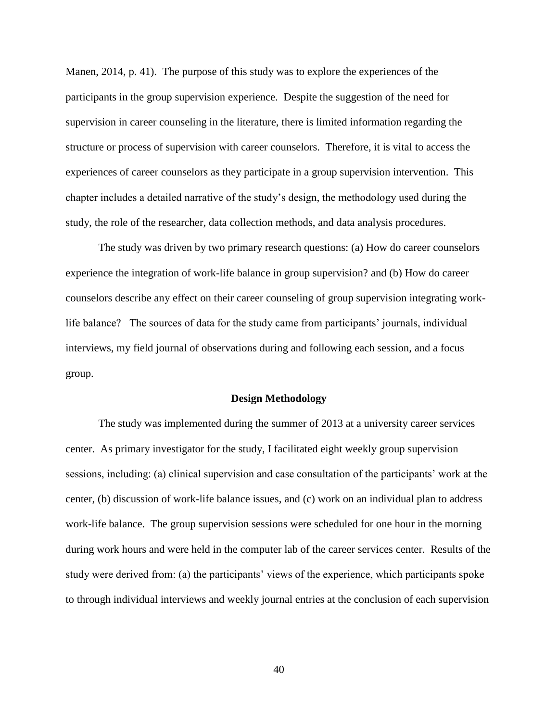Manen, 2014, p. 41). The purpose of this study was to explore the experiences of the participants in the group supervision experience. Despite the suggestion of the need for supervision in career counseling in the literature, there is limited information regarding the structure or process of supervision with career counselors. Therefore, it is vital to access the experiences of career counselors as they participate in a group supervision intervention. This chapter includes a detailed narrative of the study's design, the methodology used during the study, the role of the researcher, data collection methods, and data analysis procedures.

The study was driven by two primary research questions: (a) How do career counselors experience the integration of work-life balance in group supervision? and (b) How do career counselors describe any effect on their career counseling of group supervision integrating worklife balance? The sources of data for the study came from participants' journals, individual interviews, my field journal of observations during and following each session, and a focus group.

## **Design Methodology**

The study was implemented during the summer of 2013 at a university career services center. As primary investigator for the study, I facilitated eight weekly group supervision sessions, including: (a) clinical supervision and case consultation of the participants' work at the center, (b) discussion of work-life balance issues, and (c) work on an individual plan to address work-life balance. The group supervision sessions were scheduled for one hour in the morning during work hours and were held in the computer lab of the career services center. Results of the study were derived from: (a) the participants' views of the experience, which participants spoke to through individual interviews and weekly journal entries at the conclusion of each supervision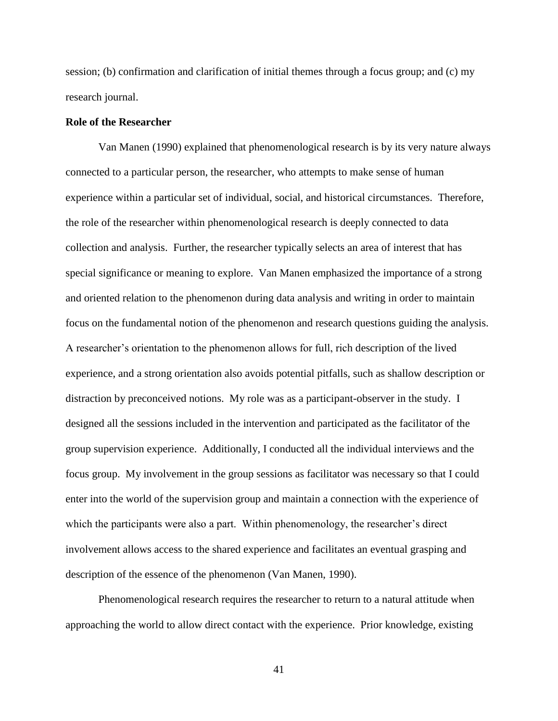session; (b) confirmation and clarification of initial themes through a focus group; and (c) my research journal.

# **Role of the Researcher**

Van Manen (1990) explained that phenomenological research is by its very nature always connected to a particular person, the researcher, who attempts to make sense of human experience within a particular set of individual, social, and historical circumstances. Therefore, the role of the researcher within phenomenological research is deeply connected to data collection and analysis. Further, the researcher typically selects an area of interest that has special significance or meaning to explore. Van Manen emphasized the importance of a strong and oriented relation to the phenomenon during data analysis and writing in order to maintain focus on the fundamental notion of the phenomenon and research questions guiding the analysis. A researcher's orientation to the phenomenon allows for full, rich description of the lived experience, and a strong orientation also avoids potential pitfalls, such as shallow description or distraction by preconceived notions. My role was as a participant-observer in the study. I designed all the sessions included in the intervention and participated as the facilitator of the group supervision experience. Additionally, I conducted all the individual interviews and the focus group. My involvement in the group sessions as facilitator was necessary so that I could enter into the world of the supervision group and maintain a connection with the experience of which the participants were also a part. Within phenomenology, the researcher's direct involvement allows access to the shared experience and facilitates an eventual grasping and description of the essence of the phenomenon (Van Manen, 1990).

Phenomenological research requires the researcher to return to a natural attitude when approaching the world to allow direct contact with the experience. Prior knowledge, existing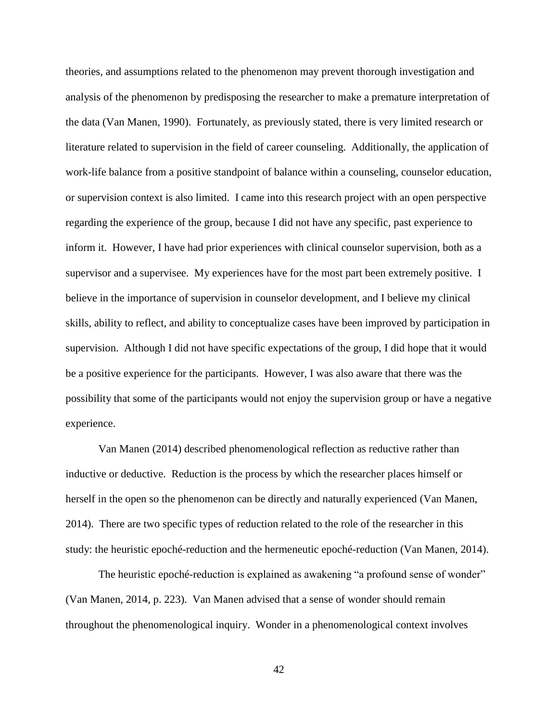theories, and assumptions related to the phenomenon may prevent thorough investigation and analysis of the phenomenon by predisposing the researcher to make a premature interpretation of the data (Van Manen, 1990). Fortunately, as previously stated, there is very limited research or literature related to supervision in the field of career counseling. Additionally, the application of work-life balance from a positive standpoint of balance within a counseling, counselor education, or supervision context is also limited. I came into this research project with an open perspective regarding the experience of the group, because I did not have any specific, past experience to inform it. However, I have had prior experiences with clinical counselor supervision, both as a supervisor and a supervisee. My experiences have for the most part been extremely positive. I believe in the importance of supervision in counselor development, and I believe my clinical skills, ability to reflect, and ability to conceptualize cases have been improved by participation in supervision. Although I did not have specific expectations of the group, I did hope that it would be a positive experience for the participants. However, I was also aware that there was the possibility that some of the participants would not enjoy the supervision group or have a negative experience.

Van Manen (2014) described phenomenological reflection as reductive rather than inductive or deductive. Reduction is the process by which the researcher places himself or herself in the open so the phenomenon can be directly and naturally experienced (Van Manen, 2014). There are two specific types of reduction related to the role of the researcher in this study: the heuristic epoché-reduction and the hermeneutic epoché-reduction (Van Manen, 2014).

The heuristic epoché-reduction is explained as awakening "a profound sense of wonder" (Van Manen, 2014, p. 223). Van Manen advised that a sense of wonder should remain throughout the phenomenological inquiry. Wonder in a phenomenological context involves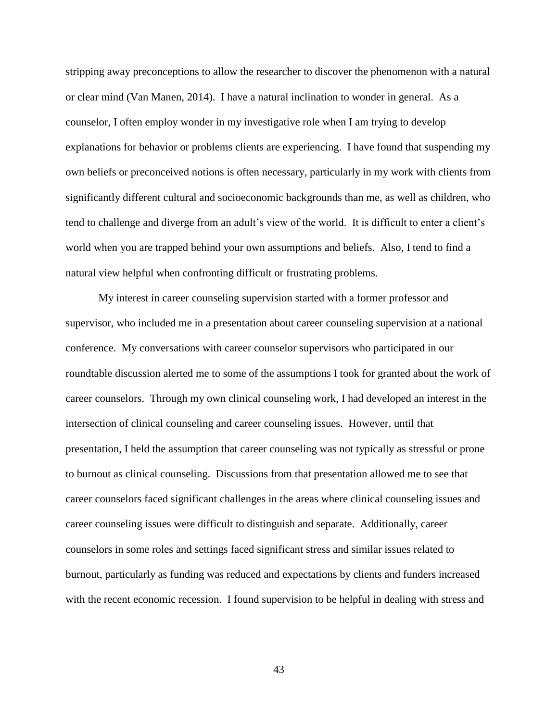stripping away preconceptions to allow the researcher to discover the phenomenon with a natural or clear mind (Van Manen, 2014). I have a natural inclination to wonder in general. As a counselor, I often employ wonder in my investigative role when I am trying to develop explanations for behavior or problems clients are experiencing. I have found that suspending my own beliefs or preconceived notions is often necessary, particularly in my work with clients from significantly different cultural and socioeconomic backgrounds than me, as well as children, who tend to challenge and diverge from an adult's view of the world. It is difficult to enter a client's world when you are trapped behind your own assumptions and beliefs. Also, I tend to find a natural view helpful when confronting difficult or frustrating problems.

My interest in career counseling supervision started with a former professor and supervisor, who included me in a presentation about career counseling supervision at a national conference. My conversations with career counselor supervisors who participated in our roundtable discussion alerted me to some of the assumptions I took for granted about the work of career counselors. Through my own clinical counseling work, I had developed an interest in the intersection of clinical counseling and career counseling issues. However, until that presentation, I held the assumption that career counseling was not typically as stressful or prone to burnout as clinical counseling. Discussions from that presentation allowed me to see that career counselors faced significant challenges in the areas where clinical counseling issues and career counseling issues were difficult to distinguish and separate. Additionally, career counselors in some roles and settings faced significant stress and similar issues related to burnout, particularly as funding was reduced and expectations by clients and funders increased with the recent economic recession. I found supervision to be helpful in dealing with stress and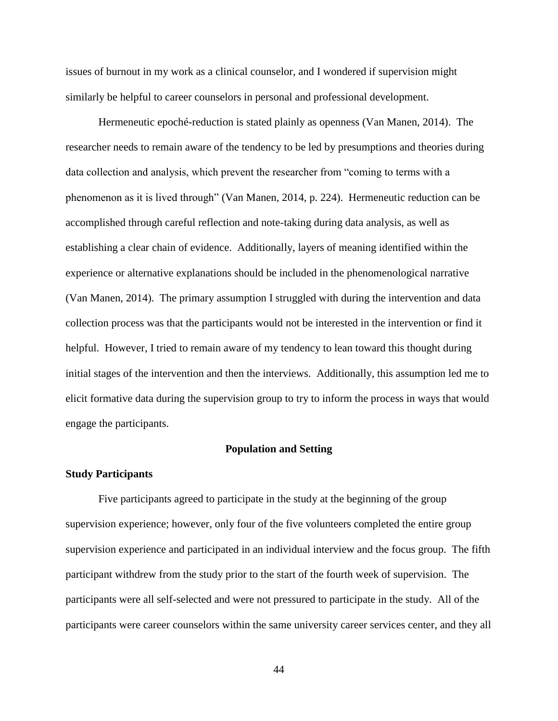issues of burnout in my work as a clinical counselor, and I wondered if supervision might similarly be helpful to career counselors in personal and professional development.

Hermeneutic epoché-reduction is stated plainly as openness (Van Manen, 2014). The researcher needs to remain aware of the tendency to be led by presumptions and theories during data collection and analysis, which prevent the researcher from "coming to terms with a phenomenon as it is lived through" (Van Manen, 2014, p. 224). Hermeneutic reduction can be accomplished through careful reflection and note-taking during data analysis, as well as establishing a clear chain of evidence. Additionally, layers of meaning identified within the experience or alternative explanations should be included in the phenomenological narrative (Van Manen, 2014). The primary assumption I struggled with during the intervention and data collection process was that the participants would not be interested in the intervention or find it helpful. However, I tried to remain aware of my tendency to lean toward this thought during initial stages of the intervention and then the interviews. Additionally, this assumption led me to elicit formative data during the supervision group to try to inform the process in ways that would engage the participants.

#### **Population and Setting**

#### **Study Participants**

Five participants agreed to participate in the study at the beginning of the group supervision experience; however, only four of the five volunteers completed the entire group supervision experience and participated in an individual interview and the focus group. The fifth participant withdrew from the study prior to the start of the fourth week of supervision. The participants were all self-selected and were not pressured to participate in the study. All of the participants were career counselors within the same university career services center, and they all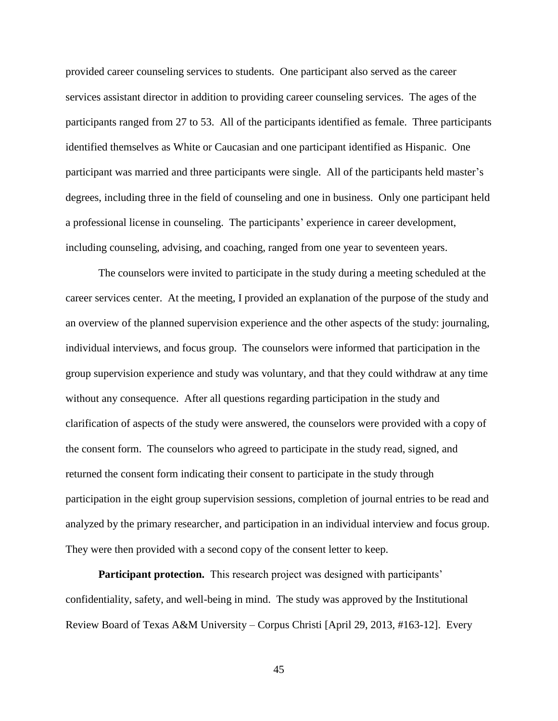provided career counseling services to students. One participant also served as the career services assistant director in addition to providing career counseling services. The ages of the participants ranged from 27 to 53. All of the participants identified as female. Three participants identified themselves as White or Caucasian and one participant identified as Hispanic. One participant was married and three participants were single. All of the participants held master's degrees, including three in the field of counseling and one in business. Only one participant held a professional license in counseling. The participants' experience in career development, including counseling, advising, and coaching, ranged from one year to seventeen years.

The counselors were invited to participate in the study during a meeting scheduled at the career services center. At the meeting, I provided an explanation of the purpose of the study and an overview of the planned supervision experience and the other aspects of the study: journaling, individual interviews, and focus group. The counselors were informed that participation in the group supervision experience and study was voluntary, and that they could withdraw at any time without any consequence. After all questions regarding participation in the study and clarification of aspects of the study were answered, the counselors were provided with a copy of the consent form. The counselors who agreed to participate in the study read, signed, and returned the consent form indicating their consent to participate in the study through participation in the eight group supervision sessions, completion of journal entries to be read and analyzed by the primary researcher, and participation in an individual interview and focus group. They were then provided with a second copy of the consent letter to keep.

**Participant protection.** This research project was designed with participants' confidentiality, safety, and well-being in mind. The study was approved by the Institutional Review Board of Texas A&M University – Corpus Christi [April 29, 2013, #163-12]. Every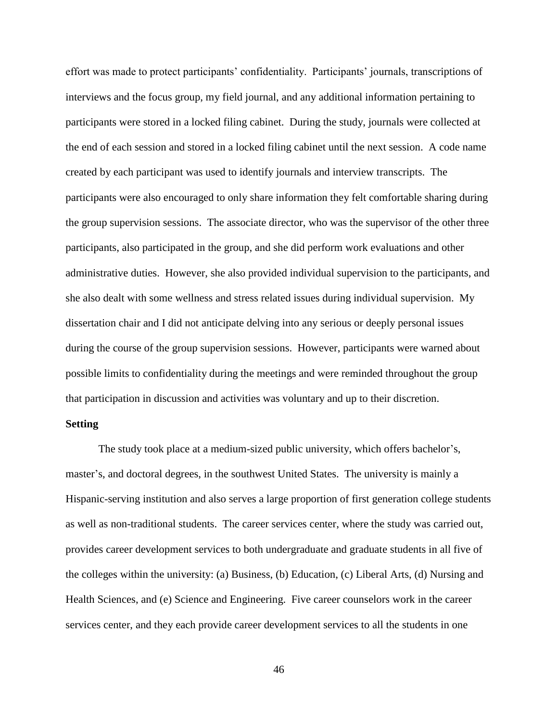effort was made to protect participants' confidentiality. Participants' journals, transcriptions of interviews and the focus group, my field journal, and any additional information pertaining to participants were stored in a locked filing cabinet. During the study, journals were collected at the end of each session and stored in a locked filing cabinet until the next session. A code name created by each participant was used to identify journals and interview transcripts. The participants were also encouraged to only share information they felt comfortable sharing during the group supervision sessions. The associate director, who was the supervisor of the other three participants, also participated in the group, and she did perform work evaluations and other administrative duties. However, she also provided individual supervision to the participants, and she also dealt with some wellness and stress related issues during individual supervision. My dissertation chair and I did not anticipate delving into any serious or deeply personal issues during the course of the group supervision sessions. However, participants were warned about possible limits to confidentiality during the meetings and were reminded throughout the group that participation in discussion and activities was voluntary and up to their discretion.

## **Setting**

The study took place at a medium-sized public university, which offers bachelor's, master's, and doctoral degrees, in the southwest United States. The university is mainly a Hispanic-serving institution and also serves a large proportion of first generation college students as well as non-traditional students. The career services center, where the study was carried out, provides career development services to both undergraduate and graduate students in all five of the colleges within the university: (a) Business, (b) Education, (c) Liberal Arts, (d) Nursing and Health Sciences, and (e) Science and Engineering. Five career counselors work in the career services center, and they each provide career development services to all the students in one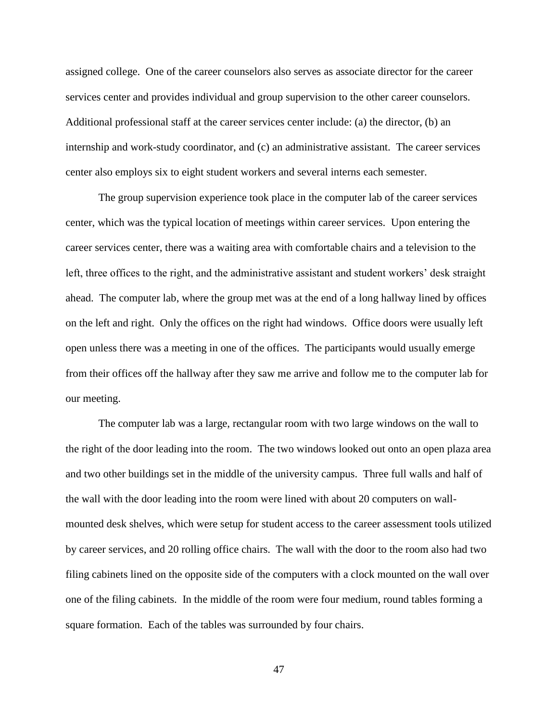assigned college. One of the career counselors also serves as associate director for the career services center and provides individual and group supervision to the other career counselors. Additional professional staff at the career services center include: (a) the director, (b) an internship and work-study coordinator, and (c) an administrative assistant. The career services center also employs six to eight student workers and several interns each semester.

The group supervision experience took place in the computer lab of the career services center, which was the typical location of meetings within career services. Upon entering the career services center, there was a waiting area with comfortable chairs and a television to the left, three offices to the right, and the administrative assistant and student workers' desk straight ahead. The computer lab, where the group met was at the end of a long hallway lined by offices on the left and right. Only the offices on the right had windows. Office doors were usually left open unless there was a meeting in one of the offices. The participants would usually emerge from their offices off the hallway after they saw me arrive and follow me to the computer lab for our meeting.

The computer lab was a large, rectangular room with two large windows on the wall to the right of the door leading into the room. The two windows looked out onto an open plaza area and two other buildings set in the middle of the university campus. Three full walls and half of the wall with the door leading into the room were lined with about 20 computers on wallmounted desk shelves, which were setup for student access to the career assessment tools utilized by career services, and 20 rolling office chairs. The wall with the door to the room also had two filing cabinets lined on the opposite side of the computers with a clock mounted on the wall over one of the filing cabinets. In the middle of the room were four medium, round tables forming a square formation. Each of the tables was surrounded by four chairs.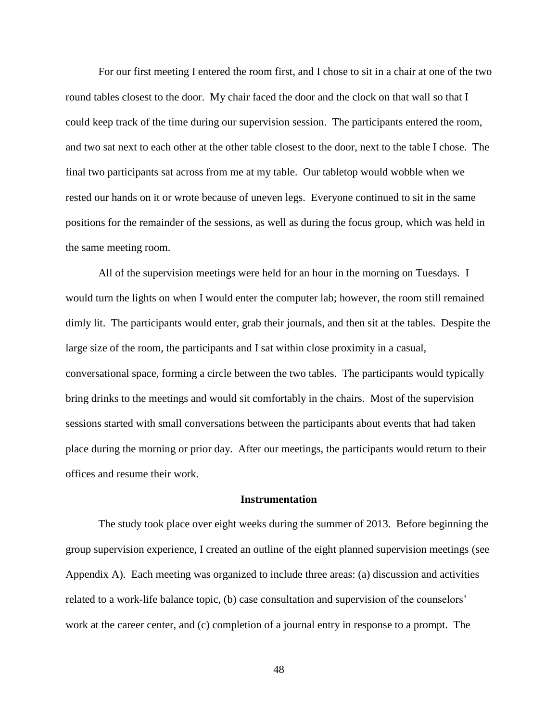For our first meeting I entered the room first, and I chose to sit in a chair at one of the two round tables closest to the door. My chair faced the door and the clock on that wall so that I could keep track of the time during our supervision session. The participants entered the room, and two sat next to each other at the other table closest to the door, next to the table I chose. The final two participants sat across from me at my table. Our tabletop would wobble when we rested our hands on it or wrote because of uneven legs. Everyone continued to sit in the same positions for the remainder of the sessions, as well as during the focus group, which was held in the same meeting room.

All of the supervision meetings were held for an hour in the morning on Tuesdays. I would turn the lights on when I would enter the computer lab; however, the room still remained dimly lit. The participants would enter, grab their journals, and then sit at the tables. Despite the large size of the room, the participants and I sat within close proximity in a casual, conversational space, forming a circle between the two tables. The participants would typically bring drinks to the meetings and would sit comfortably in the chairs. Most of the supervision sessions started with small conversations between the participants about events that had taken place during the morning or prior day. After our meetings, the participants would return to their offices and resume their work.

## **Instrumentation**

The study took place over eight weeks during the summer of 2013. Before beginning the group supervision experience, I created an outline of the eight planned supervision meetings (see Appendix A). Each meeting was organized to include three areas: (a) discussion and activities related to a work-life balance topic, (b) case consultation and supervision of the counselors' work at the career center, and (c) completion of a journal entry in response to a prompt. The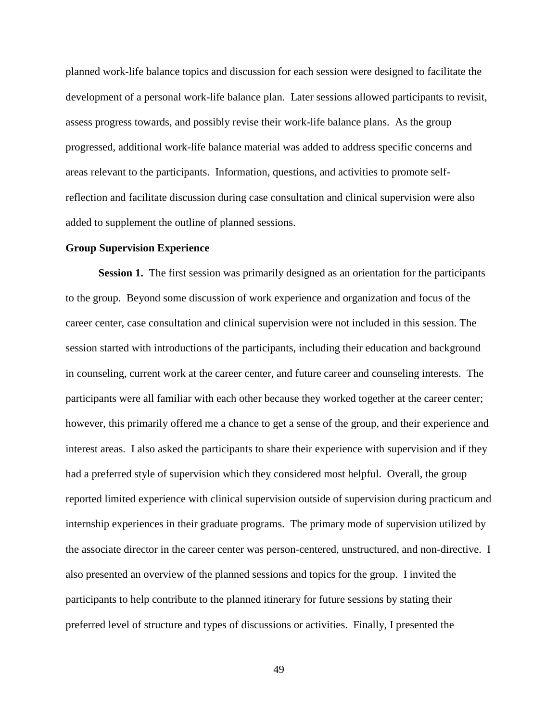planned work-life balance topics and discussion for each session were designed to facilitate the development of a personal work-life balance plan. Later sessions allowed participants to revisit, assess progress towards, and possibly revise their work-life balance plans. As the group progressed, additional work-life balance material was added to address specific concerns and areas relevant to the participants. Information, questions, and activities to promote selfreflection and facilitate discussion during case consultation and clinical supervision were also added to supplement the outline of planned sessions.

#### **Group Supervision Experience**

**Session 1.** The first session was primarily designed as an orientation for the participants to the group. Beyond some discussion of work experience and organization and focus of the career center, case consultation and clinical supervision were not included in this session. The session started with introductions of the participants, including their education and background in counseling, current work at the career center, and future career and counseling interests. The participants were all familiar with each other because they worked together at the career center; however, this primarily offered me a chance to get a sense of the group, and their experience and interest areas. I also asked the participants to share their experience with supervision and if they had a preferred style of supervision which they considered most helpful. Overall, the group reported limited experience with clinical supervision outside of supervision during practicum and internship experiences in their graduate programs. The primary mode of supervision utilized by the associate director in the career center was person-centered, unstructured, and non-directive. I also presented an overview of the planned sessions and topics for the group. I invited the participants to help contribute to the planned itinerary for future sessions by stating their preferred level of structure and types of discussions or activities. Finally, I presented the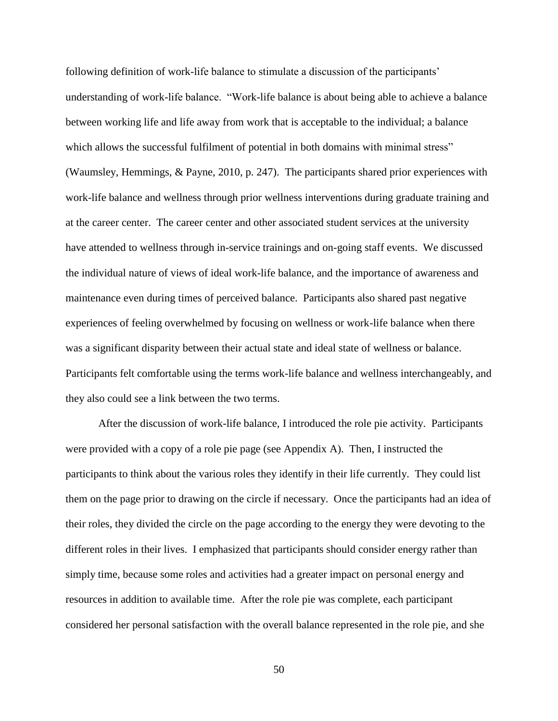following definition of work-life balance to stimulate a discussion of the participants' understanding of work-life balance. "Work-life balance is about being able to achieve a balance between working life and life away from work that is acceptable to the individual; a balance which allows the successful fulfilment of potential in both domains with minimal stress" (Waumsley, Hemmings, & Payne, 2010, p. 247). The participants shared prior experiences with work-life balance and wellness through prior wellness interventions during graduate training and at the career center. The career center and other associated student services at the university have attended to wellness through in-service trainings and on-going staff events. We discussed the individual nature of views of ideal work-life balance, and the importance of awareness and maintenance even during times of perceived balance. Participants also shared past negative experiences of feeling overwhelmed by focusing on wellness or work-life balance when there was a significant disparity between their actual state and ideal state of wellness or balance. Participants felt comfortable using the terms work-life balance and wellness interchangeably, and they also could see a link between the two terms.

After the discussion of work-life balance, I introduced the role pie activity. Participants were provided with a copy of a role pie page (see Appendix A). Then, I instructed the participants to think about the various roles they identify in their life currently. They could list them on the page prior to drawing on the circle if necessary. Once the participants had an idea of their roles, they divided the circle on the page according to the energy they were devoting to the different roles in their lives. I emphasized that participants should consider energy rather than simply time, because some roles and activities had a greater impact on personal energy and resources in addition to available time. After the role pie was complete, each participant considered her personal satisfaction with the overall balance represented in the role pie, and she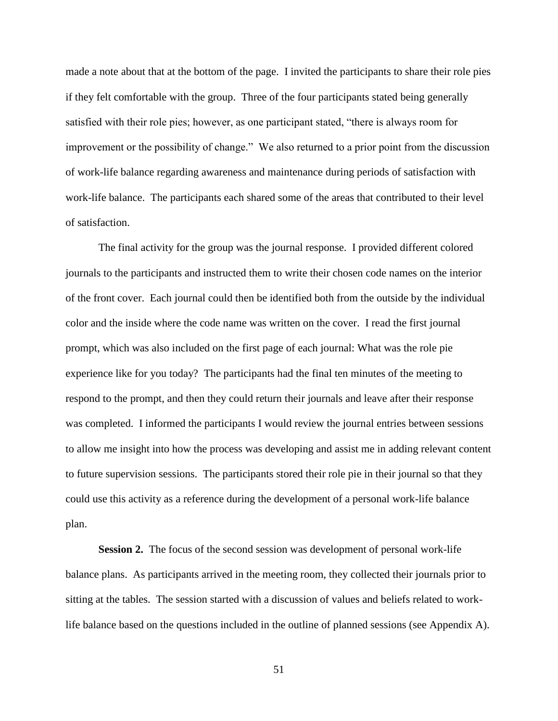made a note about that at the bottom of the page. I invited the participants to share their role pies if they felt comfortable with the group. Three of the four participants stated being generally satisfied with their role pies; however, as one participant stated, "there is always room for improvement or the possibility of change." We also returned to a prior point from the discussion of work-life balance regarding awareness and maintenance during periods of satisfaction with work-life balance. The participants each shared some of the areas that contributed to their level of satisfaction.

The final activity for the group was the journal response. I provided different colored journals to the participants and instructed them to write their chosen code names on the interior of the front cover. Each journal could then be identified both from the outside by the individual color and the inside where the code name was written on the cover. I read the first journal prompt, which was also included on the first page of each journal: What was the role pie experience like for you today? The participants had the final ten minutes of the meeting to respond to the prompt, and then they could return their journals and leave after their response was completed. I informed the participants I would review the journal entries between sessions to allow me insight into how the process was developing and assist me in adding relevant content to future supervision sessions. The participants stored their role pie in their journal so that they could use this activity as a reference during the development of a personal work-life balance plan.

**Session 2.** The focus of the second session was development of personal work-life balance plans. As participants arrived in the meeting room, they collected their journals prior to sitting at the tables. The session started with a discussion of values and beliefs related to worklife balance based on the questions included in the outline of planned sessions (see Appendix A).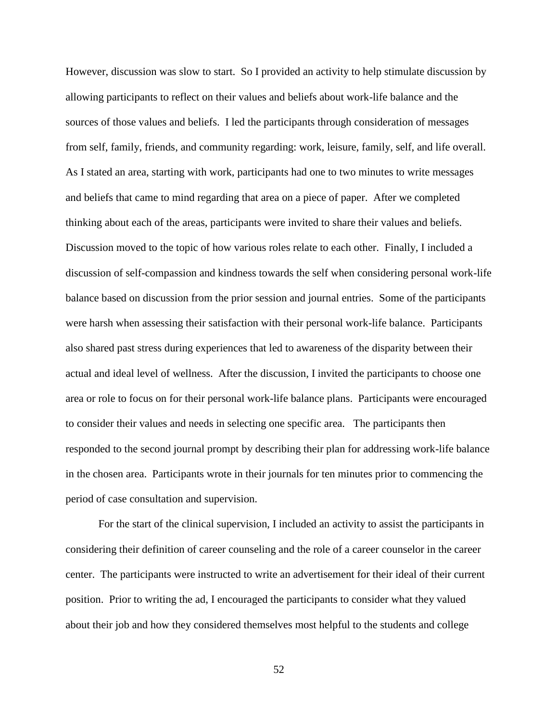However, discussion was slow to start. So I provided an activity to help stimulate discussion by allowing participants to reflect on their values and beliefs about work-life balance and the sources of those values and beliefs. I led the participants through consideration of messages from self, family, friends, and community regarding: work, leisure, family, self, and life overall. As I stated an area, starting with work, participants had one to two minutes to write messages and beliefs that came to mind regarding that area on a piece of paper. After we completed thinking about each of the areas, participants were invited to share their values and beliefs. Discussion moved to the topic of how various roles relate to each other. Finally, I included a discussion of self-compassion and kindness towards the self when considering personal work-life balance based on discussion from the prior session and journal entries. Some of the participants were harsh when assessing their satisfaction with their personal work-life balance. Participants also shared past stress during experiences that led to awareness of the disparity between their actual and ideal level of wellness. After the discussion, I invited the participants to choose one area or role to focus on for their personal work-life balance plans. Participants were encouraged to consider their values and needs in selecting one specific area. The participants then responded to the second journal prompt by describing their plan for addressing work-life balance in the chosen area. Participants wrote in their journals for ten minutes prior to commencing the period of case consultation and supervision.

For the start of the clinical supervision, I included an activity to assist the participants in considering their definition of career counseling and the role of a career counselor in the career center. The participants were instructed to write an advertisement for their ideal of their current position. Prior to writing the ad, I encouraged the participants to consider what they valued about their job and how they considered themselves most helpful to the students and college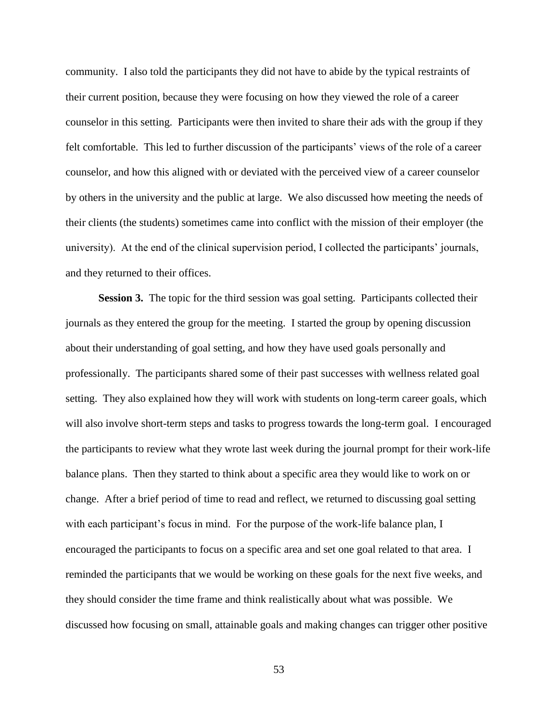community. I also told the participants they did not have to abide by the typical restraints of their current position, because they were focusing on how they viewed the role of a career counselor in this setting. Participants were then invited to share their ads with the group if they felt comfortable. This led to further discussion of the participants' views of the role of a career counselor, and how this aligned with or deviated with the perceived view of a career counselor by others in the university and the public at large. We also discussed how meeting the needs of their clients (the students) sometimes came into conflict with the mission of their employer (the university). At the end of the clinical supervision period, I collected the participants' journals, and they returned to their offices.

**Session 3.** The topic for the third session was goal setting. Participants collected their journals as they entered the group for the meeting. I started the group by opening discussion about their understanding of goal setting, and how they have used goals personally and professionally. The participants shared some of their past successes with wellness related goal setting. They also explained how they will work with students on long-term career goals, which will also involve short-term steps and tasks to progress towards the long-term goal. I encouraged the participants to review what they wrote last week during the journal prompt for their work-life balance plans. Then they started to think about a specific area they would like to work on or change. After a brief period of time to read and reflect, we returned to discussing goal setting with each participant's focus in mind. For the purpose of the work-life balance plan, I encouraged the participants to focus on a specific area and set one goal related to that area. I reminded the participants that we would be working on these goals for the next five weeks, and they should consider the time frame and think realistically about what was possible. We discussed how focusing on small, attainable goals and making changes can trigger other positive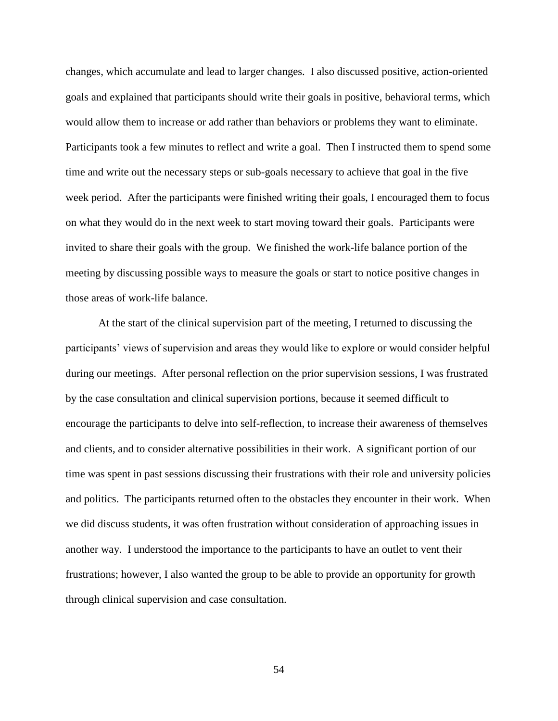changes, which accumulate and lead to larger changes. I also discussed positive, action-oriented goals and explained that participants should write their goals in positive, behavioral terms, which would allow them to increase or add rather than behaviors or problems they want to eliminate. Participants took a few minutes to reflect and write a goal. Then I instructed them to spend some time and write out the necessary steps or sub-goals necessary to achieve that goal in the five week period. After the participants were finished writing their goals, I encouraged them to focus on what they would do in the next week to start moving toward their goals. Participants were invited to share their goals with the group. We finished the work-life balance portion of the meeting by discussing possible ways to measure the goals or start to notice positive changes in those areas of work-life balance.

At the start of the clinical supervision part of the meeting, I returned to discussing the participants' views of supervision and areas they would like to explore or would consider helpful during our meetings. After personal reflection on the prior supervision sessions, I was frustrated by the case consultation and clinical supervision portions, because it seemed difficult to encourage the participants to delve into self-reflection, to increase their awareness of themselves and clients, and to consider alternative possibilities in their work. A significant portion of our time was spent in past sessions discussing their frustrations with their role and university policies and politics. The participants returned often to the obstacles they encounter in their work. When we did discuss students, it was often frustration without consideration of approaching issues in another way. I understood the importance to the participants to have an outlet to vent their frustrations; however, I also wanted the group to be able to provide an opportunity for growth through clinical supervision and case consultation.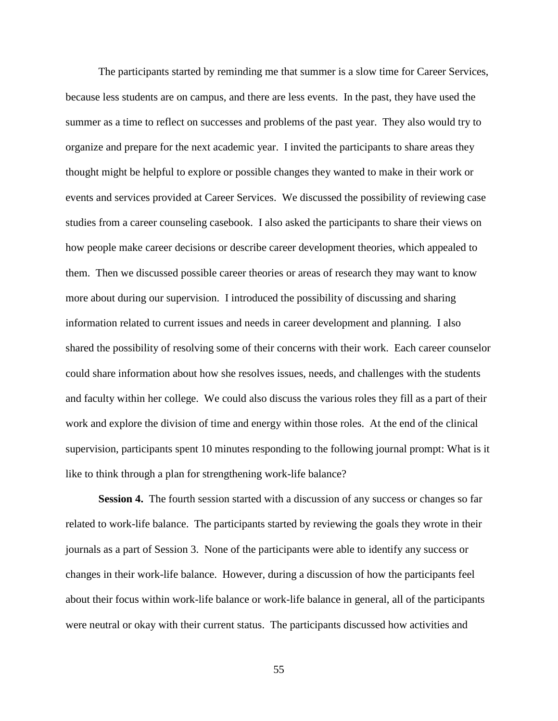The participants started by reminding me that summer is a slow time for Career Services, because less students are on campus, and there are less events. In the past, they have used the summer as a time to reflect on successes and problems of the past year. They also would try to organize and prepare for the next academic year. I invited the participants to share areas they thought might be helpful to explore or possible changes they wanted to make in their work or events and services provided at Career Services. We discussed the possibility of reviewing case studies from a career counseling casebook. I also asked the participants to share their views on how people make career decisions or describe career development theories, which appealed to them. Then we discussed possible career theories or areas of research they may want to know more about during our supervision. I introduced the possibility of discussing and sharing information related to current issues and needs in career development and planning. I also shared the possibility of resolving some of their concerns with their work. Each career counselor could share information about how she resolves issues, needs, and challenges with the students and faculty within her college. We could also discuss the various roles they fill as a part of their work and explore the division of time and energy within those roles. At the end of the clinical supervision, participants spent 10 minutes responding to the following journal prompt: What is it like to think through a plan for strengthening work-life balance?

**Session 4.** The fourth session started with a discussion of any success or changes so far related to work-life balance. The participants started by reviewing the goals they wrote in their journals as a part of Session 3. None of the participants were able to identify any success or changes in their work-life balance. However, during a discussion of how the participants feel about their focus within work-life balance or work-life balance in general, all of the participants were neutral or okay with their current status. The participants discussed how activities and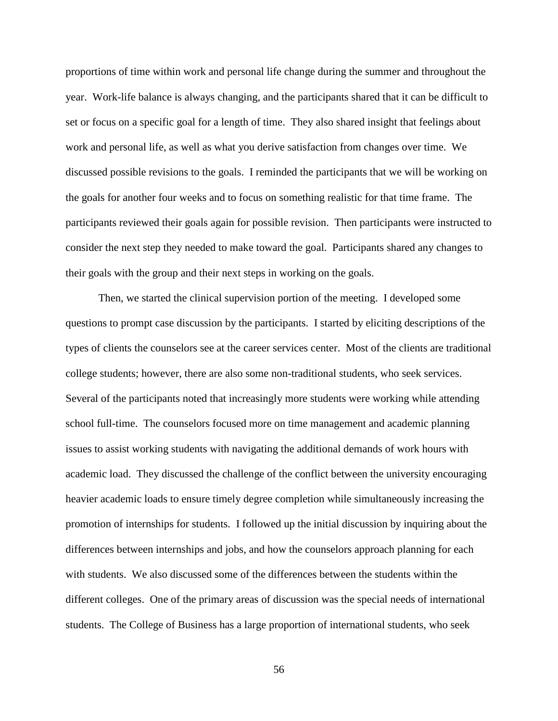proportions of time within work and personal life change during the summer and throughout the year. Work-life balance is always changing, and the participants shared that it can be difficult to set or focus on a specific goal for a length of time. They also shared insight that feelings about work and personal life, as well as what you derive satisfaction from changes over time. We discussed possible revisions to the goals. I reminded the participants that we will be working on the goals for another four weeks and to focus on something realistic for that time frame. The participants reviewed their goals again for possible revision. Then participants were instructed to consider the next step they needed to make toward the goal. Participants shared any changes to their goals with the group and their next steps in working on the goals.

Then, we started the clinical supervision portion of the meeting. I developed some questions to prompt case discussion by the participants. I started by eliciting descriptions of the types of clients the counselors see at the career services center. Most of the clients are traditional college students; however, there are also some non-traditional students, who seek services. Several of the participants noted that increasingly more students were working while attending school full-time. The counselors focused more on time management and academic planning issues to assist working students with navigating the additional demands of work hours with academic load. They discussed the challenge of the conflict between the university encouraging heavier academic loads to ensure timely degree completion while simultaneously increasing the promotion of internships for students. I followed up the initial discussion by inquiring about the differences between internships and jobs, and how the counselors approach planning for each with students. We also discussed some of the differences between the students within the different colleges. One of the primary areas of discussion was the special needs of international students. The College of Business has a large proportion of international students, who seek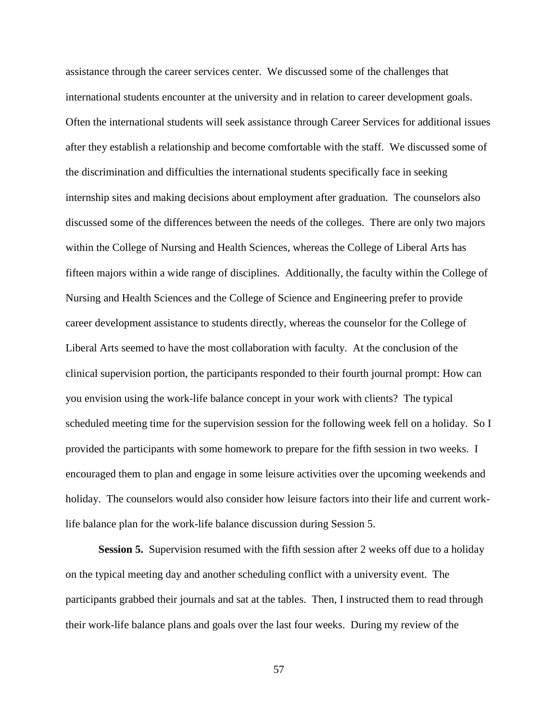assistance through the career services center. We discussed some of the challenges that international students encounter at the university and in relation to career development goals. Often the international students will seek assistance through Career Services for additional issues after they establish a relationship and become comfortable with the staff. We discussed some of the discrimination and difficulties the international students specifically face in seeking internship sites and making decisions about employment after graduation. The counselors also discussed some of the differences between the needs of the colleges. There are only two majors within the College of Nursing and Health Sciences, whereas the College of Liberal Arts has fifteen majors within a wide range of disciplines. Additionally, the faculty within the College of Nursing and Health Sciences and the College of Science and Engineering prefer to provide career development assistance to students directly, whereas the counselor for the College of Liberal Arts seemed to have the most collaboration with faculty. At the conclusion of the clinical supervision portion, the participants responded to their fourth journal prompt: How can you envision using the work-life balance concept in your work with clients? The typical scheduled meeting time for the supervision session for the following week fell on a holiday. So I provided the participants with some homework to prepare for the fifth session in two weeks. I encouraged them to plan and engage in some leisure activities over the upcoming weekends and holiday. The counselors would also consider how leisure factors into their life and current worklife balance plan for the work-life balance discussion during Session 5.

**Session 5.** Supervision resumed with the fifth session after 2 weeks off due to a holiday on the typical meeting day and another scheduling conflict with a university event. The participants grabbed their journals and sat at the tables. Then, I instructed them to read through their work-life balance plans and goals over the last four weeks. During my review of the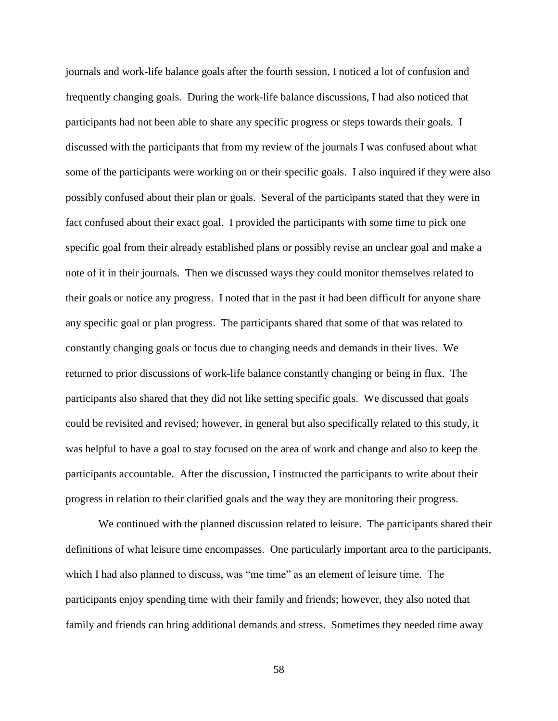journals and work-life balance goals after the fourth session, I noticed a lot of confusion and frequently changing goals. During the work-life balance discussions, I had also noticed that participants had not been able to share any specific progress or steps towards their goals. I discussed with the participants that from my review of the journals I was confused about what some of the participants were working on or their specific goals. I also inquired if they were also possibly confused about their plan or goals. Several of the participants stated that they were in fact confused about their exact goal. I provided the participants with some time to pick one specific goal from their already established plans or possibly revise an unclear goal and make a note of it in their journals. Then we discussed ways they could monitor themselves related to their goals or notice any progress. I noted that in the past it had been difficult for anyone share any specific goal or plan progress. The participants shared that some of that was related to constantly changing goals or focus due to changing needs and demands in their lives. We returned to prior discussions of work-life balance constantly changing or being in flux. The participants also shared that they did not like setting specific goals. We discussed that goals could be revisited and revised; however, in general but also specifically related to this study, it was helpful to have a goal to stay focused on the area of work and change and also to keep the participants accountable. After the discussion, I instructed the participants to write about their progress in relation to their clarified goals and the way they are monitoring their progress.

We continued with the planned discussion related to leisure. The participants shared their definitions of what leisure time encompasses. One particularly important area to the participants, which I had also planned to discuss, was "me time" as an element of leisure time. The participants enjoy spending time with their family and friends; however, they also noted that family and friends can bring additional demands and stress. Sometimes they needed time away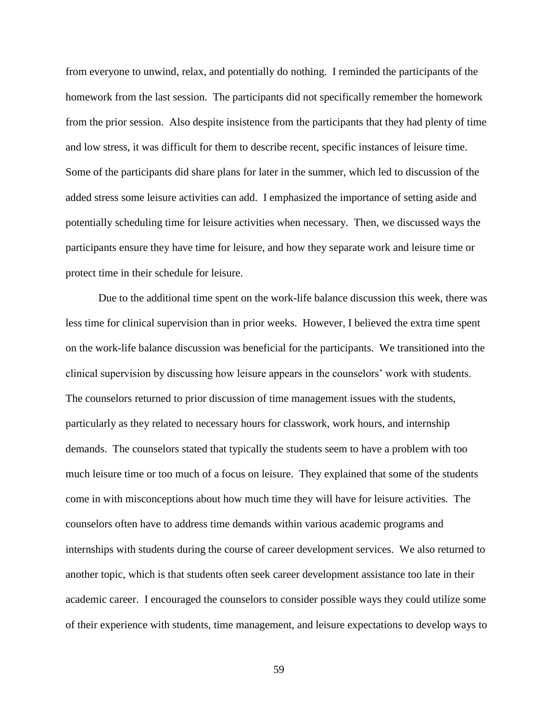from everyone to unwind, relax, and potentially do nothing. I reminded the participants of the homework from the last session. The participants did not specifically remember the homework from the prior session. Also despite insistence from the participants that they had plenty of time and low stress, it was difficult for them to describe recent, specific instances of leisure time. Some of the participants did share plans for later in the summer, which led to discussion of the added stress some leisure activities can add. I emphasized the importance of setting aside and potentially scheduling time for leisure activities when necessary. Then, we discussed ways the participants ensure they have time for leisure, and how they separate work and leisure time or protect time in their schedule for leisure.

Due to the additional time spent on the work-life balance discussion this week, there was less time for clinical supervision than in prior weeks. However, I believed the extra time spent on the work-life balance discussion was beneficial for the participants. We transitioned into the clinical supervision by discussing how leisure appears in the counselors' work with students. The counselors returned to prior discussion of time management issues with the students, particularly as they related to necessary hours for classwork, work hours, and internship demands. The counselors stated that typically the students seem to have a problem with too much leisure time or too much of a focus on leisure. They explained that some of the students come in with misconceptions about how much time they will have for leisure activities. The counselors often have to address time demands within various academic programs and internships with students during the course of career development services. We also returned to another topic, which is that students often seek career development assistance too late in their academic career. I encouraged the counselors to consider possible ways they could utilize some of their experience with students, time management, and leisure expectations to develop ways to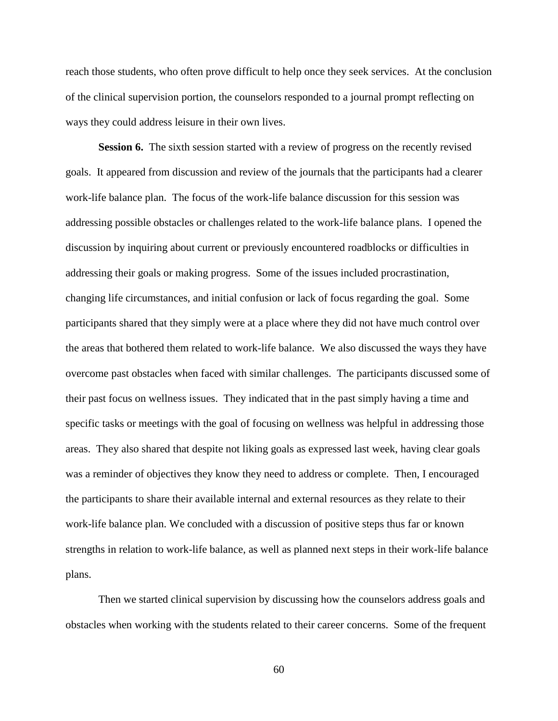reach those students, who often prove difficult to help once they seek services. At the conclusion of the clinical supervision portion, the counselors responded to a journal prompt reflecting on ways they could address leisure in their own lives.

**Session 6.** The sixth session started with a review of progress on the recently revised goals. It appeared from discussion and review of the journals that the participants had a clearer work-life balance plan. The focus of the work-life balance discussion for this session was addressing possible obstacles or challenges related to the work-life balance plans. I opened the discussion by inquiring about current or previously encountered roadblocks or difficulties in addressing their goals or making progress. Some of the issues included procrastination, changing life circumstances, and initial confusion or lack of focus regarding the goal. Some participants shared that they simply were at a place where they did not have much control over the areas that bothered them related to work-life balance. We also discussed the ways they have overcome past obstacles when faced with similar challenges. The participants discussed some of their past focus on wellness issues. They indicated that in the past simply having a time and specific tasks or meetings with the goal of focusing on wellness was helpful in addressing those areas. They also shared that despite not liking goals as expressed last week, having clear goals was a reminder of objectives they know they need to address or complete. Then, I encouraged the participants to share their available internal and external resources as they relate to their work-life balance plan. We concluded with a discussion of positive steps thus far or known strengths in relation to work-life balance, as well as planned next steps in their work-life balance plans.

Then we started clinical supervision by discussing how the counselors address goals and obstacles when working with the students related to their career concerns. Some of the frequent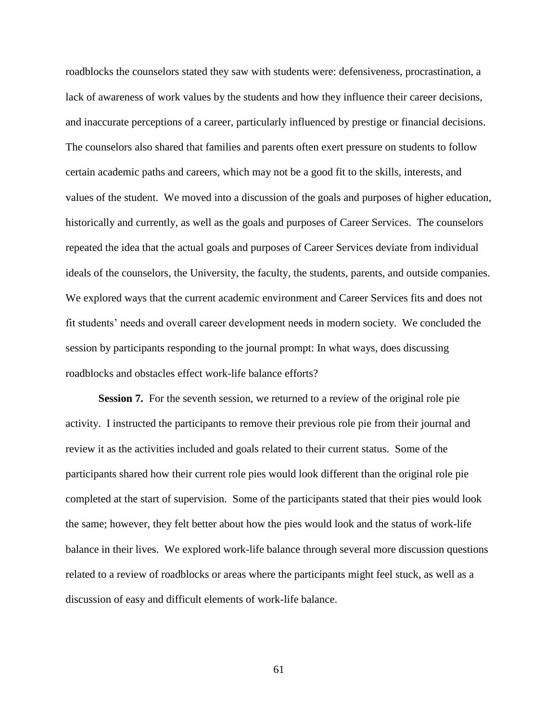roadblocks the counselors stated they saw with students were: defensiveness, procrastination, a lack of awareness of work values by the students and how they influence their career decisions, and inaccurate perceptions of a career, particularly influenced by prestige or financial decisions. The counselors also shared that families and parents often exert pressure on students to follow certain academic paths and careers, which may not be a good fit to the skills, interests, and values of the student. We moved into a discussion of the goals and purposes of higher education, historically and currently, as well as the goals and purposes of Career Services. The counselors repeated the idea that the actual goals and purposes of Career Services deviate from individual ideals of the counselors, the University, the faculty, the students, parents, and outside companies. We explored ways that the current academic environment and Career Services fits and does not fit students' needs and overall career development needs in modern society. We concluded the session by participants responding to the journal prompt: In what ways, does discussing roadblocks and obstacles effect work-life balance efforts?

**Session 7.** For the seventh session, we returned to a review of the original role pie activity. I instructed the participants to remove their previous role pie from their journal and review it as the activities included and goals related to their current status. Some of the participants shared how their current role pies would look different than the original role pie completed at the start of supervision. Some of the participants stated that their pies would look the same; however, they felt better about how the pies would look and the status of work-life balance in their lives. We explored work-life balance through several more discussion questions related to a review of roadblocks or areas where the participants might feel stuck, as well as a discussion of easy and difficult elements of work-life balance.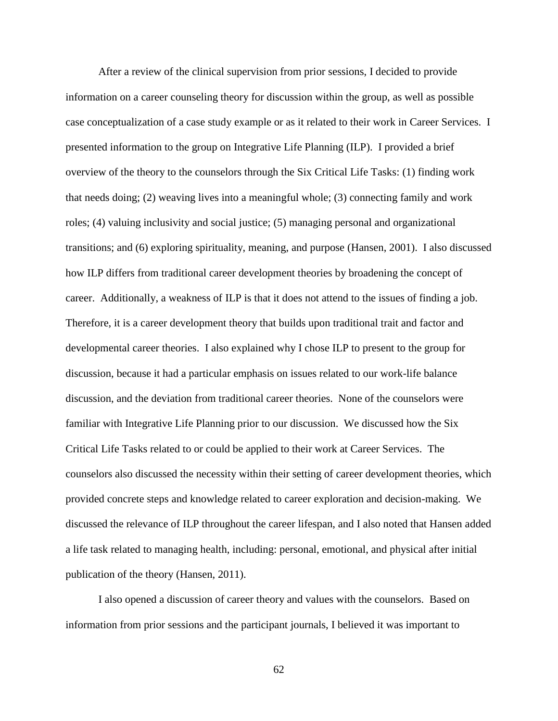After a review of the clinical supervision from prior sessions, I decided to provide information on a career counseling theory for discussion within the group, as well as possible case conceptualization of a case study example or as it related to their work in Career Services. I presented information to the group on Integrative Life Planning (ILP). I provided a brief overview of the theory to the counselors through the Six Critical Life Tasks: (1) finding work that needs doing; (2) weaving lives into a meaningful whole; (3) connecting family and work roles; (4) valuing inclusivity and social justice; (5) managing personal and organizational transitions; and (6) exploring spirituality, meaning, and purpose (Hansen, 2001). I also discussed how ILP differs from traditional career development theories by broadening the concept of career. Additionally, a weakness of ILP is that it does not attend to the issues of finding a job. Therefore, it is a career development theory that builds upon traditional trait and factor and developmental career theories. I also explained why I chose ILP to present to the group for discussion, because it had a particular emphasis on issues related to our work-life balance discussion, and the deviation from traditional career theories. None of the counselors were familiar with Integrative Life Planning prior to our discussion. We discussed how the Six Critical Life Tasks related to or could be applied to their work at Career Services. The counselors also discussed the necessity within their setting of career development theories, which provided concrete steps and knowledge related to career exploration and decision-making. We discussed the relevance of ILP throughout the career lifespan, and I also noted that Hansen added a life task related to managing health, including: personal, emotional, and physical after initial publication of the theory (Hansen, 2011).

I also opened a discussion of career theory and values with the counselors. Based on information from prior sessions and the participant journals, I believed it was important to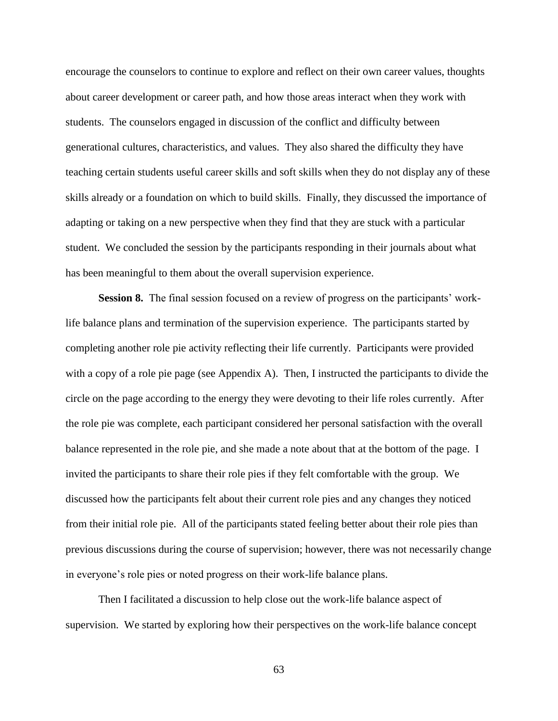encourage the counselors to continue to explore and reflect on their own career values, thoughts about career development or career path, and how those areas interact when they work with students. The counselors engaged in discussion of the conflict and difficulty between generational cultures, characteristics, and values. They also shared the difficulty they have teaching certain students useful career skills and soft skills when they do not display any of these skills already or a foundation on which to build skills. Finally, they discussed the importance of adapting or taking on a new perspective when they find that they are stuck with a particular student. We concluded the session by the participants responding in their journals about what has been meaningful to them about the overall supervision experience.

**Session 8.** The final session focused on a review of progress on the participants' worklife balance plans and termination of the supervision experience. The participants started by completing another role pie activity reflecting their life currently. Participants were provided with a copy of a role pie page (see Appendix A). Then, I instructed the participants to divide the circle on the page according to the energy they were devoting to their life roles currently. After the role pie was complete, each participant considered her personal satisfaction with the overall balance represented in the role pie, and she made a note about that at the bottom of the page. I invited the participants to share their role pies if they felt comfortable with the group. We discussed how the participants felt about their current role pies and any changes they noticed from their initial role pie. All of the participants stated feeling better about their role pies than previous discussions during the course of supervision; however, there was not necessarily change in everyone's role pies or noted progress on their work-life balance plans.

Then I facilitated a discussion to help close out the work-life balance aspect of supervision. We started by exploring how their perspectives on the work-life balance concept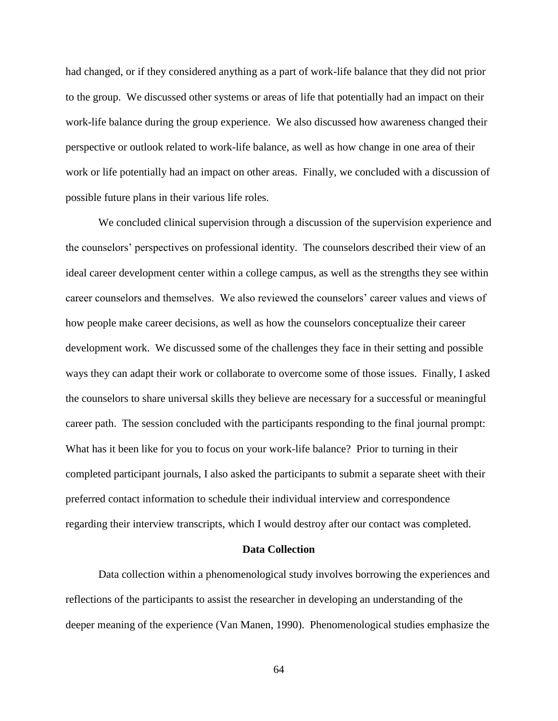had changed, or if they considered anything as a part of work-life balance that they did not prior to the group. We discussed other systems or areas of life that potentially had an impact on their work-life balance during the group experience. We also discussed how awareness changed their perspective or outlook related to work-life balance, as well as how change in one area of their work or life potentially had an impact on other areas. Finally, we concluded with a discussion of possible future plans in their various life roles.

We concluded clinical supervision through a discussion of the supervision experience and the counselors' perspectives on professional identity. The counselors described their view of an ideal career development center within a college campus, as well as the strengths they see within career counselors and themselves. We also reviewed the counselors' career values and views of how people make career decisions, as well as how the counselors conceptualize their career development work. We discussed some of the challenges they face in their setting and possible ways they can adapt their work or collaborate to overcome some of those issues. Finally, I asked the counselors to share universal skills they believe are necessary for a successful or meaningful career path. The session concluded with the participants responding to the final journal prompt: What has it been like for you to focus on your work-life balance? Prior to turning in their completed participant journals, I also asked the participants to submit a separate sheet with their preferred contact information to schedule their individual interview and correspondence regarding their interview transcripts, which I would destroy after our contact was completed.

### **Data Collection**

Data collection within a phenomenological study involves borrowing the experiences and reflections of the participants to assist the researcher in developing an understanding of the deeper meaning of the experience (Van Manen, 1990). Phenomenological studies emphasize the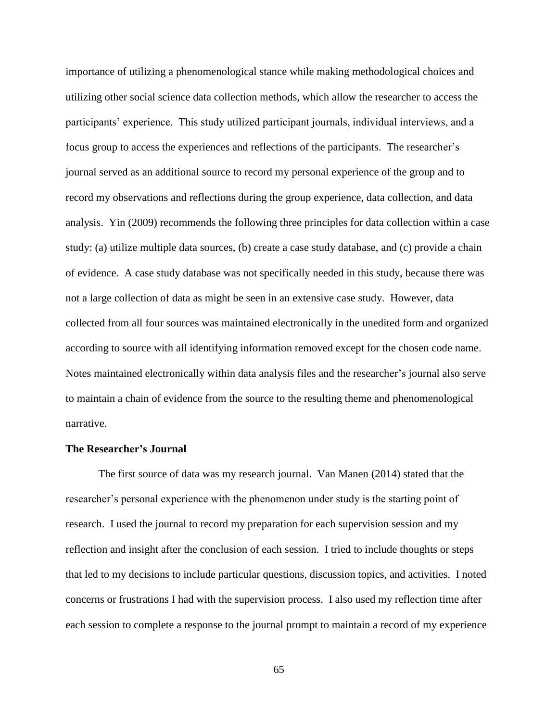importance of utilizing a phenomenological stance while making methodological choices and utilizing other social science data collection methods, which allow the researcher to access the participants' experience. This study utilized participant journals, individual interviews, and a focus group to access the experiences and reflections of the participants. The researcher's journal served as an additional source to record my personal experience of the group and to record my observations and reflections during the group experience, data collection, and data analysis. Yin (2009) recommends the following three principles for data collection within a case study: (a) utilize multiple data sources, (b) create a case study database, and (c) provide a chain of evidence. A case study database was not specifically needed in this study, because there was not a large collection of data as might be seen in an extensive case study. However, data collected from all four sources was maintained electronically in the unedited form and organized according to source with all identifying information removed except for the chosen code name. Notes maintained electronically within data analysis files and the researcher's journal also serve to maintain a chain of evidence from the source to the resulting theme and phenomenological narrative.

# **The Researcher's Journal**

The first source of data was my research journal. Van Manen (2014) stated that the researcher's personal experience with the phenomenon under study is the starting point of research. I used the journal to record my preparation for each supervision session and my reflection and insight after the conclusion of each session. I tried to include thoughts or steps that led to my decisions to include particular questions, discussion topics, and activities. I noted concerns or frustrations I had with the supervision process. I also used my reflection time after each session to complete a response to the journal prompt to maintain a record of my experience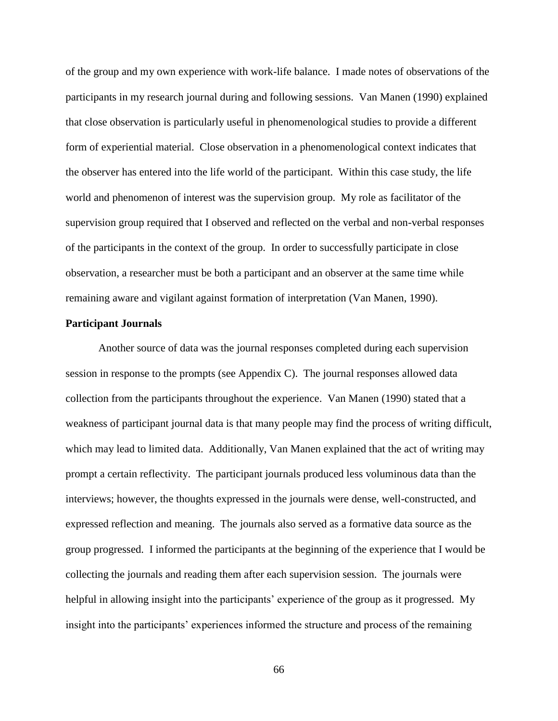of the group and my own experience with work-life balance. I made notes of observations of the participants in my research journal during and following sessions. Van Manen (1990) explained that close observation is particularly useful in phenomenological studies to provide a different form of experiential material. Close observation in a phenomenological context indicates that the observer has entered into the life world of the participant. Within this case study, the life world and phenomenon of interest was the supervision group. My role as facilitator of the supervision group required that I observed and reflected on the verbal and non-verbal responses of the participants in the context of the group. In order to successfully participate in close observation, a researcher must be both a participant and an observer at the same time while remaining aware and vigilant against formation of interpretation (Van Manen, 1990).

# **Participant Journals**

Another source of data was the journal responses completed during each supervision session in response to the prompts (see Appendix C). The journal responses allowed data collection from the participants throughout the experience. Van Manen (1990) stated that a weakness of participant journal data is that many people may find the process of writing difficult, which may lead to limited data. Additionally, Van Manen explained that the act of writing may prompt a certain reflectivity. The participant journals produced less voluminous data than the interviews; however, the thoughts expressed in the journals were dense, well-constructed, and expressed reflection and meaning. The journals also served as a formative data source as the group progressed. I informed the participants at the beginning of the experience that I would be collecting the journals and reading them after each supervision session. The journals were helpful in allowing insight into the participants' experience of the group as it progressed. My insight into the participants' experiences informed the structure and process of the remaining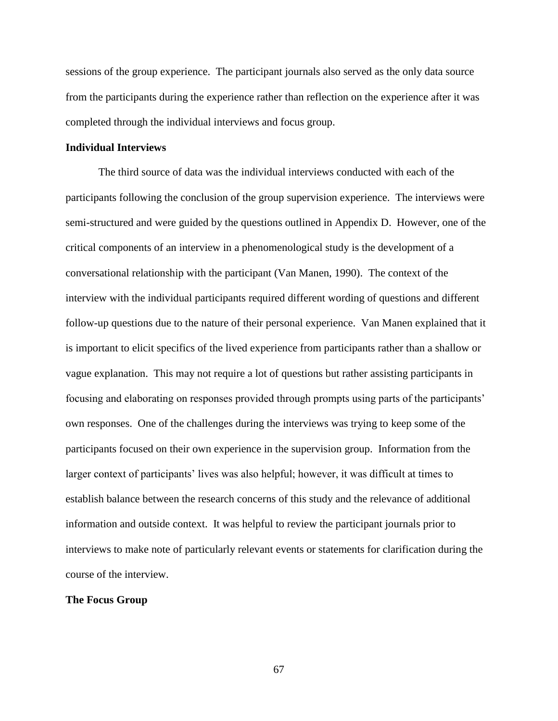sessions of the group experience. The participant journals also served as the only data source from the participants during the experience rather than reflection on the experience after it was completed through the individual interviews and focus group.

# **Individual Interviews**

The third source of data was the individual interviews conducted with each of the participants following the conclusion of the group supervision experience. The interviews were semi-structured and were guided by the questions outlined in Appendix D. However, one of the critical components of an interview in a phenomenological study is the development of a conversational relationship with the participant (Van Manen, 1990). The context of the interview with the individual participants required different wording of questions and different follow-up questions due to the nature of their personal experience. Van Manen explained that it is important to elicit specifics of the lived experience from participants rather than a shallow or vague explanation. This may not require a lot of questions but rather assisting participants in focusing and elaborating on responses provided through prompts using parts of the participants' own responses. One of the challenges during the interviews was trying to keep some of the participants focused on their own experience in the supervision group. Information from the larger context of participants' lives was also helpful; however, it was difficult at times to establish balance between the research concerns of this study and the relevance of additional information and outside context. It was helpful to review the participant journals prior to interviews to make note of particularly relevant events or statements for clarification during the course of the interview.

# **The Focus Group**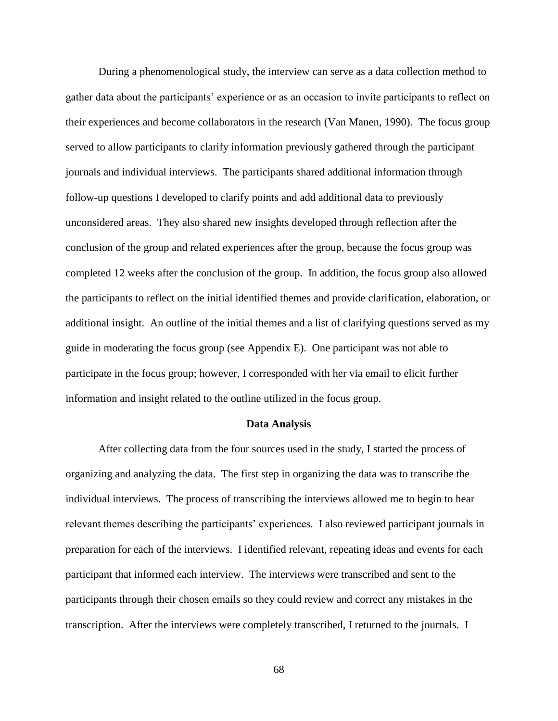During a phenomenological study, the interview can serve as a data collection method to gather data about the participants' experience or as an occasion to invite participants to reflect on their experiences and become collaborators in the research (Van Manen, 1990). The focus group served to allow participants to clarify information previously gathered through the participant journals and individual interviews. The participants shared additional information through follow-up questions I developed to clarify points and add additional data to previously unconsidered areas. They also shared new insights developed through reflection after the conclusion of the group and related experiences after the group, because the focus group was completed 12 weeks after the conclusion of the group. In addition, the focus group also allowed the participants to reflect on the initial identified themes and provide clarification, elaboration, or additional insight. An outline of the initial themes and a list of clarifying questions served as my guide in moderating the focus group (see Appendix E). One participant was not able to participate in the focus group; however, I corresponded with her via email to elicit further information and insight related to the outline utilized in the focus group.

#### **Data Analysis**

After collecting data from the four sources used in the study, I started the process of organizing and analyzing the data. The first step in organizing the data was to transcribe the individual interviews. The process of transcribing the interviews allowed me to begin to hear relevant themes describing the participants' experiences. I also reviewed participant journals in preparation for each of the interviews. I identified relevant, repeating ideas and events for each participant that informed each interview. The interviews were transcribed and sent to the participants through their chosen emails so they could review and correct any mistakes in the transcription. After the interviews were completely transcribed, I returned to the journals. I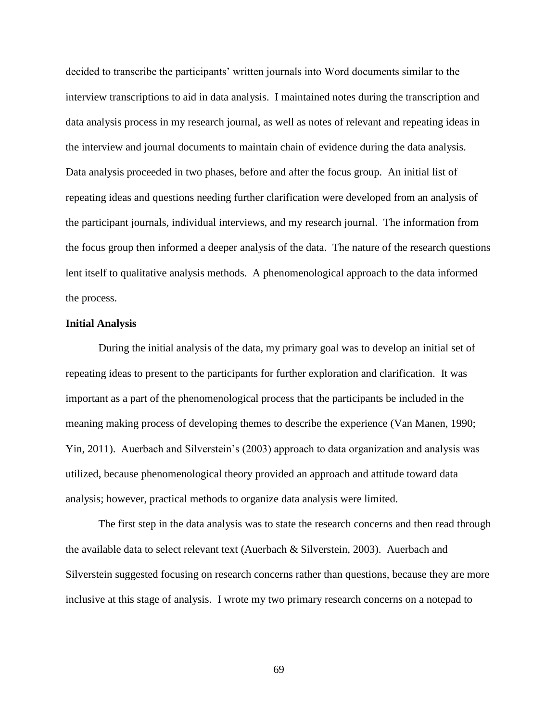decided to transcribe the participants' written journals into Word documents similar to the interview transcriptions to aid in data analysis. I maintained notes during the transcription and data analysis process in my research journal, as well as notes of relevant and repeating ideas in the interview and journal documents to maintain chain of evidence during the data analysis. Data analysis proceeded in two phases, before and after the focus group. An initial list of repeating ideas and questions needing further clarification were developed from an analysis of the participant journals, individual interviews, and my research journal. The information from the focus group then informed a deeper analysis of the data. The nature of the research questions lent itself to qualitative analysis methods. A phenomenological approach to the data informed the process.

### **Initial Analysis**

During the initial analysis of the data, my primary goal was to develop an initial set of repeating ideas to present to the participants for further exploration and clarification. It was important as a part of the phenomenological process that the participants be included in the meaning making process of developing themes to describe the experience (Van Manen, 1990; Yin, 2011). Auerbach and Silverstein's (2003) approach to data organization and analysis was utilized, because phenomenological theory provided an approach and attitude toward data analysis; however, practical methods to organize data analysis were limited.

The first step in the data analysis was to state the research concerns and then read through the available data to select relevant text (Auerbach & Silverstein, 2003). Auerbach and Silverstein suggested focusing on research concerns rather than questions, because they are more inclusive at this stage of analysis. I wrote my two primary research concerns on a notepad to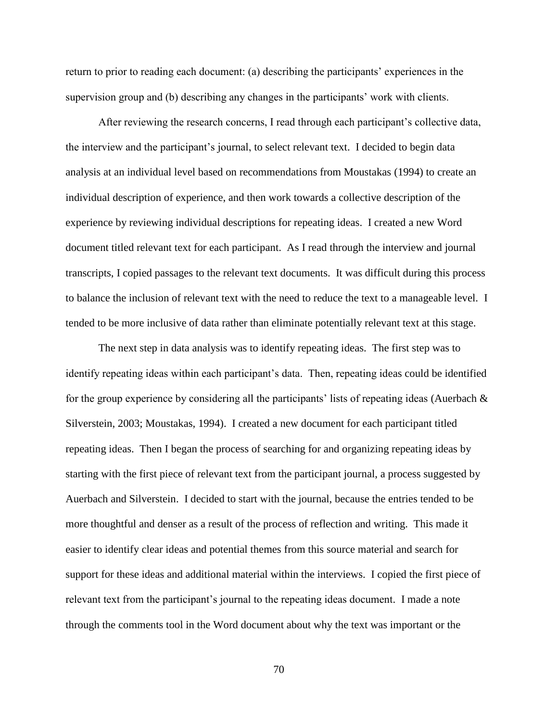return to prior to reading each document: (a) describing the participants' experiences in the supervision group and (b) describing any changes in the participants' work with clients.

After reviewing the research concerns, I read through each participant's collective data, the interview and the participant's journal, to select relevant text. I decided to begin data analysis at an individual level based on recommendations from Moustakas (1994) to create an individual description of experience, and then work towards a collective description of the experience by reviewing individual descriptions for repeating ideas. I created a new Word document titled relevant text for each participant. As I read through the interview and journal transcripts, I copied passages to the relevant text documents. It was difficult during this process to balance the inclusion of relevant text with the need to reduce the text to a manageable level. I tended to be more inclusive of data rather than eliminate potentially relevant text at this stage.

The next step in data analysis was to identify repeating ideas. The first step was to identify repeating ideas within each participant's data. Then, repeating ideas could be identified for the group experience by considering all the participants' lists of repeating ideas (Auerbach  $\&$ Silverstein, 2003; Moustakas, 1994). I created a new document for each participant titled repeating ideas. Then I began the process of searching for and organizing repeating ideas by starting with the first piece of relevant text from the participant journal, a process suggested by Auerbach and Silverstein. I decided to start with the journal, because the entries tended to be more thoughtful and denser as a result of the process of reflection and writing. This made it easier to identify clear ideas and potential themes from this source material and search for support for these ideas and additional material within the interviews. I copied the first piece of relevant text from the participant's journal to the repeating ideas document. I made a note through the comments tool in the Word document about why the text was important or the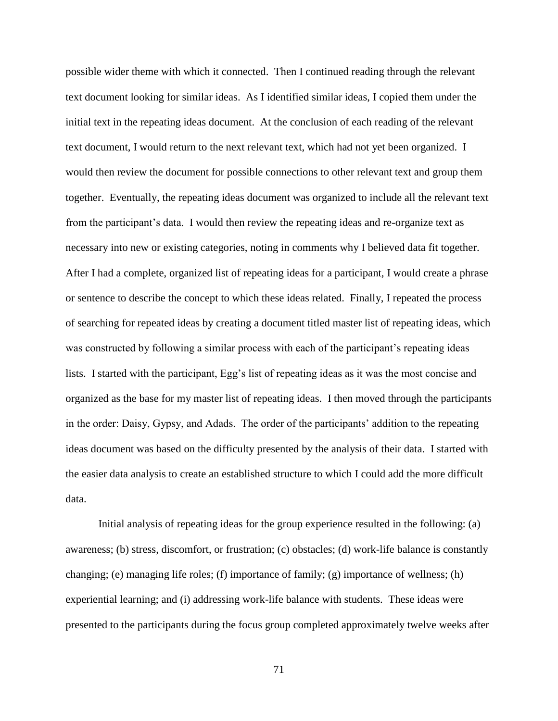possible wider theme with which it connected. Then I continued reading through the relevant text document looking for similar ideas. As I identified similar ideas, I copied them under the initial text in the repeating ideas document. At the conclusion of each reading of the relevant text document, I would return to the next relevant text, which had not yet been organized. I would then review the document for possible connections to other relevant text and group them together. Eventually, the repeating ideas document was organized to include all the relevant text from the participant's data. I would then review the repeating ideas and re-organize text as necessary into new or existing categories, noting in comments why I believed data fit together. After I had a complete, organized list of repeating ideas for a participant, I would create a phrase or sentence to describe the concept to which these ideas related. Finally, I repeated the process of searching for repeated ideas by creating a document titled master list of repeating ideas, which was constructed by following a similar process with each of the participant's repeating ideas lists. I started with the participant, Egg's list of repeating ideas as it was the most concise and organized as the base for my master list of repeating ideas. I then moved through the participants in the order: Daisy, Gypsy, and Adads. The order of the participants' addition to the repeating ideas document was based on the difficulty presented by the analysis of their data. I started with the easier data analysis to create an established structure to which I could add the more difficult data.

Initial analysis of repeating ideas for the group experience resulted in the following: (a) awareness; (b) stress, discomfort, or frustration; (c) obstacles; (d) work-life balance is constantly changing; (e) managing life roles; (f) importance of family; (g) importance of wellness; (h) experiential learning; and (i) addressing work-life balance with students. These ideas were presented to the participants during the focus group completed approximately twelve weeks after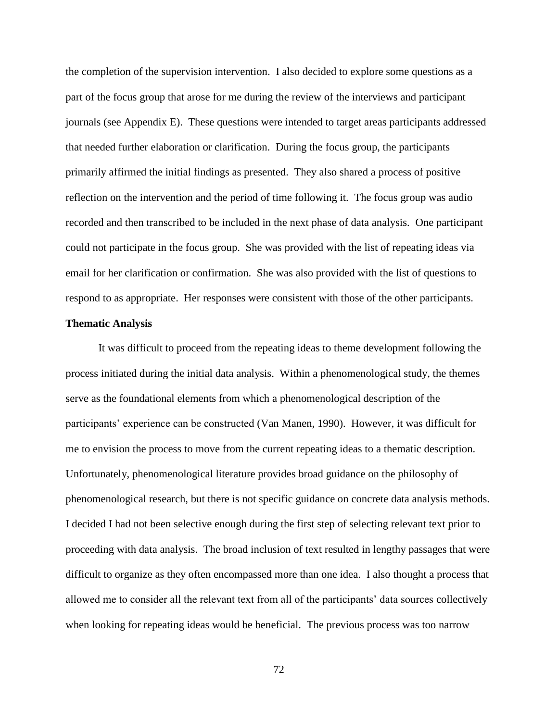the completion of the supervision intervention. I also decided to explore some questions as a part of the focus group that arose for me during the review of the interviews and participant journals (see Appendix E). These questions were intended to target areas participants addressed that needed further elaboration or clarification. During the focus group, the participants primarily affirmed the initial findings as presented. They also shared a process of positive reflection on the intervention and the period of time following it. The focus group was audio recorded and then transcribed to be included in the next phase of data analysis. One participant could not participate in the focus group. She was provided with the list of repeating ideas via email for her clarification or confirmation. She was also provided with the list of questions to respond to as appropriate. Her responses were consistent with those of the other participants.

# **Thematic Analysis**

It was difficult to proceed from the repeating ideas to theme development following the process initiated during the initial data analysis. Within a phenomenological study, the themes serve as the foundational elements from which a phenomenological description of the participants' experience can be constructed (Van Manen, 1990). However, it was difficult for me to envision the process to move from the current repeating ideas to a thematic description. Unfortunately, phenomenological literature provides broad guidance on the philosophy of phenomenological research, but there is not specific guidance on concrete data analysis methods. I decided I had not been selective enough during the first step of selecting relevant text prior to proceeding with data analysis. The broad inclusion of text resulted in lengthy passages that were difficult to organize as they often encompassed more than one idea. I also thought a process that allowed me to consider all the relevant text from all of the participants' data sources collectively when looking for repeating ideas would be beneficial. The previous process was too narrow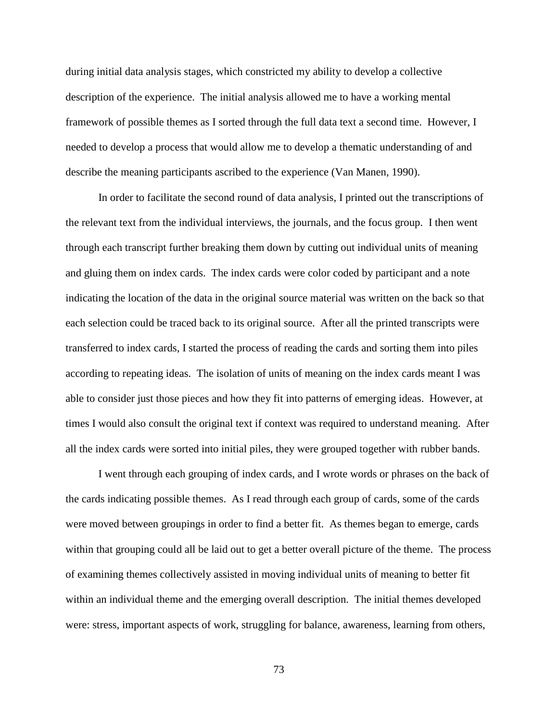during initial data analysis stages, which constricted my ability to develop a collective description of the experience. The initial analysis allowed me to have a working mental framework of possible themes as I sorted through the full data text a second time. However, I needed to develop a process that would allow me to develop a thematic understanding of and describe the meaning participants ascribed to the experience (Van Manen, 1990).

In order to facilitate the second round of data analysis, I printed out the transcriptions of the relevant text from the individual interviews, the journals, and the focus group. I then went through each transcript further breaking them down by cutting out individual units of meaning and gluing them on index cards. The index cards were color coded by participant and a note indicating the location of the data in the original source material was written on the back so that each selection could be traced back to its original source. After all the printed transcripts were transferred to index cards, I started the process of reading the cards and sorting them into piles according to repeating ideas. The isolation of units of meaning on the index cards meant I was able to consider just those pieces and how they fit into patterns of emerging ideas. However, at times I would also consult the original text if context was required to understand meaning. After all the index cards were sorted into initial piles, they were grouped together with rubber bands.

I went through each grouping of index cards, and I wrote words or phrases on the back of the cards indicating possible themes. As I read through each group of cards, some of the cards were moved between groupings in order to find a better fit. As themes began to emerge, cards within that grouping could all be laid out to get a better overall picture of the theme. The process of examining themes collectively assisted in moving individual units of meaning to better fit within an individual theme and the emerging overall description. The initial themes developed were: stress, important aspects of work, struggling for balance, awareness, learning from others,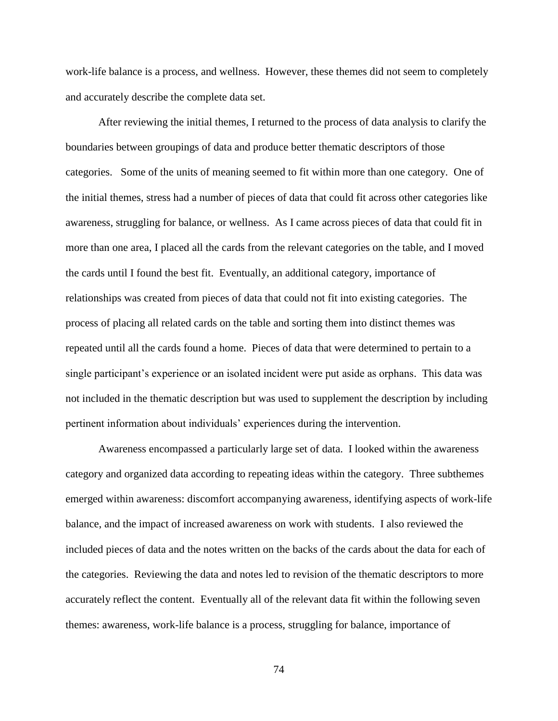work-life balance is a process, and wellness. However, these themes did not seem to completely and accurately describe the complete data set.

After reviewing the initial themes, I returned to the process of data analysis to clarify the boundaries between groupings of data and produce better thematic descriptors of those categories. Some of the units of meaning seemed to fit within more than one category. One of the initial themes, stress had a number of pieces of data that could fit across other categories like awareness, struggling for balance, or wellness. As I came across pieces of data that could fit in more than one area, I placed all the cards from the relevant categories on the table, and I moved the cards until I found the best fit. Eventually, an additional category, importance of relationships was created from pieces of data that could not fit into existing categories. The process of placing all related cards on the table and sorting them into distinct themes was repeated until all the cards found a home. Pieces of data that were determined to pertain to a single participant's experience or an isolated incident were put aside as orphans. This data was not included in the thematic description but was used to supplement the description by including pertinent information about individuals' experiences during the intervention.

Awareness encompassed a particularly large set of data. I looked within the awareness category and organized data according to repeating ideas within the category. Three subthemes emerged within awareness: discomfort accompanying awareness, identifying aspects of work-life balance, and the impact of increased awareness on work with students. I also reviewed the included pieces of data and the notes written on the backs of the cards about the data for each of the categories. Reviewing the data and notes led to revision of the thematic descriptors to more accurately reflect the content. Eventually all of the relevant data fit within the following seven themes: awareness, work-life balance is a process, struggling for balance, importance of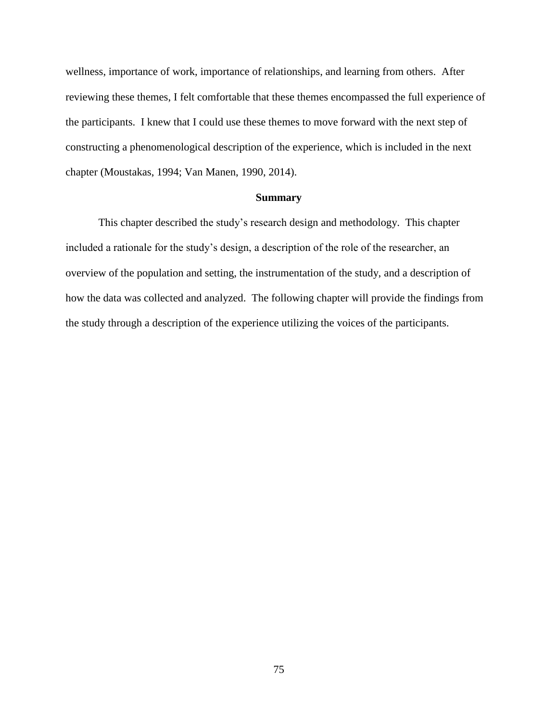wellness, importance of work, importance of relationships, and learning from others. After reviewing these themes, I felt comfortable that these themes encompassed the full experience of the participants. I knew that I could use these themes to move forward with the next step of constructing a phenomenological description of the experience, which is included in the next chapter (Moustakas, 1994; Van Manen, 1990, 2014).

### **Summary**

This chapter described the study's research design and methodology. This chapter included a rationale for the study's design, a description of the role of the researcher, an overview of the population and setting, the instrumentation of the study, and a description of how the data was collected and analyzed. The following chapter will provide the findings from the study through a description of the experience utilizing the voices of the participants.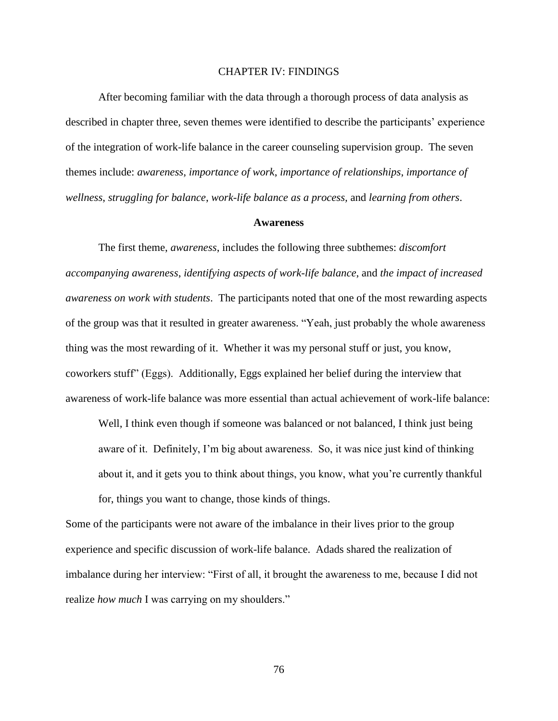# CHAPTER IV: FINDINGS

After becoming familiar with the data through a thorough process of data analysis as described in chapter three, seven themes were identified to describe the participants' experience of the integration of work-life balance in the career counseling supervision group. The seven themes include: *awareness*, *importance of work*, *importance of relationships*, *importance of wellness*, *struggling for balance*, *work-life balance as a process,* and *learning from others*.

#### **Awareness**

The first theme, *awareness*, includes the following three subthemes: *discomfort accompanying awareness*, *identifying aspects of work-life balance*, and *the impact of increased awareness on work with students*. The participants noted that one of the most rewarding aspects of the group was that it resulted in greater awareness. "Yeah, just probably the whole awareness thing was the most rewarding of it. Whether it was my personal stuff or just, you know, coworkers stuff" (Eggs). Additionally, Eggs explained her belief during the interview that awareness of work-life balance was more essential than actual achievement of work-life balance:

Well, I think even though if someone was balanced or not balanced, I think just being aware of it. Definitely, I'm big about awareness. So, it was nice just kind of thinking about it, and it gets you to think about things, you know, what you're currently thankful for, things you want to change, those kinds of things.

Some of the participants were not aware of the imbalance in their lives prior to the group experience and specific discussion of work-life balance. Adads shared the realization of imbalance during her interview: "First of all, it brought the awareness to me, because I did not realize *how much* I was carrying on my shoulders."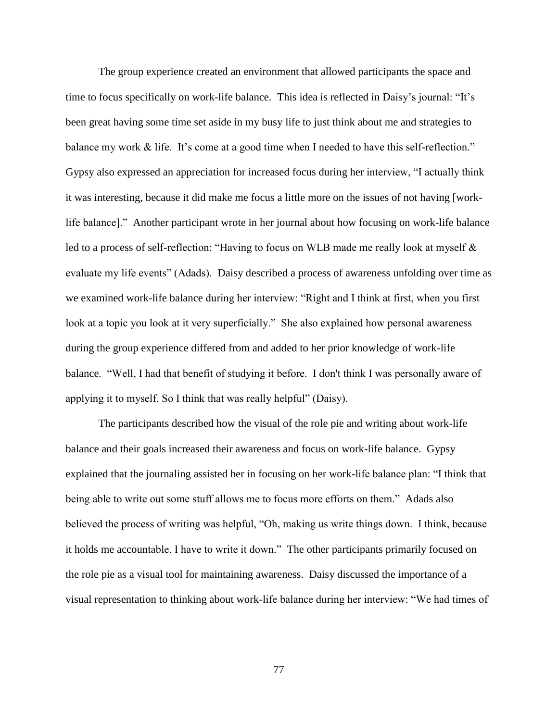The group experience created an environment that allowed participants the space and time to focus specifically on work-life balance. This idea is reflected in Daisy's journal: "It's been great having some time set aside in my busy life to just think about me and strategies to balance my work & life. It's come at a good time when I needed to have this self-reflection." Gypsy also expressed an appreciation for increased focus during her interview, "I actually think it was interesting, because it did make me focus a little more on the issues of not having [worklife balance]." Another participant wrote in her journal about how focusing on work-life balance led to a process of self-reflection: "Having to focus on WLB made me really look at myself & evaluate my life events" (Adads). Daisy described a process of awareness unfolding over time as we examined work-life balance during her interview: "Right and I think at first, when you first look at a topic you look at it very superficially." She also explained how personal awareness during the group experience differed from and added to her prior knowledge of work-life balance. "Well, I had that benefit of studying it before. I don't think I was personally aware of applying it to myself. So I think that was really helpful" (Daisy).

The participants described how the visual of the role pie and writing about work-life balance and their goals increased their awareness and focus on work-life balance. Gypsy explained that the journaling assisted her in focusing on her work-life balance plan: "I think that being able to write out some stuff allows me to focus more efforts on them." Adads also believed the process of writing was helpful, "Oh, making us write things down. I think, because it holds me accountable. I have to write it down." The other participants primarily focused on the role pie as a visual tool for maintaining awareness. Daisy discussed the importance of a visual representation to thinking about work-life balance during her interview: "We had times of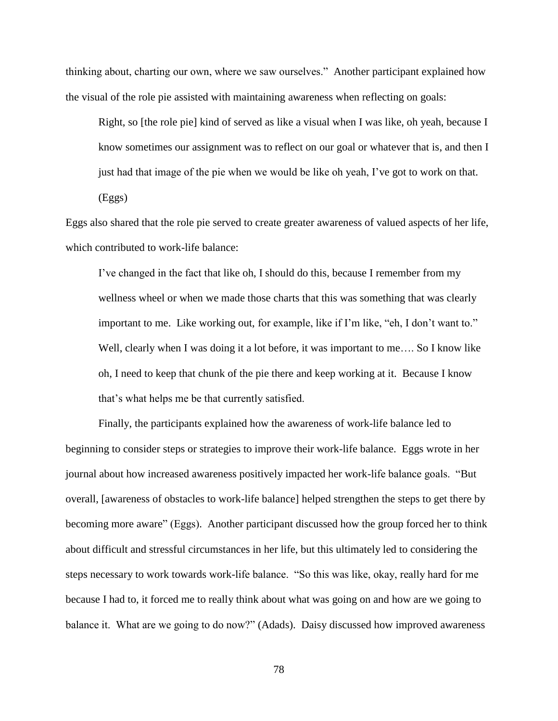thinking about, charting our own, where we saw ourselves." Another participant explained how the visual of the role pie assisted with maintaining awareness when reflecting on goals:

Right, so [the role pie] kind of served as like a visual when I was like, oh yeah, because I know sometimes our assignment was to reflect on our goal or whatever that is, and then I just had that image of the pie when we would be like oh yeah, I've got to work on that. (Eggs)

Eggs also shared that the role pie served to create greater awareness of valued aspects of her life, which contributed to work-life balance:

I've changed in the fact that like oh, I should do this, because I remember from my wellness wheel or when we made those charts that this was something that was clearly important to me. Like working out, for example, like if I'm like, "eh, I don't want to." Well, clearly when I was doing it a lot before, it was important to me.... So I know like oh, I need to keep that chunk of the pie there and keep working at it. Because I know that's what helps me be that currently satisfied.

Finally, the participants explained how the awareness of work-life balance led to beginning to consider steps or strategies to improve their work-life balance. Eggs wrote in her journal about how increased awareness positively impacted her work-life balance goals. "But overall, [awareness of obstacles to work-life balance] helped strengthen the steps to get there by becoming more aware" (Eggs). Another participant discussed how the group forced her to think about difficult and stressful circumstances in her life, but this ultimately led to considering the steps necessary to work towards work-life balance. "So this was like, okay, really hard for me because I had to, it forced me to really think about what was going on and how are we going to balance it. What are we going to do now?" (Adads). Daisy discussed how improved awareness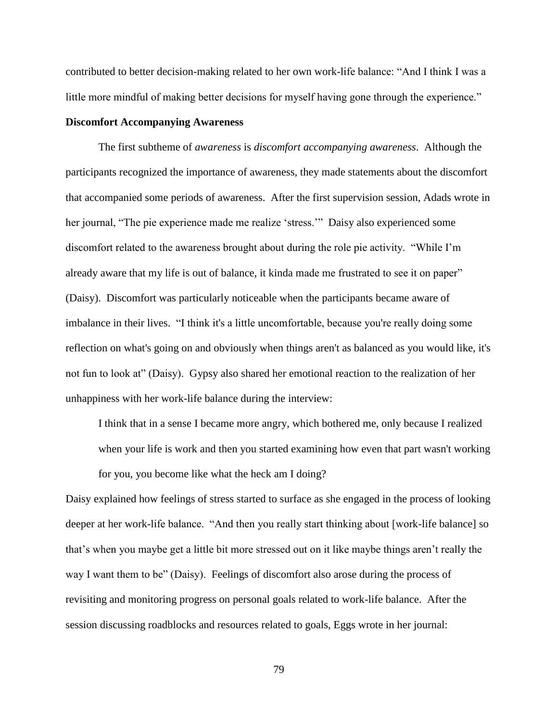contributed to better decision-making related to her own work-life balance: "And I think I was a little more mindful of making better decisions for myself having gone through the experience."

# **Discomfort Accompanying Awareness**

The first subtheme of *awareness* is *discomfort accompanying awareness*. Although the participants recognized the importance of awareness, they made statements about the discomfort that accompanied some periods of awareness. After the first supervision session, Adads wrote in her journal, "The pie experience made me realize 'stress.'" Daisy also experienced some discomfort related to the awareness brought about during the role pie activity. "While I'm already aware that my life is out of balance, it kinda made me frustrated to see it on paper" (Daisy). Discomfort was particularly noticeable when the participants became aware of imbalance in their lives. "I think it's a little uncomfortable, because you're really doing some reflection on what's going on and obviously when things aren't as balanced as you would like, it's not fun to look at" (Daisy). Gypsy also shared her emotional reaction to the realization of her unhappiness with her work-life balance during the interview:

I think that in a sense I became more angry, which bothered me, only because I realized when your life is work and then you started examining how even that part wasn't working for you, you become like what the heck am I doing?

Daisy explained how feelings of stress started to surface as she engaged in the process of looking deeper at her work-life balance. "And then you really start thinking about [work-life balance] so that's when you maybe get a little bit more stressed out on it like maybe things aren't really the way I want them to be" (Daisy). Feelings of discomfort also arose during the process of revisiting and monitoring progress on personal goals related to work-life balance. After the session discussing roadblocks and resources related to goals, Eggs wrote in her journal: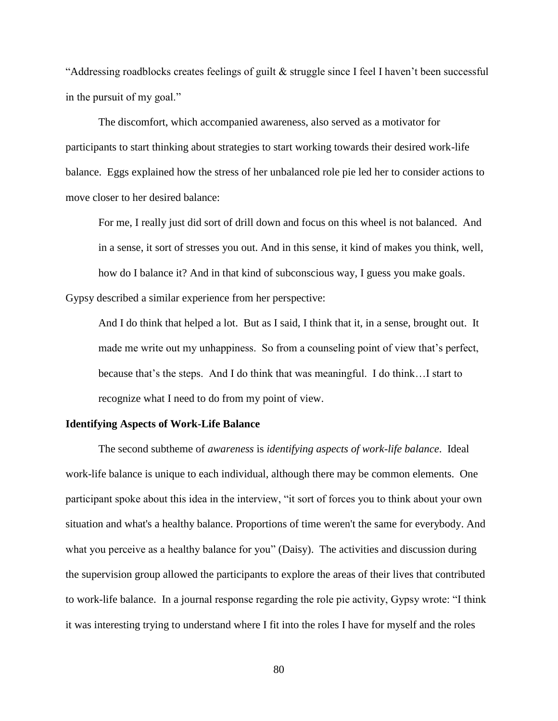"Addressing roadblocks creates feelings of guilt  $\&$  struggle since I feel I haven't been successful in the pursuit of my goal."

The discomfort, which accompanied awareness, also served as a motivator for participants to start thinking about strategies to start working towards their desired work-life balance. Eggs explained how the stress of her unbalanced role pie led her to consider actions to move closer to her desired balance:

For me, I really just did sort of drill down and focus on this wheel is not balanced. And in a sense, it sort of stresses you out. And in this sense, it kind of makes you think, well, how do I balance it? And in that kind of subconscious way, I guess you make goals. Gypsy described a similar experience from her perspective:

And I do think that helped a lot. But as I said, I think that it, in a sense, brought out. It made me write out my unhappiness. So from a counseling point of view that's perfect, because that's the steps. And I do think that was meaningful. I do think…I start to recognize what I need to do from my point of view.

#### **Identifying Aspects of Work-Life Balance**

The second subtheme of *awareness* is *identifying aspects of work-life balance*. Ideal work-life balance is unique to each individual, although there may be common elements. One participant spoke about this idea in the interview, "it sort of forces you to think about your own situation and what's a healthy balance. Proportions of time weren't the same for everybody. And what you perceive as a healthy balance for you" (Daisy). The activities and discussion during the supervision group allowed the participants to explore the areas of their lives that contributed to work-life balance. In a journal response regarding the role pie activity, Gypsy wrote: "I think it was interesting trying to understand where I fit into the roles I have for myself and the roles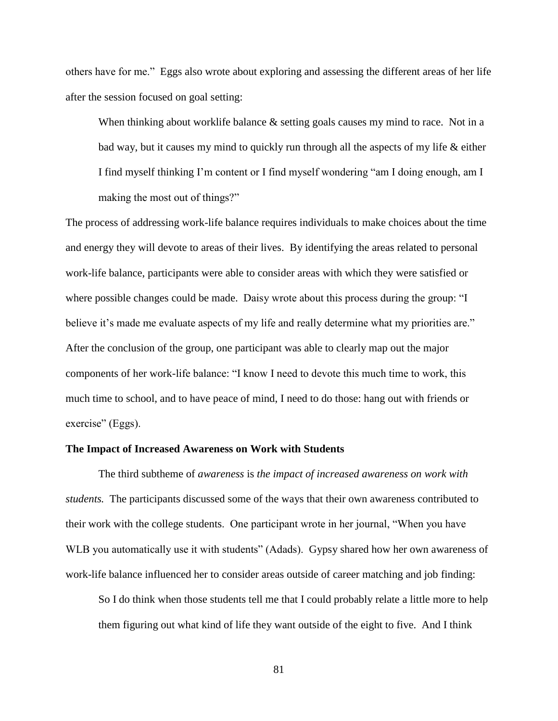others have for me." Eggs also wrote about exploring and assessing the different areas of her life after the session focused on goal setting:

When thinking about worklife balance & setting goals causes my mind to race. Not in a bad way, but it causes my mind to quickly run through all the aspects of my life & either I find myself thinking I'm content or I find myself wondering "am I doing enough, am I making the most out of things?"

The process of addressing work-life balance requires individuals to make choices about the time and energy they will devote to areas of their lives. By identifying the areas related to personal work-life balance, participants were able to consider areas with which they were satisfied or where possible changes could be made. Daisy wrote about this process during the group: "I believe it's made me evaluate aspects of my life and really determine what my priorities are." After the conclusion of the group, one participant was able to clearly map out the major components of her work-life balance: "I know I need to devote this much time to work, this much time to school, and to have peace of mind, I need to do those: hang out with friends or exercise" (Eggs).

### **The Impact of Increased Awareness on Work with Students**

The third subtheme of *awareness* is *the impact of increased awareness on work with students.* The participants discussed some of the ways that their own awareness contributed to their work with the college students. One participant wrote in her journal, "When you have WLB you automatically use it with students" (Adads). Gypsy shared how her own awareness of work-life balance influenced her to consider areas outside of career matching and job finding:

So I do think when those students tell me that I could probably relate a little more to help them figuring out what kind of life they want outside of the eight to five. And I think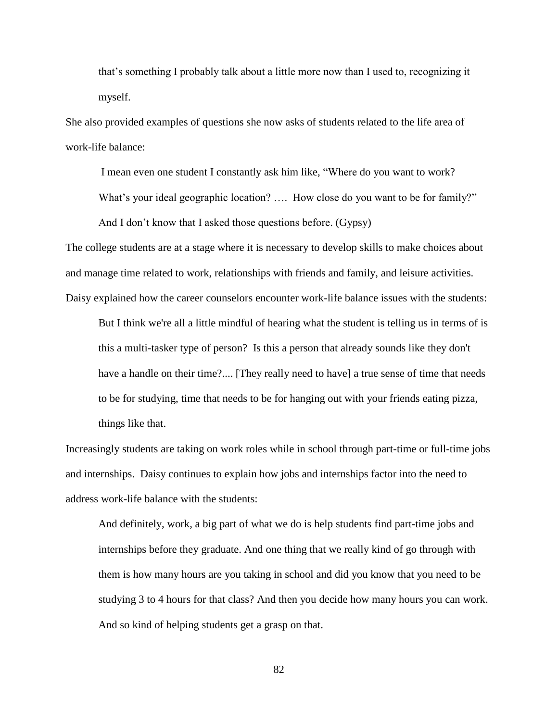that's something I probably talk about a little more now than I used to, recognizing it myself.

She also provided examples of questions she now asks of students related to the life area of work-life balance:

I mean even one student I constantly ask him like, "Where do you want to work? What's your ideal geographic location? .... How close do you want to be for family?" And I don't know that I asked those questions before. (Gypsy)

The college students are at a stage where it is necessary to develop skills to make choices about and manage time related to work, relationships with friends and family, and leisure activities. Daisy explained how the career counselors encounter work-life balance issues with the students:

But I think we're all a little mindful of hearing what the student is telling us in terms of is this a multi-tasker type of person? Is this a person that already sounds like they don't have a handle on their time?.... [They really need to have] a true sense of time that needs to be for studying, time that needs to be for hanging out with your friends eating pizza, things like that.

Increasingly students are taking on work roles while in school through part-time or full-time jobs and internships. Daisy continues to explain how jobs and internships factor into the need to address work-life balance with the students:

And definitely, work, a big part of what we do is help students find part-time jobs and internships before they graduate. And one thing that we really kind of go through with them is how many hours are you taking in school and did you know that you need to be studying 3 to 4 hours for that class? And then you decide how many hours you can work. And so kind of helping students get a grasp on that.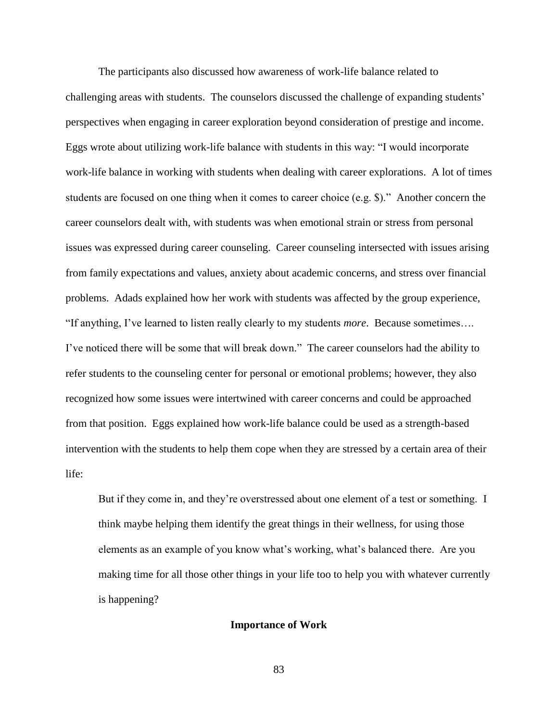The participants also discussed how awareness of work-life balance related to challenging areas with students. The counselors discussed the challenge of expanding students' perspectives when engaging in career exploration beyond consideration of prestige and income. Eggs wrote about utilizing work-life balance with students in this way: "I would incorporate work-life balance in working with students when dealing with career explorations. A lot of times students are focused on one thing when it comes to career choice (e.g. \$)." Another concern the career counselors dealt with, with students was when emotional strain or stress from personal issues was expressed during career counseling. Career counseling intersected with issues arising from family expectations and values, anxiety about academic concerns, and stress over financial problems. Adads explained how her work with students was affected by the group experience, "If anything, I've learned to listen really clearly to my students *more*. Because sometimes…. I've noticed there will be some that will break down." The career counselors had the ability to refer students to the counseling center for personal or emotional problems; however, they also recognized how some issues were intertwined with career concerns and could be approached from that position. Eggs explained how work-life balance could be used as a strength-based intervention with the students to help them cope when they are stressed by a certain area of their life:

But if they come in, and they're overstressed about one element of a test or something. I think maybe helping them identify the great things in their wellness, for using those elements as an example of you know what's working, what's balanced there. Are you making time for all those other things in your life too to help you with whatever currently is happening?

#### **Importance of Work**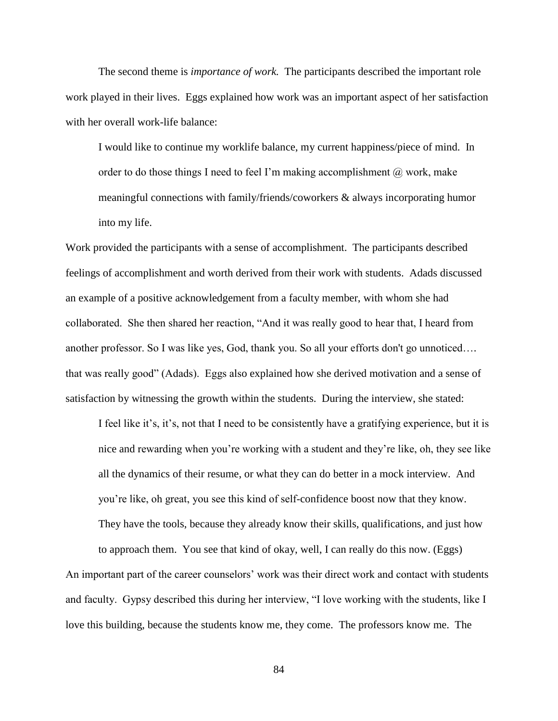The second theme is *importance of work.* The participants described the important role work played in their lives. Eggs explained how work was an important aspect of her satisfaction with her overall work-life balance:

I would like to continue my worklife balance, my current happiness/piece of mind. In order to do those things I need to feel I'm making accomplishment  $\omega$  work, make meaningful connections with family/friends/coworkers & always incorporating humor into my life.

Work provided the participants with a sense of accomplishment. The participants described feelings of accomplishment and worth derived from their work with students. Adads discussed an example of a positive acknowledgement from a faculty member, with whom she had collaborated. She then shared her reaction, "And it was really good to hear that, I heard from another professor. So I was like yes, God, thank you. So all your efforts don't go unnoticed…. that was really good" (Adads). Eggs also explained how she derived motivation and a sense of satisfaction by witnessing the growth within the students. During the interview, she stated:

I feel like it's, it's, not that I need to be consistently have a gratifying experience, but it is nice and rewarding when you're working with a student and they're like, oh, they see like all the dynamics of their resume, or what they can do better in a mock interview. And you're like, oh great, you see this kind of self-confidence boost now that they know. They have the tools, because they already know their skills, qualifications, and just how

to approach them. You see that kind of okay, well, I can really do this now. (Eggs) An important part of the career counselors' work was their direct work and contact with students and faculty. Gypsy described this during her interview, "I love working with the students, like I love this building, because the students know me, they come. The professors know me. The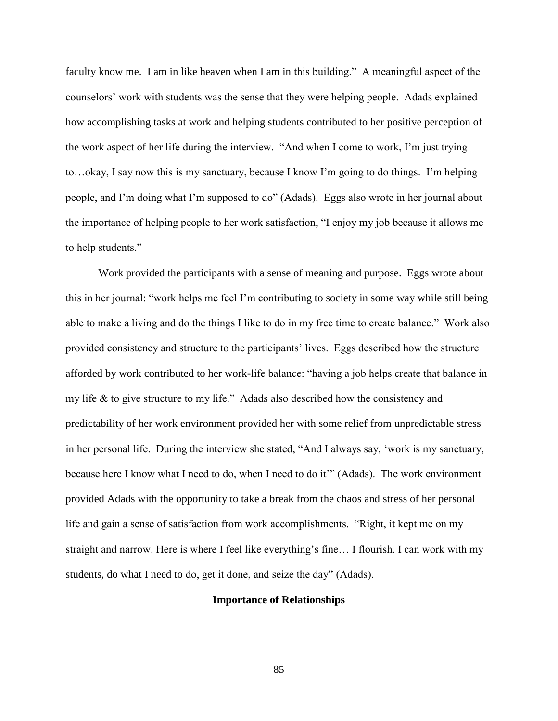faculty know me. I am in like heaven when I am in this building." A meaningful aspect of the counselors' work with students was the sense that they were helping people. Adads explained how accomplishing tasks at work and helping students contributed to her positive perception of the work aspect of her life during the interview. "And when I come to work, I'm just trying to…okay, I say now this is my sanctuary, because I know I'm going to do things. I'm helping people, and I'm doing what I'm supposed to do" (Adads). Eggs also wrote in her journal about the importance of helping people to her work satisfaction, "I enjoy my job because it allows me to help students."

Work provided the participants with a sense of meaning and purpose. Eggs wrote about this in her journal: "work helps me feel I'm contributing to society in some way while still being able to make a living and do the things I like to do in my free time to create balance." Work also provided consistency and structure to the participants' lives. Eggs described how the structure afforded by work contributed to her work-life balance: "having a job helps create that balance in my life & to give structure to my life." Adads also described how the consistency and predictability of her work environment provided her with some relief from unpredictable stress in her personal life. During the interview she stated, "And I always say, 'work is my sanctuary, because here I know what I need to do, when I need to do it'" (Adads). The work environment provided Adads with the opportunity to take a break from the chaos and stress of her personal life and gain a sense of satisfaction from work accomplishments. "Right, it kept me on my straight and narrow. Here is where I feel like everything's fine… I flourish. I can work with my students, do what I need to do, get it done, and seize the day" (Adads).

# **Importance of Relationships**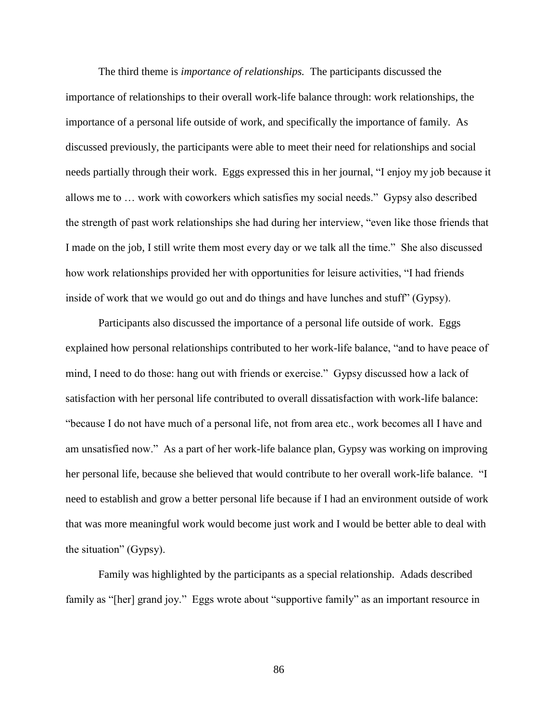The third theme is *importance of relationships.* The participants discussed the importance of relationships to their overall work-life balance through: work relationships, the importance of a personal life outside of work, and specifically the importance of family. As discussed previously, the participants were able to meet their need for relationships and social needs partially through their work. Eggs expressed this in her journal, "I enjoy my job because it allows me to … work with coworkers which satisfies my social needs." Gypsy also described the strength of past work relationships she had during her interview, "even like those friends that I made on the job, I still write them most every day or we talk all the time." She also discussed how work relationships provided her with opportunities for leisure activities, "I had friends inside of work that we would go out and do things and have lunches and stuff" (Gypsy).

Participants also discussed the importance of a personal life outside of work. Eggs explained how personal relationships contributed to her work-life balance, "and to have peace of mind, I need to do those: hang out with friends or exercise." Gypsy discussed how a lack of satisfaction with her personal life contributed to overall dissatisfaction with work-life balance: "because I do not have much of a personal life, not from area etc., work becomes all I have and am unsatisfied now." As a part of her work-life balance plan, Gypsy was working on improving her personal life, because she believed that would contribute to her overall work-life balance. "I need to establish and grow a better personal life because if I had an environment outside of work that was more meaningful work would become just work and I would be better able to deal with the situation" (Gypsy).

Family was highlighted by the participants as a special relationship. Adads described family as "[her] grand joy." Eggs wrote about "supportive family" as an important resource in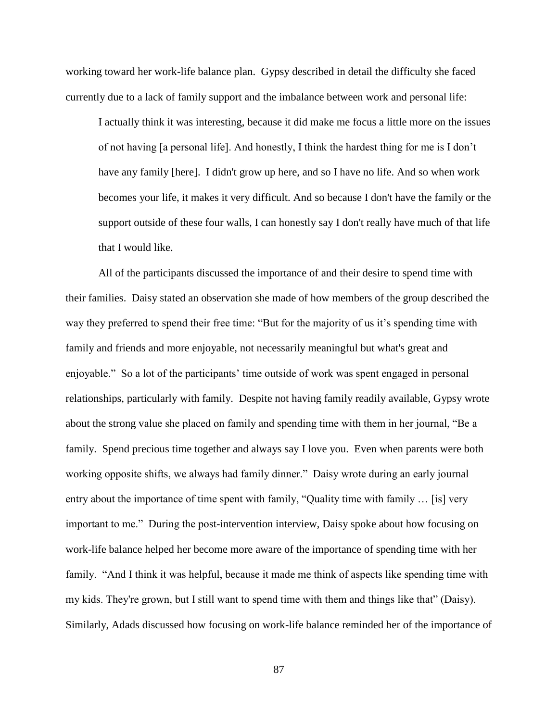working toward her work-life balance plan. Gypsy described in detail the difficulty she faced currently due to a lack of family support and the imbalance between work and personal life:

I actually think it was interesting, because it did make me focus a little more on the issues of not having [a personal life]. And honestly, I think the hardest thing for me is I don't have any family [here]. I didn't grow up here, and so I have no life. And so when work becomes your life, it makes it very difficult. And so because I don't have the family or the support outside of these four walls, I can honestly say I don't really have much of that life that I would like.

All of the participants discussed the importance of and their desire to spend time with their families. Daisy stated an observation she made of how members of the group described the way they preferred to spend their free time: "But for the majority of us it's spending time with family and friends and more enjoyable, not necessarily meaningful but what's great and enjoyable." So a lot of the participants' time outside of work was spent engaged in personal relationships, particularly with family. Despite not having family readily available, Gypsy wrote about the strong value she placed on family and spending time with them in her journal, "Be a family. Spend precious time together and always say I love you. Even when parents were both working opposite shifts, we always had family dinner." Daisy wrote during an early journal entry about the importance of time spent with family, "Quality time with family … [is] very important to me." During the post-intervention interview, Daisy spoke about how focusing on work-life balance helped her become more aware of the importance of spending time with her family. "And I think it was helpful, because it made me think of aspects like spending time with my kids. They're grown, but I still want to spend time with them and things like that" (Daisy). Similarly, Adads discussed how focusing on work-life balance reminded her of the importance of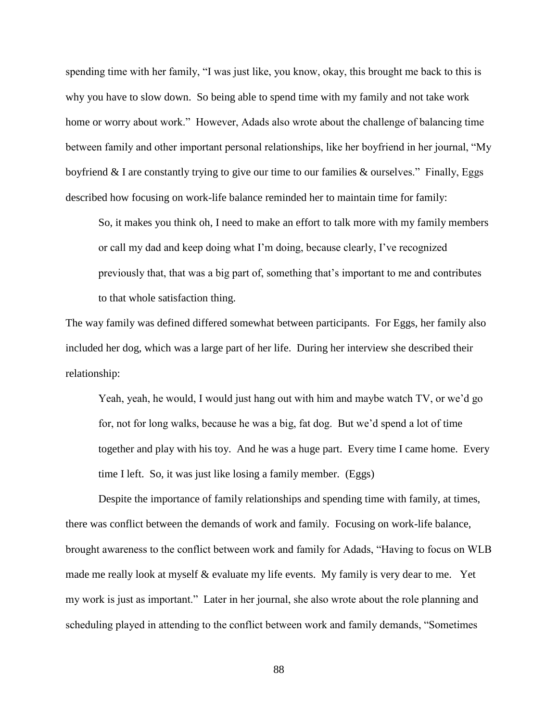spending time with her family, "I was just like, you know, okay, this brought me back to this is why you have to slow down. So being able to spend time with my family and not take work home or worry about work." However, Adads also wrote about the challenge of balancing time between family and other important personal relationships, like her boyfriend in her journal, "My boyfriend & I are constantly trying to give our time to our families & ourselves." Finally, Eggs described how focusing on work-life balance reminded her to maintain time for family:

So, it makes you think oh, I need to make an effort to talk more with my family members or call my dad and keep doing what I'm doing, because clearly, I've recognized previously that, that was a big part of, something that's important to me and contributes to that whole satisfaction thing.

The way family was defined differed somewhat between participants. For Eggs, her family also included her dog, which was a large part of her life. During her interview she described their relationship:

Yeah, yeah, he would, I would just hang out with him and maybe watch TV, or we'd go for, not for long walks, because he was a big, fat dog. But we'd spend a lot of time together and play with his toy. And he was a huge part. Every time I came home. Every time I left. So, it was just like losing a family member. (Eggs)

Despite the importance of family relationships and spending time with family, at times, there was conflict between the demands of work and family. Focusing on work-life balance, brought awareness to the conflict between work and family for Adads, "Having to focus on WLB made me really look at myself & evaluate my life events. My family is very dear to me. Yet my work is just as important." Later in her journal, she also wrote about the role planning and scheduling played in attending to the conflict between work and family demands, "Sometimes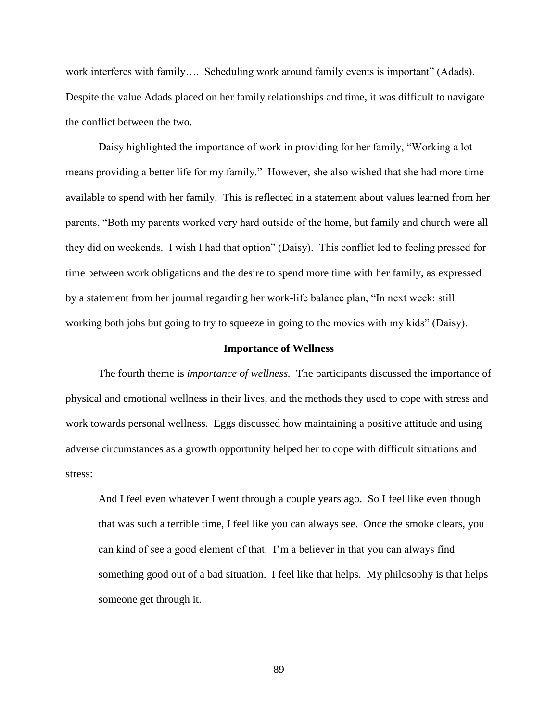work interferes with family…. Scheduling work around family events is important" (Adads). Despite the value Adads placed on her family relationships and time, it was difficult to navigate the conflict between the two.

Daisy highlighted the importance of work in providing for her family, "Working a lot means providing a better life for my family." However, she also wished that she had more time available to spend with her family. This is reflected in a statement about values learned from her parents, "Both my parents worked very hard outside of the home, but family and church were all they did on weekends. I wish I had that option" (Daisy). This conflict led to feeling pressed for time between work obligations and the desire to spend more time with her family, as expressed by a statement from her journal regarding her work-life balance plan, "In next week: still working both jobs but going to try to squeeze in going to the movies with my kids" (Daisy).

#### **Importance of Wellness**

The fourth theme is *importance of wellness.* The participants discussed the importance of physical and emotional wellness in their lives, and the methods they used to cope with stress and work towards personal wellness. Eggs discussed how maintaining a positive attitude and using adverse circumstances as a growth opportunity helped her to cope with difficult situations and stress:

And I feel even whatever I went through a couple years ago. So I feel like even though that was such a terrible time, I feel like you can always see. Once the smoke clears, you can kind of see a good element of that. I'm a believer in that you can always find something good out of a bad situation. I feel like that helps. My philosophy is that helps someone get through it.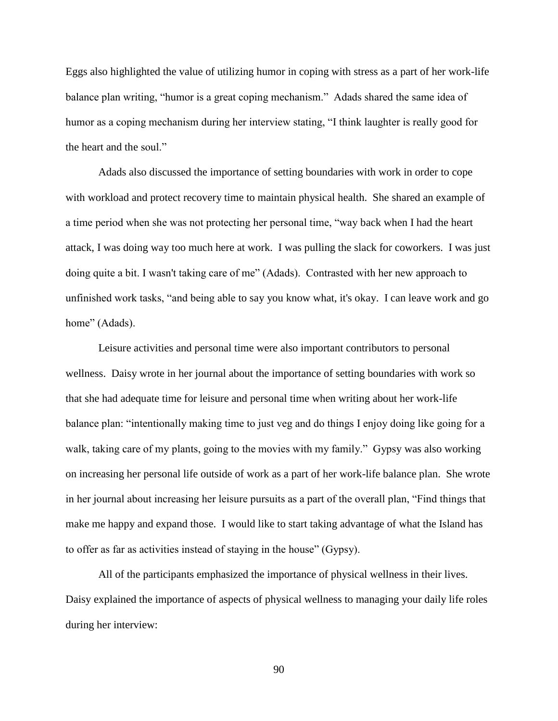Eggs also highlighted the value of utilizing humor in coping with stress as a part of her work-life balance plan writing, "humor is a great coping mechanism." Adads shared the same idea of humor as a coping mechanism during her interview stating, "I think laughter is really good for the heart and the soul."

Adads also discussed the importance of setting boundaries with work in order to cope with workload and protect recovery time to maintain physical health. She shared an example of a time period when she was not protecting her personal time, "way back when I had the heart attack, I was doing way too much here at work. I was pulling the slack for coworkers. I was just doing quite a bit. I wasn't taking care of me" (Adads). Contrasted with her new approach to unfinished work tasks, "and being able to say you know what, it's okay. I can leave work and go home" (Adads).

Leisure activities and personal time were also important contributors to personal wellness. Daisy wrote in her journal about the importance of setting boundaries with work so that she had adequate time for leisure and personal time when writing about her work-life balance plan: "intentionally making time to just veg and do things I enjoy doing like going for a walk, taking care of my plants, going to the movies with my family." Gypsy was also working on increasing her personal life outside of work as a part of her work-life balance plan. She wrote in her journal about increasing her leisure pursuits as a part of the overall plan, "Find things that make me happy and expand those. I would like to start taking advantage of what the Island has to offer as far as activities instead of staying in the house" (Gypsy).

All of the participants emphasized the importance of physical wellness in their lives. Daisy explained the importance of aspects of physical wellness to managing your daily life roles during her interview: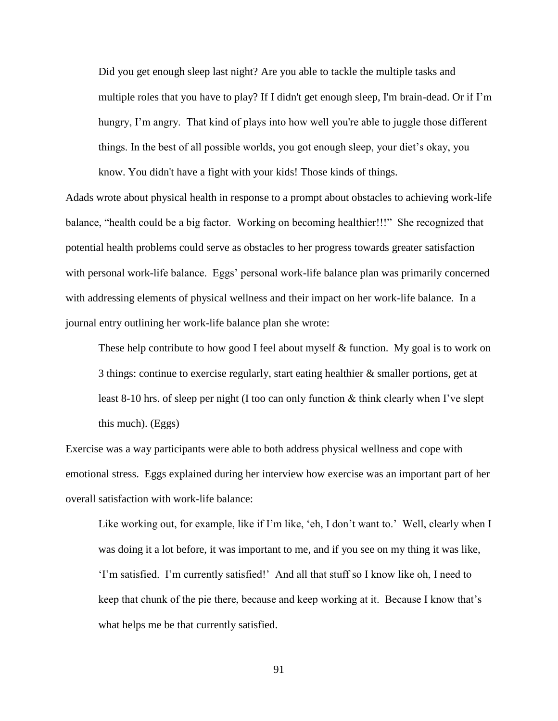Did you get enough sleep last night? Are you able to tackle the multiple tasks and multiple roles that you have to play? If I didn't get enough sleep, I'm brain-dead. Or if I'm hungry, I'm angry. That kind of plays into how well you're able to juggle those different things. In the best of all possible worlds, you got enough sleep, your diet's okay, you know. You didn't have a fight with your kids! Those kinds of things.

Adads wrote about physical health in response to a prompt about obstacles to achieving work-life balance, "health could be a big factor. Working on becoming healthier!!!" She recognized that potential health problems could serve as obstacles to her progress towards greater satisfaction with personal work-life balance. Eggs' personal work-life balance plan was primarily concerned with addressing elements of physical wellness and their impact on her work-life balance. In a journal entry outlining her work-life balance plan she wrote:

These help contribute to how good I feel about myself & function. My goal is to work on 3 things: continue to exercise regularly, start eating healthier & smaller portions, get at least 8-10 hrs. of sleep per night (I too can only function & think clearly when I've slept this much). (Eggs)

Exercise was a way participants were able to both address physical wellness and cope with emotional stress. Eggs explained during her interview how exercise was an important part of her overall satisfaction with work-life balance:

Like working out, for example, like if I'm like, 'eh, I don't want to.' Well, clearly when I was doing it a lot before, it was important to me, and if you see on my thing it was like, 'I'm satisfied. I'm currently satisfied!' And all that stuff so I know like oh, I need to keep that chunk of the pie there, because and keep working at it. Because I know that's what helps me be that currently satisfied.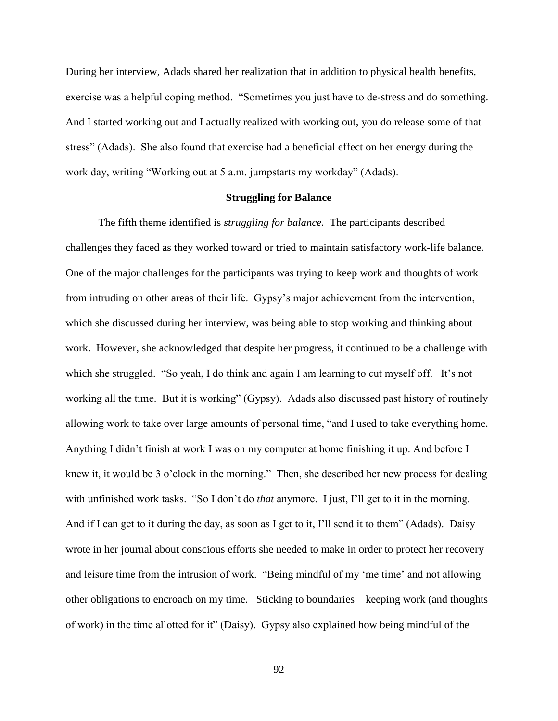During her interview, Adads shared her realization that in addition to physical health benefits, exercise was a helpful coping method. "Sometimes you just have to de-stress and do something. And I started working out and I actually realized with working out, you do release some of that stress" (Adads). She also found that exercise had a beneficial effect on her energy during the work day, writing "Working out at 5 a.m. jumpstarts my workday" (Adads).

# **Struggling for Balance**

The fifth theme identified is *struggling for balance.* The participants described challenges they faced as they worked toward or tried to maintain satisfactory work-life balance. One of the major challenges for the participants was trying to keep work and thoughts of work from intruding on other areas of their life. Gypsy's major achievement from the intervention, which she discussed during her interview, was being able to stop working and thinking about work. However, she acknowledged that despite her progress, it continued to be a challenge with which she struggled. "So yeah, I do think and again I am learning to cut myself off. It's not working all the time. But it is working" (Gypsy). Adads also discussed past history of routinely allowing work to take over large amounts of personal time, "and I used to take everything home. Anything I didn't finish at work I was on my computer at home finishing it up. And before I knew it, it would be 3 o'clock in the morning." Then, she described her new process for dealing with unfinished work tasks. "So I don't do *that* anymore. I just, I'll get to it in the morning. And if I can get to it during the day, as soon as I get to it, I'll send it to them" (Adads). Daisy wrote in her journal about conscious efforts she needed to make in order to protect her recovery and leisure time from the intrusion of work. "Being mindful of my 'me time' and not allowing other obligations to encroach on my time. Sticking to boundaries – keeping work (and thoughts of work) in the time allotted for it" (Daisy). Gypsy also explained how being mindful of the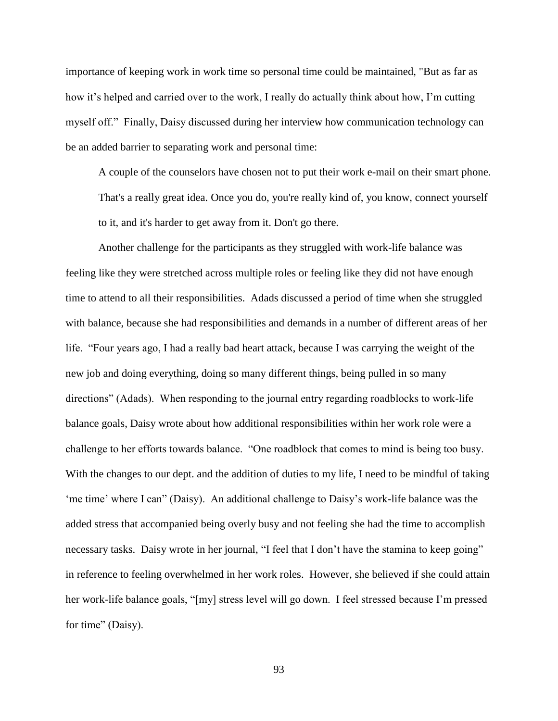importance of keeping work in work time so personal time could be maintained, "But as far as how it's helped and carried over to the work, I really do actually think about how, I'm cutting myself off." Finally, Daisy discussed during her interview how communication technology can be an added barrier to separating work and personal time:

A couple of the counselors have chosen not to put their work e-mail on their smart phone. That's a really great idea. Once you do, you're really kind of, you know, connect yourself to it, and it's harder to get away from it. Don't go there.

Another challenge for the participants as they struggled with work-life balance was feeling like they were stretched across multiple roles or feeling like they did not have enough time to attend to all their responsibilities. Adads discussed a period of time when she struggled with balance, because she had responsibilities and demands in a number of different areas of her life. "Four years ago, I had a really bad heart attack, because I was carrying the weight of the new job and doing everything, doing so many different things, being pulled in so many directions" (Adads). When responding to the journal entry regarding roadblocks to work-life balance goals, Daisy wrote about how additional responsibilities within her work role were a challenge to her efforts towards balance. "One roadblock that comes to mind is being too busy. With the changes to our dept. and the addition of duties to my life, I need to be mindful of taking 'me time' where I can" (Daisy). An additional challenge to Daisy's work-life balance was the added stress that accompanied being overly busy and not feeling she had the time to accomplish necessary tasks. Daisy wrote in her journal, "I feel that I don't have the stamina to keep going" in reference to feeling overwhelmed in her work roles. However, she believed if she could attain her work-life balance goals, "[my] stress level will go down. I feel stressed because I'm pressed for time" (Daisy).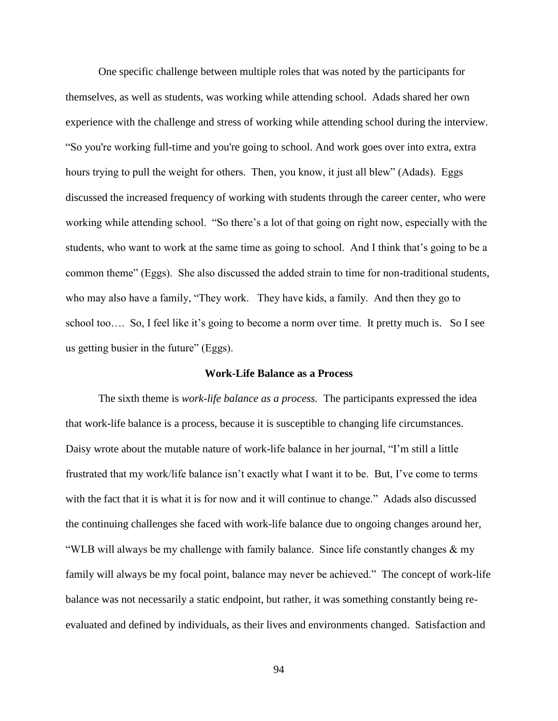One specific challenge between multiple roles that was noted by the participants for themselves, as well as students, was working while attending school. Adads shared her own experience with the challenge and stress of working while attending school during the interview. "So you're working full-time and you're going to school. And work goes over into extra, extra hours trying to pull the weight for others. Then, you know, it just all blew" (Adads). Eggs discussed the increased frequency of working with students through the career center, who were working while attending school. "So there's a lot of that going on right now, especially with the students, who want to work at the same time as going to school. And I think that's going to be a common theme" (Eggs). She also discussed the added strain to time for non-traditional students, who may also have a family, "They work. They have kids, a family. And then they go to school too…. So, I feel like it's going to become a norm over time. It pretty much is. So I see us getting busier in the future" (Eggs).

### **Work-Life Balance as a Process**

The sixth theme is *work-life balance as a process.* The participants expressed the idea that work-life balance is a process, because it is susceptible to changing life circumstances. Daisy wrote about the mutable nature of work-life balance in her journal, "I'm still a little frustrated that my work/life balance isn't exactly what I want it to be. But, I've come to terms with the fact that it is what it is for now and it will continue to change." Adads also discussed the continuing challenges she faced with work-life balance due to ongoing changes around her, "WLB will always be my challenge with family balance. Since life constantly changes  $\&$  my family will always be my focal point, balance may never be achieved." The concept of work-life balance was not necessarily a static endpoint, but rather, it was something constantly being reevaluated and defined by individuals, as their lives and environments changed. Satisfaction and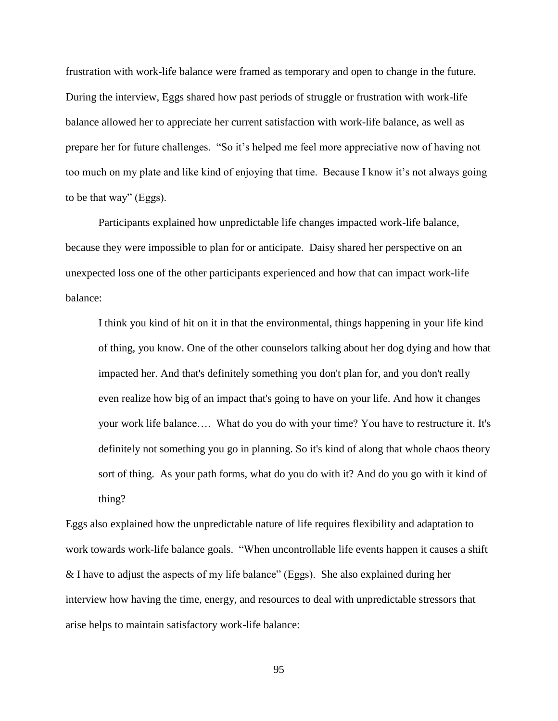frustration with work-life balance were framed as temporary and open to change in the future. During the interview, Eggs shared how past periods of struggle or frustration with work-life balance allowed her to appreciate her current satisfaction with work-life balance, as well as prepare her for future challenges. "So it's helped me feel more appreciative now of having not too much on my plate and like kind of enjoying that time. Because I know it's not always going to be that way" (Eggs).

Participants explained how unpredictable life changes impacted work-life balance, because they were impossible to plan for or anticipate. Daisy shared her perspective on an unexpected loss one of the other participants experienced and how that can impact work-life balance:

I think you kind of hit on it in that the environmental, things happening in your life kind of thing, you know. One of the other counselors talking about her dog dying and how that impacted her. And that's definitely something you don't plan for, and you don't really even realize how big of an impact that's going to have on your life. And how it changes your work life balance…. What do you do with your time? You have to restructure it. It's definitely not something you go in planning. So it's kind of along that whole chaos theory sort of thing. As your path forms, what do you do with it? And do you go with it kind of thing?

Eggs also explained how the unpredictable nature of life requires flexibility and adaptation to work towards work-life balance goals. "When uncontrollable life events happen it causes a shift & I have to adjust the aspects of my life balance" (Eggs). She also explained during her interview how having the time, energy, and resources to deal with unpredictable stressors that arise helps to maintain satisfactory work-life balance: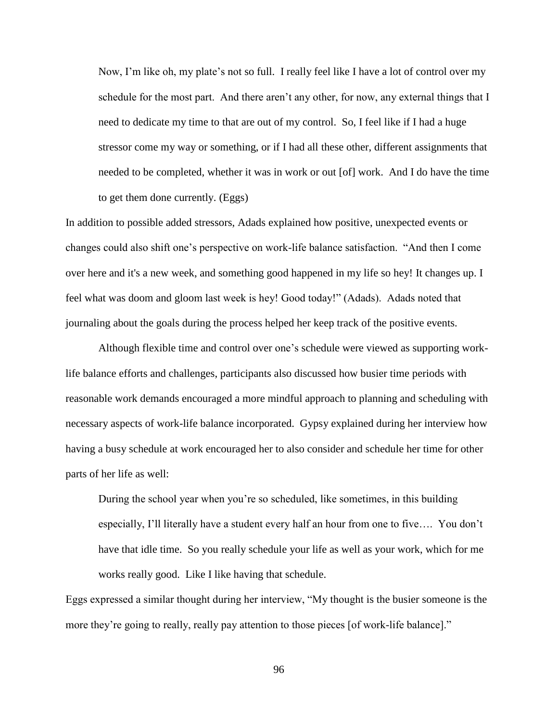Now, I'm like oh, my plate's not so full. I really feel like I have a lot of control over my schedule for the most part. And there aren't any other, for now, any external things that I need to dedicate my time to that are out of my control. So, I feel like if I had a huge stressor come my way or something, or if I had all these other, different assignments that needed to be completed, whether it was in work or out [of] work. And I do have the time to get them done currently. (Eggs)

In addition to possible added stressors, Adads explained how positive, unexpected events or changes could also shift one's perspective on work-life balance satisfaction. "And then I come over here and it's a new week, and something good happened in my life so hey! It changes up. I feel what was doom and gloom last week is hey! Good today!" (Adads). Adads noted that journaling about the goals during the process helped her keep track of the positive events.

Although flexible time and control over one's schedule were viewed as supporting worklife balance efforts and challenges, participants also discussed how busier time periods with reasonable work demands encouraged a more mindful approach to planning and scheduling with necessary aspects of work-life balance incorporated. Gypsy explained during her interview how having a busy schedule at work encouraged her to also consider and schedule her time for other parts of her life as well:

During the school year when you're so scheduled, like sometimes, in this building especially, I'll literally have a student every half an hour from one to five…. You don't have that idle time. So you really schedule your life as well as your work, which for me works really good. Like I like having that schedule.

Eggs expressed a similar thought during her interview, "My thought is the busier someone is the more they're going to really, really pay attention to those pieces [of work-life balance]."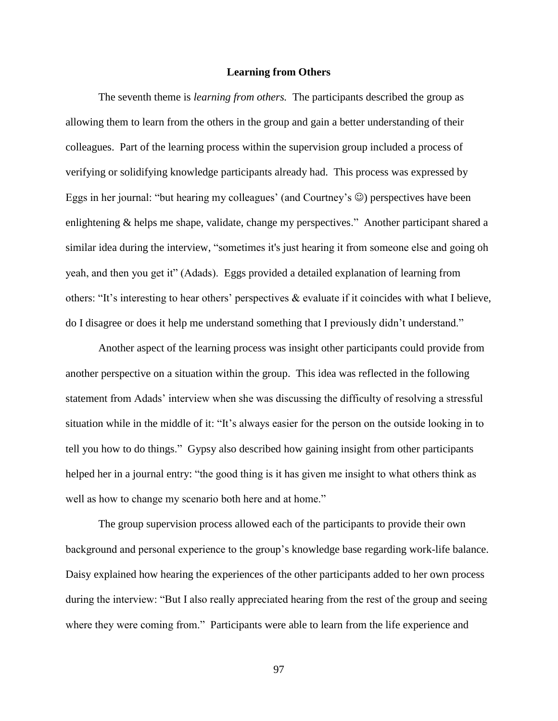# **Learning from Others**

The seventh theme is *learning from others.* The participants described the group as allowing them to learn from the others in the group and gain a better understanding of their colleagues. Part of the learning process within the supervision group included a process of verifying or solidifying knowledge participants already had. This process was expressed by Eggs in her journal: "but hearing my colleagues' (and Courtney's  $\circledcirc$ ) perspectives have been enlightening & helps me shape, validate, change my perspectives." Another participant shared a similar idea during the interview, "sometimes it's just hearing it from someone else and going oh yeah, and then you get it" (Adads). Eggs provided a detailed explanation of learning from others: "It's interesting to hear others' perspectives & evaluate if it coincides with what I believe, do I disagree or does it help me understand something that I previously didn't understand."

Another aspect of the learning process was insight other participants could provide from another perspective on a situation within the group. This idea was reflected in the following statement from Adads' interview when she was discussing the difficulty of resolving a stressful situation while in the middle of it: "It's always easier for the person on the outside looking in to tell you how to do things." Gypsy also described how gaining insight from other participants helped her in a journal entry: "the good thing is it has given me insight to what others think as well as how to change my scenario both here and at home."

The group supervision process allowed each of the participants to provide their own background and personal experience to the group's knowledge base regarding work-life balance. Daisy explained how hearing the experiences of the other participants added to her own process during the interview: "But I also really appreciated hearing from the rest of the group and seeing where they were coming from." Participants were able to learn from the life experience and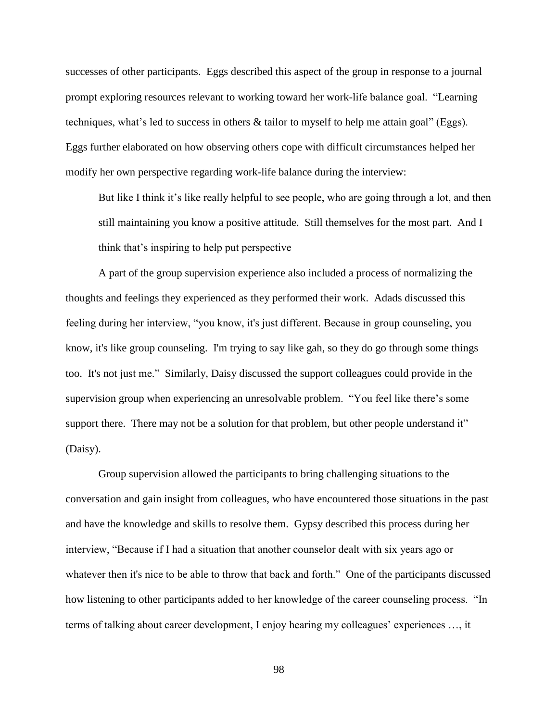successes of other participants. Eggs described this aspect of the group in response to a journal prompt exploring resources relevant to working toward her work-life balance goal. "Learning techniques, what's led to success in others & tailor to myself to help me attain goal" (Eggs). Eggs further elaborated on how observing others cope with difficult circumstances helped her modify her own perspective regarding work-life balance during the interview:

But like I think it's like really helpful to see people, who are going through a lot, and then still maintaining you know a positive attitude. Still themselves for the most part. And I think that's inspiring to help put perspective

A part of the group supervision experience also included a process of normalizing the thoughts and feelings they experienced as they performed their work. Adads discussed this feeling during her interview, "you know, it's just different. Because in group counseling, you know, it's like group counseling. I'm trying to say like gah, so they do go through some things too. It's not just me." Similarly, Daisy discussed the support colleagues could provide in the supervision group when experiencing an unresolvable problem. "You feel like there's some support there. There may not be a solution for that problem, but other people understand it" (Daisy).

Group supervision allowed the participants to bring challenging situations to the conversation and gain insight from colleagues, who have encountered those situations in the past and have the knowledge and skills to resolve them. Gypsy described this process during her interview, "Because if I had a situation that another counselor dealt with six years ago or whatever then it's nice to be able to throw that back and forth." One of the participants discussed how listening to other participants added to her knowledge of the career counseling process. "In terms of talking about career development, I enjoy hearing my colleagues' experiences …, it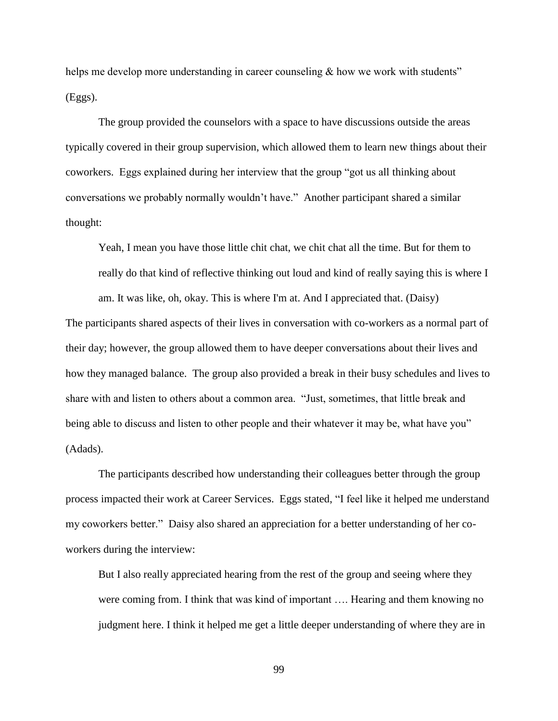helps me develop more understanding in career counseling & how we work with students" (Eggs).

The group provided the counselors with a space to have discussions outside the areas typically covered in their group supervision, which allowed them to learn new things about their coworkers. Eggs explained during her interview that the group "got us all thinking about conversations we probably normally wouldn't have." Another participant shared a similar thought:

Yeah, I mean you have those little chit chat, we chit chat all the time. But for them to really do that kind of reflective thinking out loud and kind of really saying this is where I am. It was like, oh, okay. This is where I'm at. And I appreciated that. (Daisy)

The participants shared aspects of their lives in conversation with co-workers as a normal part of their day; however, the group allowed them to have deeper conversations about their lives and how they managed balance. The group also provided a break in their busy schedules and lives to share with and listen to others about a common area. "Just, sometimes, that little break and being able to discuss and listen to other people and their whatever it may be, what have you" (Adads).

The participants described how understanding their colleagues better through the group process impacted their work at Career Services. Eggs stated, "I feel like it helped me understand my coworkers better." Daisy also shared an appreciation for a better understanding of her coworkers during the interview:

But I also really appreciated hearing from the rest of the group and seeing where they were coming from. I think that was kind of important …. Hearing and them knowing no judgment here. I think it helped me get a little deeper understanding of where they are in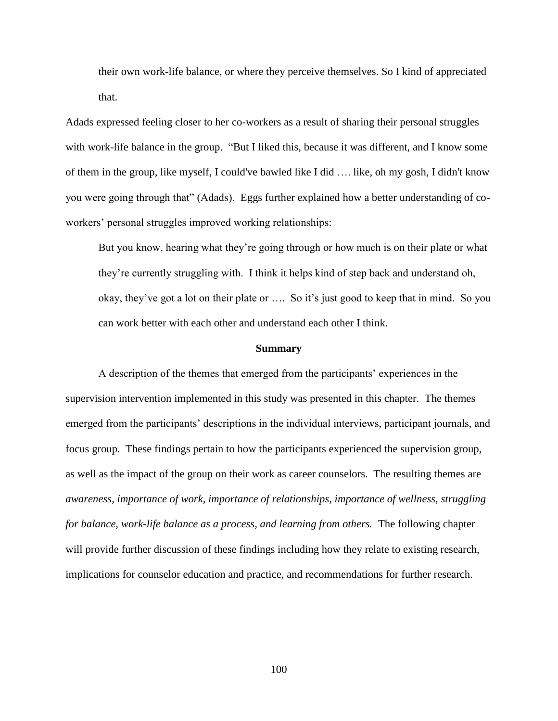their own work-life balance, or where they perceive themselves. So I kind of appreciated that.

Adads expressed feeling closer to her co-workers as a result of sharing their personal struggles with work-life balance in the group. "But I liked this, because it was different, and I know some of them in the group, like myself, I could've bawled like I did …. like, oh my gosh, I didn't know you were going through that" (Adads). Eggs further explained how a better understanding of coworkers' personal struggles improved working relationships:

But you know, hearing what they're going through or how much is on their plate or what they're currently struggling with. I think it helps kind of step back and understand oh, okay, they've got a lot on their plate or …. So it's just good to keep that in mind. So you can work better with each other and understand each other I think.

#### **Summary**

A description of the themes that emerged from the participants' experiences in the supervision intervention implemented in this study was presented in this chapter. The themes emerged from the participants' descriptions in the individual interviews, participant journals, and focus group. These findings pertain to how the participants experienced the supervision group, as well as the impact of the group on their work as career counselors. The resulting themes are *awareness, importance of work, importance of relationships, importance of wellness, struggling for balance, work-life balance as a process, and learning from others.* The following chapter will provide further discussion of these findings including how they relate to existing research, implications for counselor education and practice, and recommendations for further research.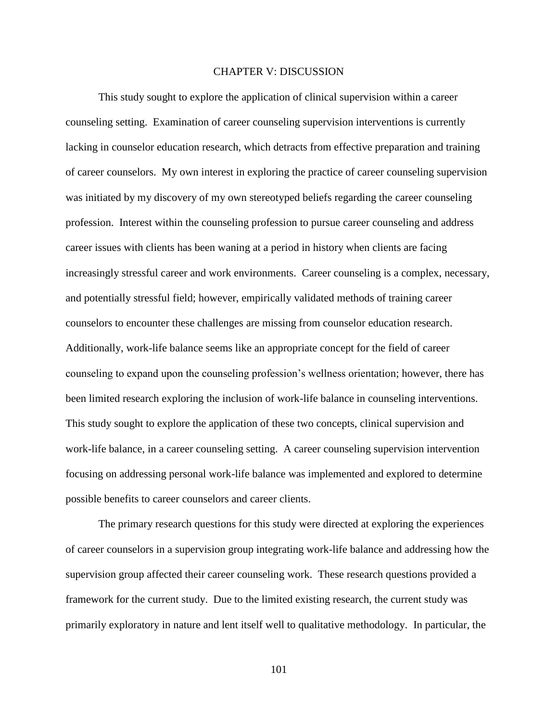# CHAPTER V: DISCUSSION

This study sought to explore the application of clinical supervision within a career counseling setting. Examination of career counseling supervision interventions is currently lacking in counselor education research, which detracts from effective preparation and training of career counselors. My own interest in exploring the practice of career counseling supervision was initiated by my discovery of my own stereotyped beliefs regarding the career counseling profession. Interest within the counseling profession to pursue career counseling and address career issues with clients has been waning at a period in history when clients are facing increasingly stressful career and work environments. Career counseling is a complex, necessary, and potentially stressful field; however, empirically validated methods of training career counselors to encounter these challenges are missing from counselor education research. Additionally, work-life balance seems like an appropriate concept for the field of career counseling to expand upon the counseling profession's wellness orientation; however, there has been limited research exploring the inclusion of work-life balance in counseling interventions. This study sought to explore the application of these two concepts, clinical supervision and work-life balance, in a career counseling setting. A career counseling supervision intervention focusing on addressing personal work-life balance was implemented and explored to determine possible benefits to career counselors and career clients.

The primary research questions for this study were directed at exploring the experiences of career counselors in a supervision group integrating work-life balance and addressing how the supervision group affected their career counseling work. These research questions provided a framework for the current study. Due to the limited existing research, the current study was primarily exploratory in nature and lent itself well to qualitative methodology. In particular, the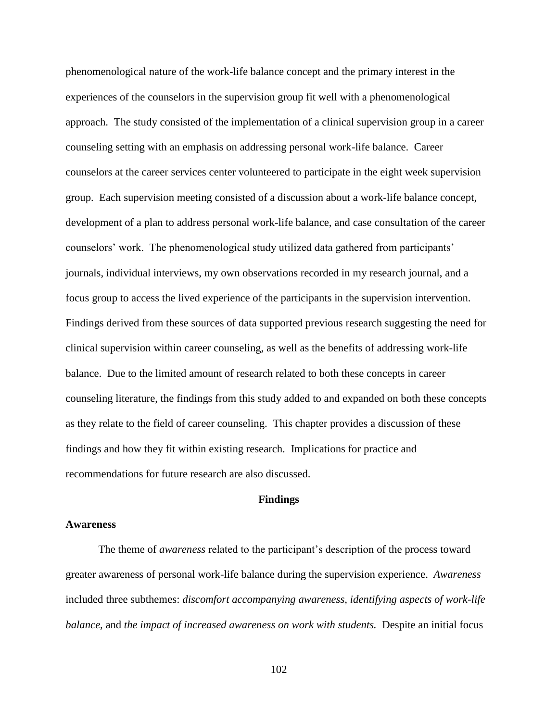phenomenological nature of the work-life balance concept and the primary interest in the experiences of the counselors in the supervision group fit well with a phenomenological approach. The study consisted of the implementation of a clinical supervision group in a career counseling setting with an emphasis on addressing personal work-life balance. Career counselors at the career services center volunteered to participate in the eight week supervision group. Each supervision meeting consisted of a discussion about a work-life balance concept, development of a plan to address personal work-life balance, and case consultation of the career counselors' work. The phenomenological study utilized data gathered from participants' journals, individual interviews, my own observations recorded in my research journal, and a focus group to access the lived experience of the participants in the supervision intervention. Findings derived from these sources of data supported previous research suggesting the need for clinical supervision within career counseling, as well as the benefits of addressing work-life balance. Due to the limited amount of research related to both these concepts in career counseling literature, the findings from this study added to and expanded on both these concepts as they relate to the field of career counseling. This chapter provides a discussion of these findings and how they fit within existing research. Implications for practice and recommendations for future research are also discussed.

# **Findings**

#### **Awareness**

The theme of *awareness* related to the participant's description of the process toward greater awareness of personal work-life balance during the supervision experience. *Awareness* included three subthemes: *discomfort accompanying awareness, identifying aspects of work-life balance,* and *the impact of increased awareness on work with students.* Despite an initial focus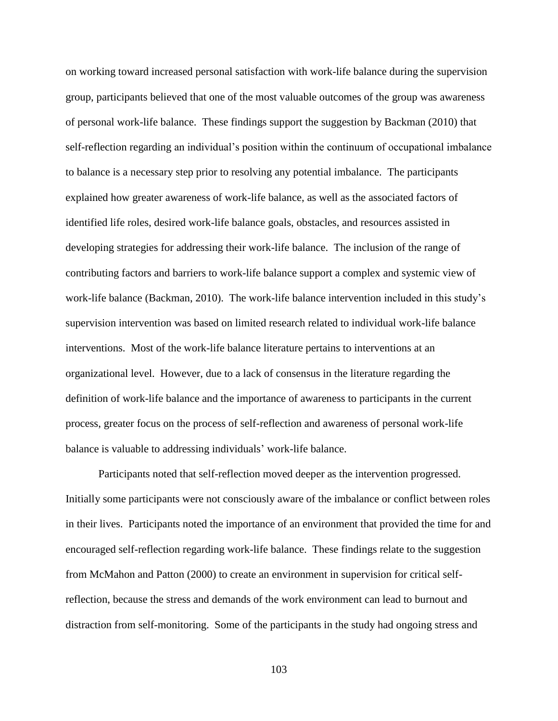on working toward increased personal satisfaction with work-life balance during the supervision group, participants believed that one of the most valuable outcomes of the group was awareness of personal work-life balance. These findings support the suggestion by Backman (2010) that self-reflection regarding an individual's position within the continuum of occupational imbalance to balance is a necessary step prior to resolving any potential imbalance. The participants explained how greater awareness of work-life balance, as well as the associated factors of identified life roles, desired work-life balance goals, obstacles, and resources assisted in developing strategies for addressing their work-life balance. The inclusion of the range of contributing factors and barriers to work-life balance support a complex and systemic view of work-life balance (Backman, 2010). The work-life balance intervention included in this study's supervision intervention was based on limited research related to individual work-life balance interventions. Most of the work-life balance literature pertains to interventions at an organizational level. However, due to a lack of consensus in the literature regarding the definition of work-life balance and the importance of awareness to participants in the current process, greater focus on the process of self-reflection and awareness of personal work-life balance is valuable to addressing individuals' work-life balance.

Participants noted that self-reflection moved deeper as the intervention progressed. Initially some participants were not consciously aware of the imbalance or conflict between roles in their lives. Participants noted the importance of an environment that provided the time for and encouraged self-reflection regarding work-life balance. These findings relate to the suggestion from McMahon and Patton (2000) to create an environment in supervision for critical selfreflection, because the stress and demands of the work environment can lead to burnout and distraction from self-monitoring. Some of the participants in the study had ongoing stress and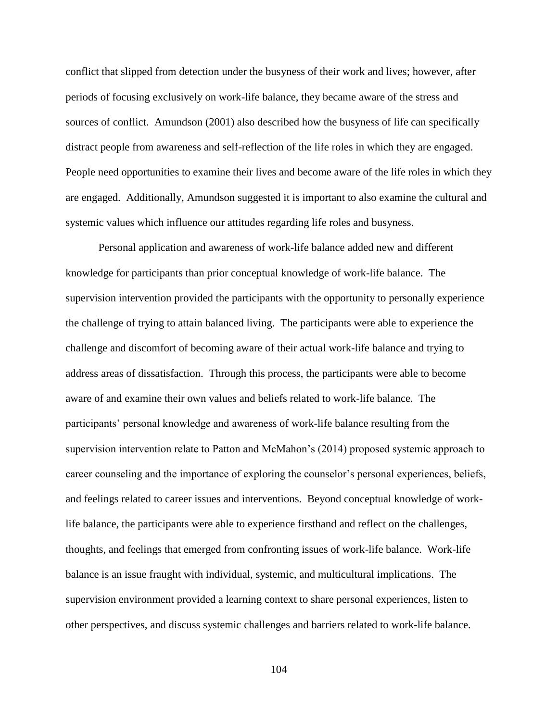conflict that slipped from detection under the busyness of their work and lives; however, after periods of focusing exclusively on work-life balance, they became aware of the stress and sources of conflict. Amundson (2001) also described how the busyness of life can specifically distract people from awareness and self-reflection of the life roles in which they are engaged. People need opportunities to examine their lives and become aware of the life roles in which they are engaged. Additionally, Amundson suggested it is important to also examine the cultural and systemic values which influence our attitudes regarding life roles and busyness.

Personal application and awareness of work-life balance added new and different knowledge for participants than prior conceptual knowledge of work-life balance. The supervision intervention provided the participants with the opportunity to personally experience the challenge of trying to attain balanced living. The participants were able to experience the challenge and discomfort of becoming aware of their actual work-life balance and trying to address areas of dissatisfaction. Through this process, the participants were able to become aware of and examine their own values and beliefs related to work-life balance. The participants' personal knowledge and awareness of work-life balance resulting from the supervision intervention relate to Patton and McMahon's (2014) proposed systemic approach to career counseling and the importance of exploring the counselor's personal experiences, beliefs, and feelings related to career issues and interventions. Beyond conceptual knowledge of worklife balance, the participants were able to experience firsthand and reflect on the challenges, thoughts, and feelings that emerged from confronting issues of work-life balance. Work-life balance is an issue fraught with individual, systemic, and multicultural implications. The supervision environment provided a learning context to share personal experiences, listen to other perspectives, and discuss systemic challenges and barriers related to work-life balance.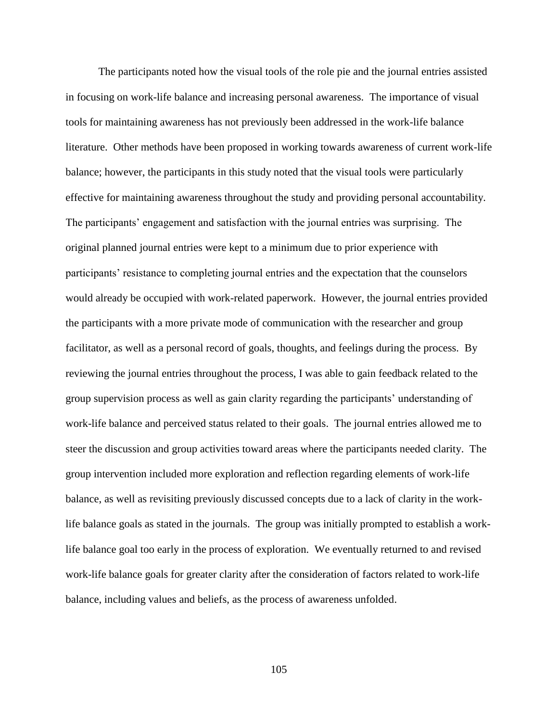The participants noted how the visual tools of the role pie and the journal entries assisted in focusing on work-life balance and increasing personal awareness. The importance of visual tools for maintaining awareness has not previously been addressed in the work-life balance literature. Other methods have been proposed in working towards awareness of current work-life balance; however, the participants in this study noted that the visual tools were particularly effective for maintaining awareness throughout the study and providing personal accountability. The participants' engagement and satisfaction with the journal entries was surprising. The original planned journal entries were kept to a minimum due to prior experience with participants' resistance to completing journal entries and the expectation that the counselors would already be occupied with work-related paperwork. However, the journal entries provided the participants with a more private mode of communication with the researcher and group facilitator, as well as a personal record of goals, thoughts, and feelings during the process. By reviewing the journal entries throughout the process, I was able to gain feedback related to the group supervision process as well as gain clarity regarding the participants' understanding of work-life balance and perceived status related to their goals. The journal entries allowed me to steer the discussion and group activities toward areas where the participants needed clarity. The group intervention included more exploration and reflection regarding elements of work-life balance, as well as revisiting previously discussed concepts due to a lack of clarity in the worklife balance goals as stated in the journals. The group was initially prompted to establish a worklife balance goal too early in the process of exploration. We eventually returned to and revised work-life balance goals for greater clarity after the consideration of factors related to work-life balance, including values and beliefs, as the process of awareness unfolded.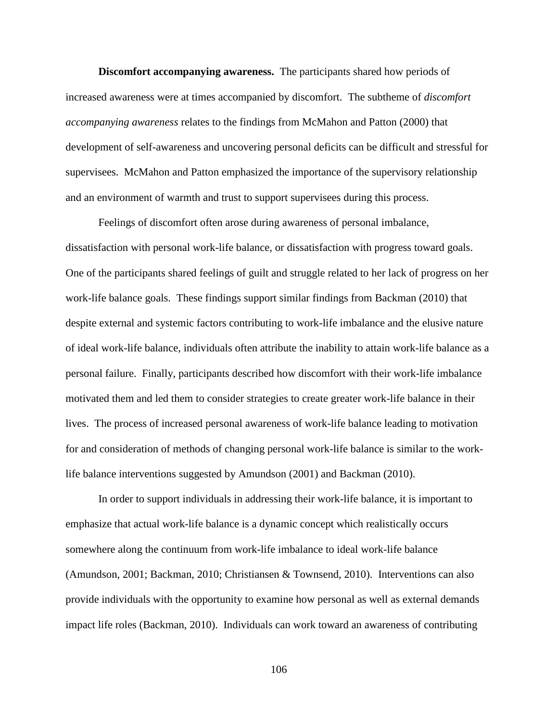**Discomfort accompanying awareness.** The participants shared how periods of increased awareness were at times accompanied by discomfort. The subtheme of *discomfort accompanying awareness* relates to the findings from McMahon and Patton (2000) that development of self-awareness and uncovering personal deficits can be difficult and stressful for supervisees. McMahon and Patton emphasized the importance of the supervisory relationship and an environment of warmth and trust to support supervisees during this process.

Feelings of discomfort often arose during awareness of personal imbalance, dissatisfaction with personal work-life balance, or dissatisfaction with progress toward goals. One of the participants shared feelings of guilt and struggle related to her lack of progress on her work-life balance goals. These findings support similar findings from Backman (2010) that despite external and systemic factors contributing to work-life imbalance and the elusive nature of ideal work-life balance, individuals often attribute the inability to attain work-life balance as a personal failure. Finally, participants described how discomfort with their work-life imbalance motivated them and led them to consider strategies to create greater work-life balance in their lives. The process of increased personal awareness of work-life balance leading to motivation for and consideration of methods of changing personal work-life balance is similar to the worklife balance interventions suggested by Amundson (2001) and Backman (2010).

In order to support individuals in addressing their work-life balance, it is important to emphasize that actual work-life balance is a dynamic concept which realistically occurs somewhere along the continuum from work-life imbalance to ideal work-life balance (Amundson, 2001; Backman, 2010; Christiansen & Townsend, 2010). Interventions can also provide individuals with the opportunity to examine how personal as well as external demands impact life roles (Backman, 2010). Individuals can work toward an awareness of contributing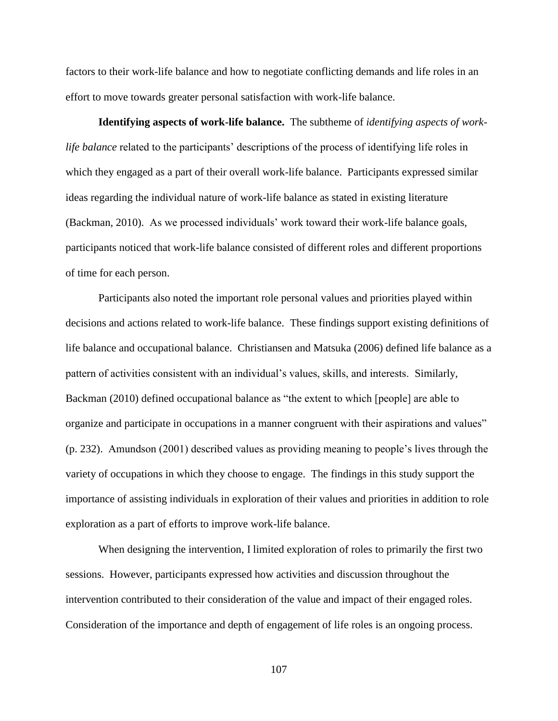factors to their work-life balance and how to negotiate conflicting demands and life roles in an effort to move towards greater personal satisfaction with work-life balance.

**Identifying aspects of work-life balance.** The subtheme of *identifying aspects of worklife balance* related to the participants' descriptions of the process of identifying life roles in which they engaged as a part of their overall work-life balance. Participants expressed similar ideas regarding the individual nature of work-life balance as stated in existing literature (Backman, 2010). As we processed individuals' work toward their work-life balance goals, participants noticed that work-life balance consisted of different roles and different proportions of time for each person.

Participants also noted the important role personal values and priorities played within decisions and actions related to work-life balance. These findings support existing definitions of life balance and occupational balance. Christiansen and Matsuka (2006) defined life balance as a pattern of activities consistent with an individual's values, skills, and interests. Similarly, Backman (2010) defined occupational balance as "the extent to which [people] are able to organize and participate in occupations in a manner congruent with their aspirations and values" (p. 232). Amundson (2001) described values as providing meaning to people's lives through the variety of occupations in which they choose to engage. The findings in this study support the importance of assisting individuals in exploration of their values and priorities in addition to role exploration as a part of efforts to improve work-life balance.

When designing the intervention, I limited exploration of roles to primarily the first two sessions. However, participants expressed how activities and discussion throughout the intervention contributed to their consideration of the value and impact of their engaged roles. Consideration of the importance and depth of engagement of life roles is an ongoing process.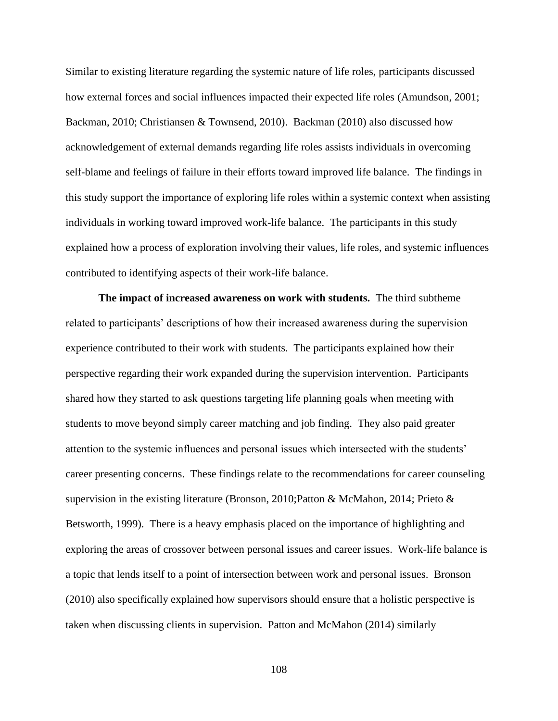Similar to existing literature regarding the systemic nature of life roles, participants discussed how external forces and social influences impacted their expected life roles (Amundson, 2001; Backman, 2010; Christiansen & Townsend, 2010). Backman (2010) also discussed how acknowledgement of external demands regarding life roles assists individuals in overcoming self-blame and feelings of failure in their efforts toward improved life balance. The findings in this study support the importance of exploring life roles within a systemic context when assisting individuals in working toward improved work-life balance. The participants in this study explained how a process of exploration involving their values, life roles, and systemic influences contributed to identifying aspects of their work-life balance.

**The impact of increased awareness on work with students.** The third subtheme related to participants' descriptions of how their increased awareness during the supervision experience contributed to their work with students. The participants explained how their perspective regarding their work expanded during the supervision intervention. Participants shared how they started to ask questions targeting life planning goals when meeting with students to move beyond simply career matching and job finding. They also paid greater attention to the systemic influences and personal issues which intersected with the students' career presenting concerns. These findings relate to the recommendations for career counseling supervision in the existing literature (Bronson, 2010;Patton & McMahon, 2014; Prieto & Betsworth, 1999). There is a heavy emphasis placed on the importance of highlighting and exploring the areas of crossover between personal issues and career issues. Work-life balance is a topic that lends itself to a point of intersection between work and personal issues. Bronson (2010) also specifically explained how supervisors should ensure that a holistic perspective is taken when discussing clients in supervision. Patton and McMahon (2014) similarly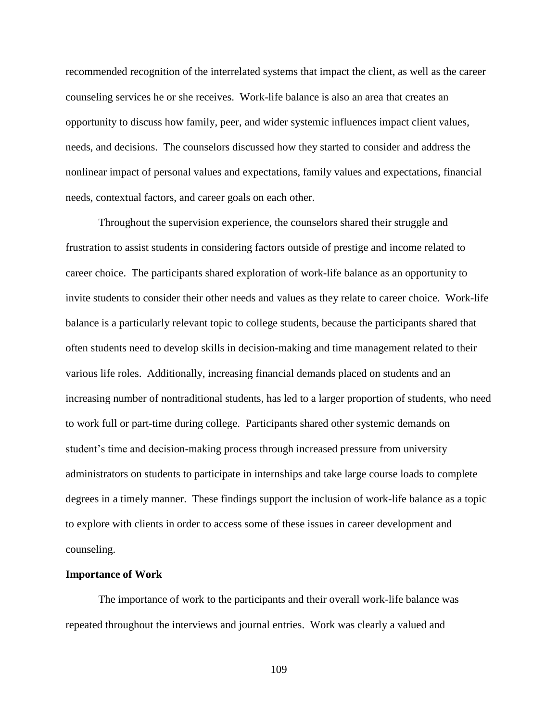recommended recognition of the interrelated systems that impact the client, as well as the career counseling services he or she receives. Work-life balance is also an area that creates an opportunity to discuss how family, peer, and wider systemic influences impact client values, needs, and decisions. The counselors discussed how they started to consider and address the nonlinear impact of personal values and expectations, family values and expectations, financial needs, contextual factors, and career goals on each other.

Throughout the supervision experience, the counselors shared their struggle and frustration to assist students in considering factors outside of prestige and income related to career choice. The participants shared exploration of work-life balance as an opportunity to invite students to consider their other needs and values as they relate to career choice. Work-life balance is a particularly relevant topic to college students, because the participants shared that often students need to develop skills in decision-making and time management related to their various life roles. Additionally, increasing financial demands placed on students and an increasing number of nontraditional students, has led to a larger proportion of students, who need to work full or part-time during college. Participants shared other systemic demands on student's time and decision-making process through increased pressure from university administrators on students to participate in internships and take large course loads to complete degrees in a timely manner. These findings support the inclusion of work-life balance as a topic to explore with clients in order to access some of these issues in career development and counseling.

#### **Importance of Work**

The importance of work to the participants and their overall work-life balance was repeated throughout the interviews and journal entries. Work was clearly a valued and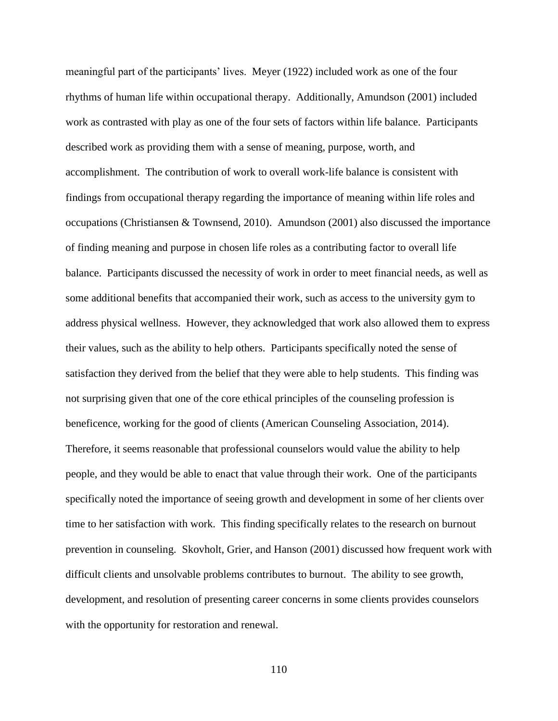meaningful part of the participants' lives. Meyer (1922) included work as one of the four rhythms of human life within occupational therapy. Additionally, Amundson (2001) included work as contrasted with play as one of the four sets of factors within life balance. Participants described work as providing them with a sense of meaning, purpose, worth, and accomplishment. The contribution of work to overall work-life balance is consistent with findings from occupational therapy regarding the importance of meaning within life roles and occupations (Christiansen & Townsend, 2010). Amundson (2001) also discussed the importance of finding meaning and purpose in chosen life roles as a contributing factor to overall life balance. Participants discussed the necessity of work in order to meet financial needs, as well as some additional benefits that accompanied their work, such as access to the university gym to address physical wellness. However, they acknowledged that work also allowed them to express their values, such as the ability to help others. Participants specifically noted the sense of satisfaction they derived from the belief that they were able to help students. This finding was not surprising given that one of the core ethical principles of the counseling profession is beneficence, working for the good of clients (American Counseling Association, 2014). Therefore, it seems reasonable that professional counselors would value the ability to help people, and they would be able to enact that value through their work. One of the participants specifically noted the importance of seeing growth and development in some of her clients over time to her satisfaction with work. This finding specifically relates to the research on burnout prevention in counseling. Skovholt, Grier, and Hanson (2001) discussed how frequent work with difficult clients and unsolvable problems contributes to burnout. The ability to see growth, development, and resolution of presenting career concerns in some clients provides counselors with the opportunity for restoration and renewal.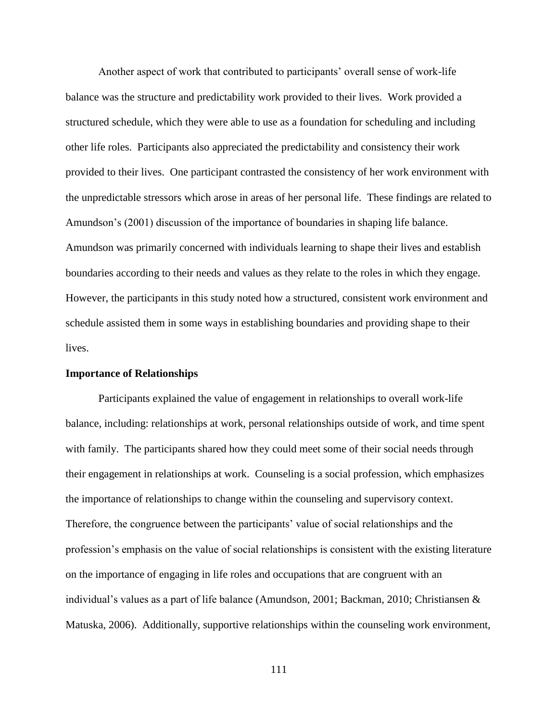Another aspect of work that contributed to participants' overall sense of work-life balance was the structure and predictability work provided to their lives. Work provided a structured schedule, which they were able to use as a foundation for scheduling and including other life roles. Participants also appreciated the predictability and consistency their work provided to their lives. One participant contrasted the consistency of her work environment with the unpredictable stressors which arose in areas of her personal life. These findings are related to Amundson's (2001) discussion of the importance of boundaries in shaping life balance. Amundson was primarily concerned with individuals learning to shape their lives and establish boundaries according to their needs and values as they relate to the roles in which they engage. However, the participants in this study noted how a structured, consistent work environment and schedule assisted them in some ways in establishing boundaries and providing shape to their lives.

# **Importance of Relationships**

Participants explained the value of engagement in relationships to overall work-life balance, including: relationships at work, personal relationships outside of work, and time spent with family. The participants shared how they could meet some of their social needs through their engagement in relationships at work. Counseling is a social profession, which emphasizes the importance of relationships to change within the counseling and supervisory context. Therefore, the congruence between the participants' value of social relationships and the profession's emphasis on the value of social relationships is consistent with the existing literature on the importance of engaging in life roles and occupations that are congruent with an individual's values as a part of life balance (Amundson, 2001; Backman, 2010; Christiansen & Matuska, 2006). Additionally, supportive relationships within the counseling work environment,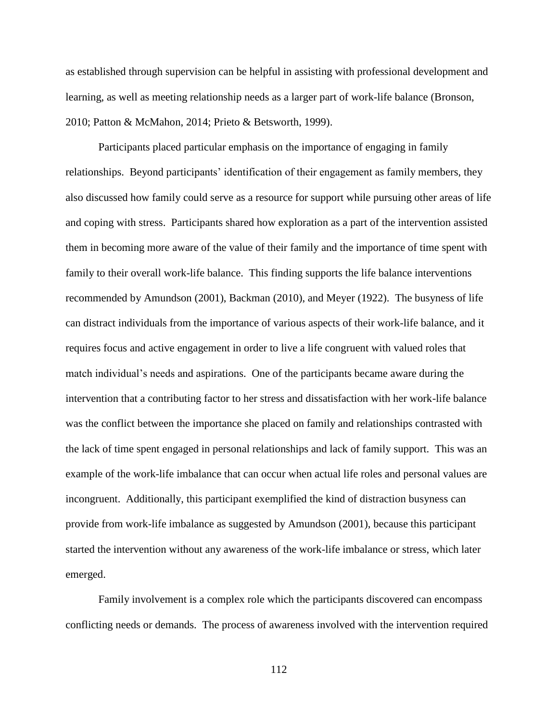as established through supervision can be helpful in assisting with professional development and learning, as well as meeting relationship needs as a larger part of work-life balance (Bronson, 2010; Patton & McMahon, 2014; Prieto & Betsworth, 1999).

Participants placed particular emphasis on the importance of engaging in family relationships. Beyond participants' identification of their engagement as family members, they also discussed how family could serve as a resource for support while pursuing other areas of life and coping with stress. Participants shared how exploration as a part of the intervention assisted them in becoming more aware of the value of their family and the importance of time spent with family to their overall work-life balance. This finding supports the life balance interventions recommended by Amundson (2001), Backman (2010), and Meyer (1922). The busyness of life can distract individuals from the importance of various aspects of their work-life balance, and it requires focus and active engagement in order to live a life congruent with valued roles that match individual's needs and aspirations. One of the participants became aware during the intervention that a contributing factor to her stress and dissatisfaction with her work-life balance was the conflict between the importance she placed on family and relationships contrasted with the lack of time spent engaged in personal relationships and lack of family support. This was an example of the work-life imbalance that can occur when actual life roles and personal values are incongruent. Additionally, this participant exemplified the kind of distraction busyness can provide from work-life imbalance as suggested by Amundson (2001), because this participant started the intervention without any awareness of the work-life imbalance or stress, which later emerged.

Family involvement is a complex role which the participants discovered can encompass conflicting needs or demands. The process of awareness involved with the intervention required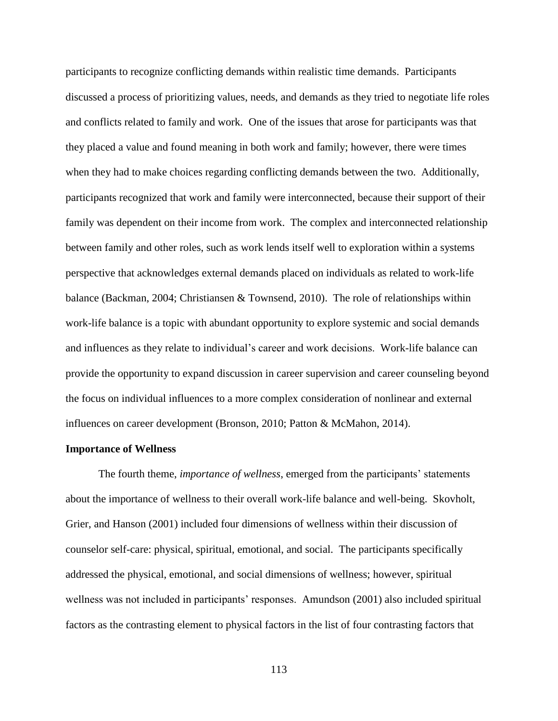participants to recognize conflicting demands within realistic time demands. Participants discussed a process of prioritizing values, needs, and demands as they tried to negotiate life roles and conflicts related to family and work. One of the issues that arose for participants was that they placed a value and found meaning in both work and family; however, there were times when they had to make choices regarding conflicting demands between the two. Additionally, participants recognized that work and family were interconnected, because their support of their family was dependent on their income from work. The complex and interconnected relationship between family and other roles, such as work lends itself well to exploration within a systems perspective that acknowledges external demands placed on individuals as related to work-life balance (Backman, 2004; Christiansen & Townsend, 2010). The role of relationships within work-life balance is a topic with abundant opportunity to explore systemic and social demands and influences as they relate to individual's career and work decisions. Work-life balance can provide the opportunity to expand discussion in career supervision and career counseling beyond the focus on individual influences to a more complex consideration of nonlinear and external influences on career development (Bronson, 2010; Patton & McMahon, 2014).

## **Importance of Wellness**

The fourth theme, *importance of wellness*, emerged from the participants' statements about the importance of wellness to their overall work-life balance and well-being. Skovholt, Grier, and Hanson (2001) included four dimensions of wellness within their discussion of counselor self-care: physical, spiritual, emotional, and social. The participants specifically addressed the physical, emotional, and social dimensions of wellness; however, spiritual wellness was not included in participants' responses. Amundson (2001) also included spiritual factors as the contrasting element to physical factors in the list of four contrasting factors that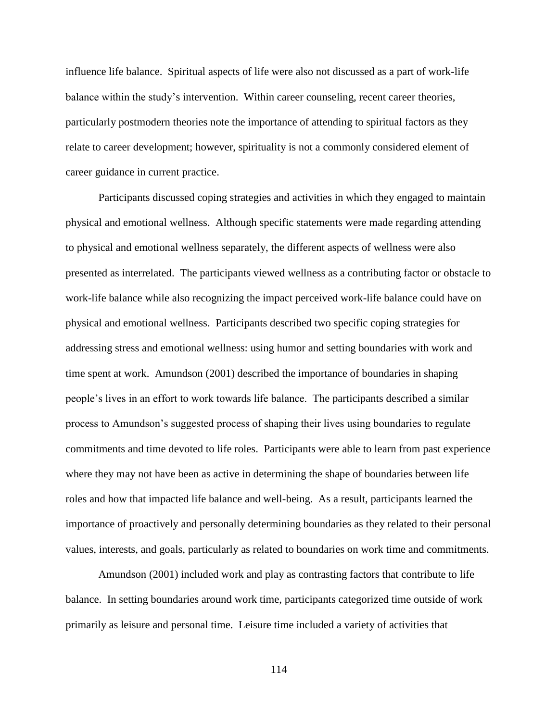influence life balance. Spiritual aspects of life were also not discussed as a part of work-life balance within the study's intervention. Within career counseling, recent career theories, particularly postmodern theories note the importance of attending to spiritual factors as they relate to career development; however, spirituality is not a commonly considered element of career guidance in current practice.

Participants discussed coping strategies and activities in which they engaged to maintain physical and emotional wellness. Although specific statements were made regarding attending to physical and emotional wellness separately, the different aspects of wellness were also presented as interrelated. The participants viewed wellness as a contributing factor or obstacle to work-life balance while also recognizing the impact perceived work-life balance could have on physical and emotional wellness. Participants described two specific coping strategies for addressing stress and emotional wellness: using humor and setting boundaries with work and time spent at work. Amundson (2001) described the importance of boundaries in shaping people's lives in an effort to work towards life balance. The participants described a similar process to Amundson's suggested process of shaping their lives using boundaries to regulate commitments and time devoted to life roles. Participants were able to learn from past experience where they may not have been as active in determining the shape of boundaries between life roles and how that impacted life balance and well-being. As a result, participants learned the importance of proactively and personally determining boundaries as they related to their personal values, interests, and goals, particularly as related to boundaries on work time and commitments.

Amundson (2001) included work and play as contrasting factors that contribute to life balance. In setting boundaries around work time, participants categorized time outside of work primarily as leisure and personal time. Leisure time included a variety of activities that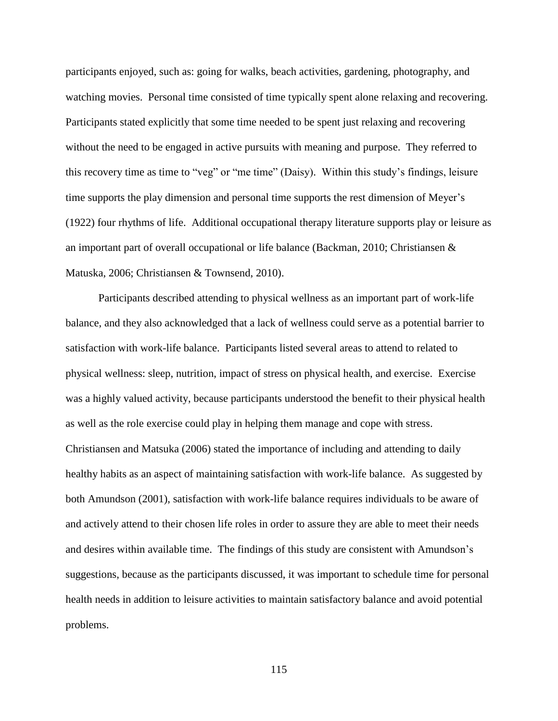participants enjoyed, such as: going for walks, beach activities, gardening, photography, and watching movies. Personal time consisted of time typically spent alone relaxing and recovering. Participants stated explicitly that some time needed to be spent just relaxing and recovering without the need to be engaged in active pursuits with meaning and purpose. They referred to this recovery time as time to "veg" or "me time" (Daisy). Within this study's findings, leisure time supports the play dimension and personal time supports the rest dimension of Meyer's (1922) four rhythms of life. Additional occupational therapy literature supports play or leisure as an important part of overall occupational or life balance (Backman, 2010; Christiansen & Matuska, 2006; Christiansen & Townsend, 2010).

Participants described attending to physical wellness as an important part of work-life balance, and they also acknowledged that a lack of wellness could serve as a potential barrier to satisfaction with work-life balance. Participants listed several areas to attend to related to physical wellness: sleep, nutrition, impact of stress on physical health, and exercise. Exercise was a highly valued activity, because participants understood the benefit to their physical health as well as the role exercise could play in helping them manage and cope with stress. Christiansen and Matsuka (2006) stated the importance of including and attending to daily healthy habits as an aspect of maintaining satisfaction with work-life balance. As suggested by both Amundson (2001), satisfaction with work-life balance requires individuals to be aware of and actively attend to their chosen life roles in order to assure they are able to meet their needs and desires within available time. The findings of this study are consistent with Amundson's suggestions, because as the participants discussed, it was important to schedule time for personal health needs in addition to leisure activities to maintain satisfactory balance and avoid potential problems.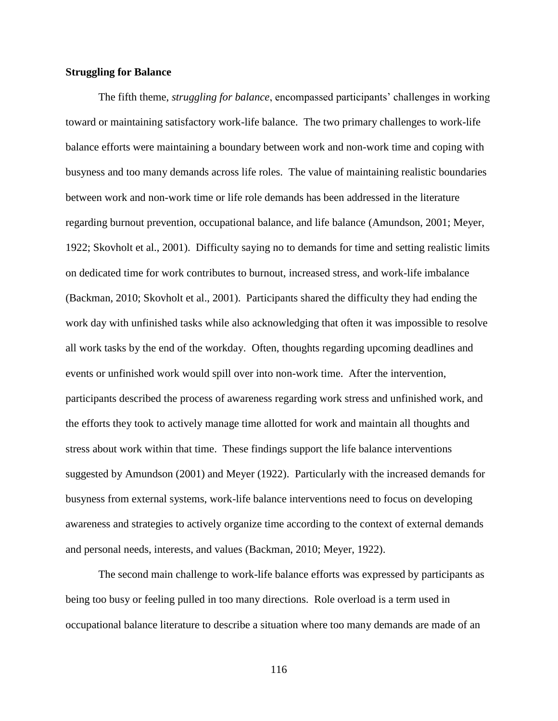## **Struggling for Balance**

The fifth theme, *struggling for balance*, encompassed participants' challenges in working toward or maintaining satisfactory work-life balance. The two primary challenges to work-life balance efforts were maintaining a boundary between work and non-work time and coping with busyness and too many demands across life roles. The value of maintaining realistic boundaries between work and non-work time or life role demands has been addressed in the literature regarding burnout prevention, occupational balance, and life balance (Amundson, 2001; Meyer, 1922; Skovholt et al., 2001). Difficulty saying no to demands for time and setting realistic limits on dedicated time for work contributes to burnout, increased stress, and work-life imbalance (Backman, 2010; Skovholt et al., 2001). Participants shared the difficulty they had ending the work day with unfinished tasks while also acknowledging that often it was impossible to resolve all work tasks by the end of the workday. Often, thoughts regarding upcoming deadlines and events or unfinished work would spill over into non-work time. After the intervention, participants described the process of awareness regarding work stress and unfinished work, and the efforts they took to actively manage time allotted for work and maintain all thoughts and stress about work within that time. These findings support the life balance interventions suggested by Amundson (2001) and Meyer (1922). Particularly with the increased demands for busyness from external systems, work-life balance interventions need to focus on developing awareness and strategies to actively organize time according to the context of external demands and personal needs, interests, and values (Backman, 2010; Meyer, 1922).

The second main challenge to work-life balance efforts was expressed by participants as being too busy or feeling pulled in too many directions. Role overload is a term used in occupational balance literature to describe a situation where too many demands are made of an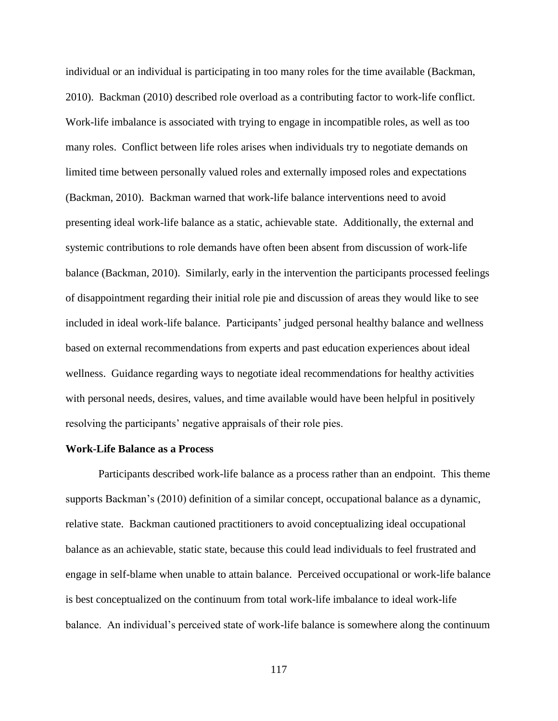individual or an individual is participating in too many roles for the time available (Backman, 2010). Backman (2010) described role overload as a contributing factor to work-life conflict. Work-life imbalance is associated with trying to engage in incompatible roles, as well as too many roles. Conflict between life roles arises when individuals try to negotiate demands on limited time between personally valued roles and externally imposed roles and expectations (Backman, 2010). Backman warned that work-life balance interventions need to avoid presenting ideal work-life balance as a static, achievable state. Additionally, the external and systemic contributions to role demands have often been absent from discussion of work-life balance (Backman, 2010). Similarly, early in the intervention the participants processed feelings of disappointment regarding their initial role pie and discussion of areas they would like to see included in ideal work-life balance. Participants' judged personal healthy balance and wellness based on external recommendations from experts and past education experiences about ideal wellness. Guidance regarding ways to negotiate ideal recommendations for healthy activities with personal needs, desires, values, and time available would have been helpful in positively resolving the participants' negative appraisals of their role pies.

## **Work-Life Balance as a Process**

Participants described work-life balance as a process rather than an endpoint. This theme supports Backman's (2010) definition of a similar concept, occupational balance as a dynamic, relative state. Backman cautioned practitioners to avoid conceptualizing ideal occupational balance as an achievable, static state, because this could lead individuals to feel frustrated and engage in self-blame when unable to attain balance. Perceived occupational or work-life balance is best conceptualized on the continuum from total work-life imbalance to ideal work-life balance. An individual's perceived state of work-life balance is somewhere along the continuum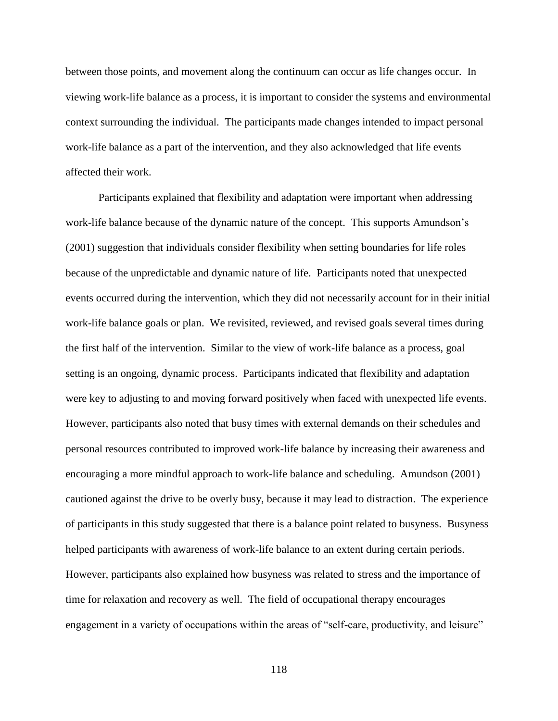between those points, and movement along the continuum can occur as life changes occur. In viewing work-life balance as a process, it is important to consider the systems and environmental context surrounding the individual. The participants made changes intended to impact personal work-life balance as a part of the intervention, and they also acknowledged that life events affected their work.

Participants explained that flexibility and adaptation were important when addressing work-life balance because of the dynamic nature of the concept. This supports Amundson's (2001) suggestion that individuals consider flexibility when setting boundaries for life roles because of the unpredictable and dynamic nature of life. Participants noted that unexpected events occurred during the intervention, which they did not necessarily account for in their initial work-life balance goals or plan. We revisited, reviewed, and revised goals several times during the first half of the intervention. Similar to the view of work-life balance as a process, goal setting is an ongoing, dynamic process. Participants indicated that flexibility and adaptation were key to adjusting to and moving forward positively when faced with unexpected life events. However, participants also noted that busy times with external demands on their schedules and personal resources contributed to improved work-life balance by increasing their awareness and encouraging a more mindful approach to work-life balance and scheduling. Amundson (2001) cautioned against the drive to be overly busy, because it may lead to distraction. The experience of participants in this study suggested that there is a balance point related to busyness. Busyness helped participants with awareness of work-life balance to an extent during certain periods. However, participants also explained how busyness was related to stress and the importance of time for relaxation and recovery as well. The field of occupational therapy encourages engagement in a variety of occupations within the areas of "self-care, productivity, and leisure"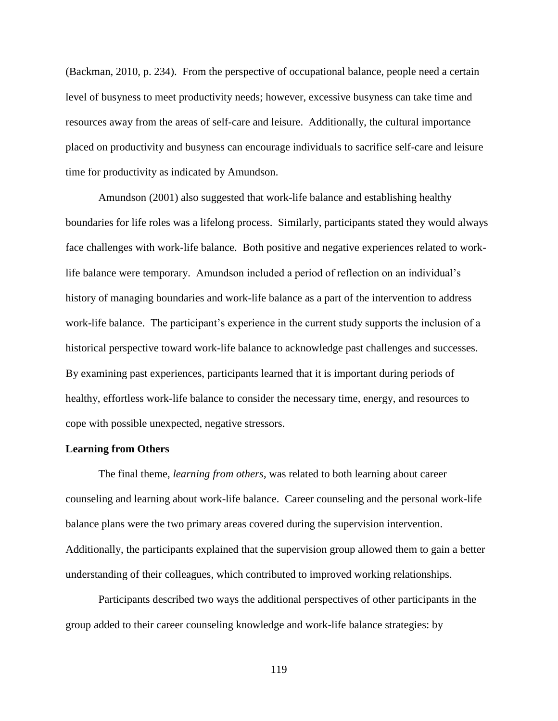(Backman, 2010, p. 234). From the perspective of occupational balance, people need a certain level of busyness to meet productivity needs; however, excessive busyness can take time and resources away from the areas of self-care and leisure. Additionally, the cultural importance placed on productivity and busyness can encourage individuals to sacrifice self-care and leisure time for productivity as indicated by Amundson.

Amundson (2001) also suggested that work-life balance and establishing healthy boundaries for life roles was a lifelong process. Similarly, participants stated they would always face challenges with work-life balance. Both positive and negative experiences related to worklife balance were temporary. Amundson included a period of reflection on an individual's history of managing boundaries and work-life balance as a part of the intervention to address work-life balance. The participant's experience in the current study supports the inclusion of a historical perspective toward work-life balance to acknowledge past challenges and successes. By examining past experiences, participants learned that it is important during periods of healthy, effortless work-life balance to consider the necessary time, energy, and resources to cope with possible unexpected, negative stressors.

# **Learning from Others**

The final theme, *learning from others*, was related to both learning about career counseling and learning about work-life balance. Career counseling and the personal work-life balance plans were the two primary areas covered during the supervision intervention. Additionally, the participants explained that the supervision group allowed them to gain a better understanding of their colleagues, which contributed to improved working relationships.

Participants described two ways the additional perspectives of other participants in the group added to their career counseling knowledge and work-life balance strategies: by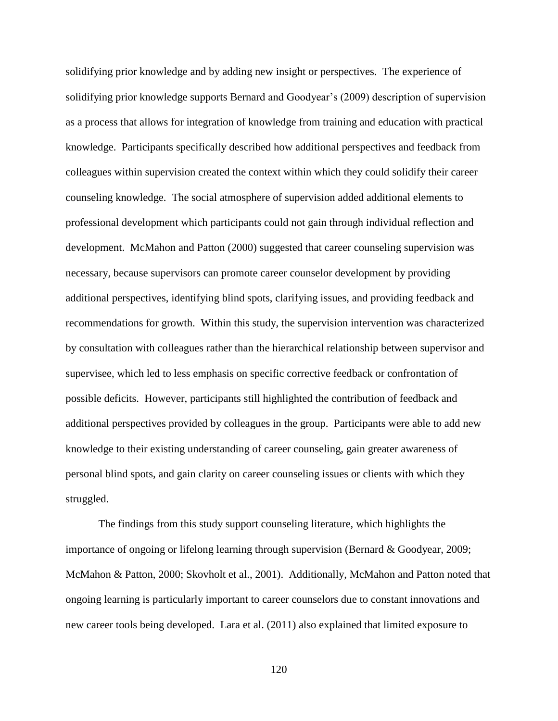solidifying prior knowledge and by adding new insight or perspectives. The experience of solidifying prior knowledge supports Bernard and Goodyear's (2009) description of supervision as a process that allows for integration of knowledge from training and education with practical knowledge. Participants specifically described how additional perspectives and feedback from colleagues within supervision created the context within which they could solidify their career counseling knowledge. The social atmosphere of supervision added additional elements to professional development which participants could not gain through individual reflection and development. McMahon and Patton (2000) suggested that career counseling supervision was necessary, because supervisors can promote career counselor development by providing additional perspectives, identifying blind spots, clarifying issues, and providing feedback and recommendations for growth. Within this study, the supervision intervention was characterized by consultation with colleagues rather than the hierarchical relationship between supervisor and supervisee, which led to less emphasis on specific corrective feedback or confrontation of possible deficits. However, participants still highlighted the contribution of feedback and additional perspectives provided by colleagues in the group. Participants were able to add new knowledge to their existing understanding of career counseling, gain greater awareness of personal blind spots, and gain clarity on career counseling issues or clients with which they struggled.

The findings from this study support counseling literature, which highlights the importance of ongoing or lifelong learning through supervision (Bernard & Goodyear, 2009; McMahon & Patton, 2000; Skovholt et al., 2001). Additionally, McMahon and Patton noted that ongoing learning is particularly important to career counselors due to constant innovations and new career tools being developed. Lara et al. (2011) also explained that limited exposure to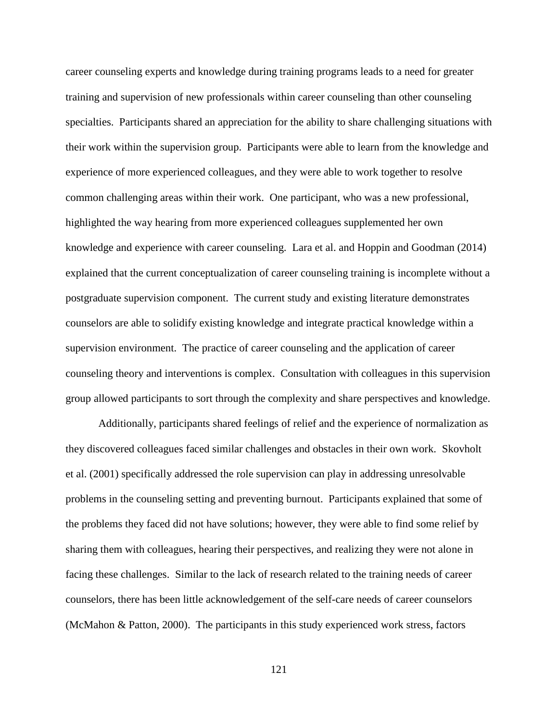career counseling experts and knowledge during training programs leads to a need for greater training and supervision of new professionals within career counseling than other counseling specialties. Participants shared an appreciation for the ability to share challenging situations with their work within the supervision group. Participants were able to learn from the knowledge and experience of more experienced colleagues, and they were able to work together to resolve common challenging areas within their work. One participant, who was a new professional, highlighted the way hearing from more experienced colleagues supplemented her own knowledge and experience with career counseling. Lara et al. and Hoppin and Goodman (2014) explained that the current conceptualization of career counseling training is incomplete without a postgraduate supervision component. The current study and existing literature demonstrates counselors are able to solidify existing knowledge and integrate practical knowledge within a supervision environment. The practice of career counseling and the application of career counseling theory and interventions is complex. Consultation with colleagues in this supervision group allowed participants to sort through the complexity and share perspectives and knowledge.

Additionally, participants shared feelings of relief and the experience of normalization as they discovered colleagues faced similar challenges and obstacles in their own work. Skovholt et al. (2001) specifically addressed the role supervision can play in addressing unresolvable problems in the counseling setting and preventing burnout. Participants explained that some of the problems they faced did not have solutions; however, they were able to find some relief by sharing them with colleagues, hearing their perspectives, and realizing they were not alone in facing these challenges. Similar to the lack of research related to the training needs of career counselors, there has been little acknowledgement of the self-care needs of career counselors (McMahon & Patton, 2000). The participants in this study experienced work stress, factors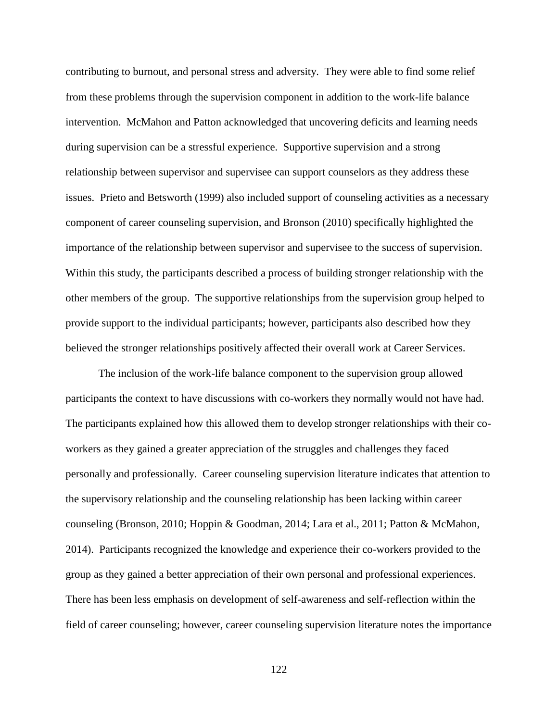contributing to burnout, and personal stress and adversity. They were able to find some relief from these problems through the supervision component in addition to the work-life balance intervention. McMahon and Patton acknowledged that uncovering deficits and learning needs during supervision can be a stressful experience. Supportive supervision and a strong relationship between supervisor and supervisee can support counselors as they address these issues. Prieto and Betsworth (1999) also included support of counseling activities as a necessary component of career counseling supervision, and Bronson (2010) specifically highlighted the importance of the relationship between supervisor and supervisee to the success of supervision. Within this study, the participants described a process of building stronger relationship with the other members of the group. The supportive relationships from the supervision group helped to provide support to the individual participants; however, participants also described how they believed the stronger relationships positively affected their overall work at Career Services.

The inclusion of the work-life balance component to the supervision group allowed participants the context to have discussions with co-workers they normally would not have had. The participants explained how this allowed them to develop stronger relationships with their coworkers as they gained a greater appreciation of the struggles and challenges they faced personally and professionally. Career counseling supervision literature indicates that attention to the supervisory relationship and the counseling relationship has been lacking within career counseling (Bronson, 2010; Hoppin & Goodman, 2014; Lara et al., 2011; Patton & McMahon, 2014). Participants recognized the knowledge and experience their co-workers provided to the group as they gained a better appreciation of their own personal and professional experiences. There has been less emphasis on development of self-awareness and self-reflection within the field of career counseling; however, career counseling supervision literature notes the importance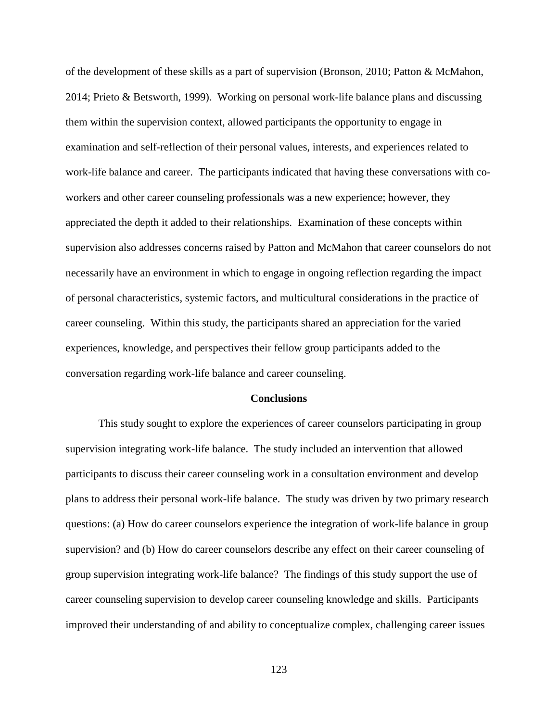of the development of these skills as a part of supervision (Bronson, 2010; Patton & McMahon, 2014; Prieto & Betsworth, 1999). Working on personal work-life balance plans and discussing them within the supervision context, allowed participants the opportunity to engage in examination and self-reflection of their personal values, interests, and experiences related to work-life balance and career. The participants indicated that having these conversations with coworkers and other career counseling professionals was a new experience; however, they appreciated the depth it added to their relationships. Examination of these concepts within supervision also addresses concerns raised by Patton and McMahon that career counselors do not necessarily have an environment in which to engage in ongoing reflection regarding the impact of personal characteristics, systemic factors, and multicultural considerations in the practice of career counseling. Within this study, the participants shared an appreciation for the varied experiences, knowledge, and perspectives their fellow group participants added to the conversation regarding work-life balance and career counseling.

#### **Conclusions**

This study sought to explore the experiences of career counselors participating in group supervision integrating work-life balance. The study included an intervention that allowed participants to discuss their career counseling work in a consultation environment and develop plans to address their personal work-life balance. The study was driven by two primary research questions: (a) How do career counselors experience the integration of work-life balance in group supervision? and (b) How do career counselors describe any effect on their career counseling of group supervision integrating work-life balance? The findings of this study support the use of career counseling supervision to develop career counseling knowledge and skills. Participants improved their understanding of and ability to conceptualize complex, challenging career issues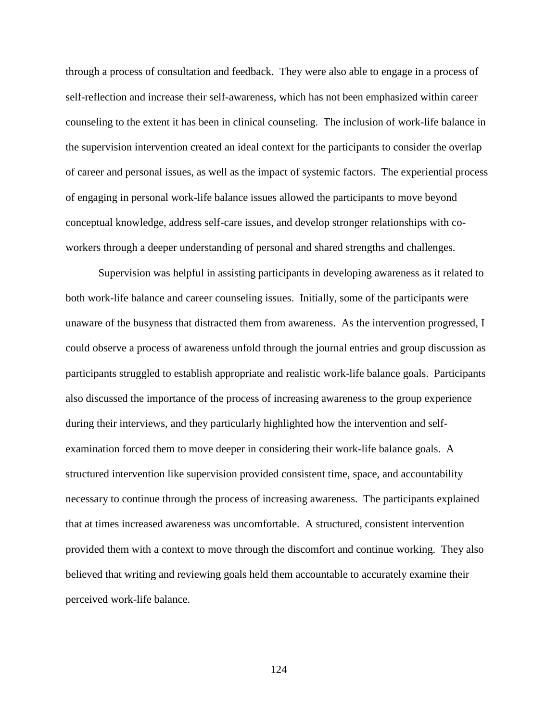through a process of consultation and feedback. They were also able to engage in a process of self-reflection and increase their self-awareness, which has not been emphasized within career counseling to the extent it has been in clinical counseling. The inclusion of work-life balance in the supervision intervention created an ideal context for the participants to consider the overlap of career and personal issues, as well as the impact of systemic factors. The experiential process of engaging in personal work-life balance issues allowed the participants to move beyond conceptual knowledge, address self-care issues, and develop stronger relationships with coworkers through a deeper understanding of personal and shared strengths and challenges.

Supervision was helpful in assisting participants in developing awareness as it related to both work-life balance and career counseling issues. Initially, some of the participants were unaware of the busyness that distracted them from awareness. As the intervention progressed, I could observe a process of awareness unfold through the journal entries and group discussion as participants struggled to establish appropriate and realistic work-life balance goals. Participants also discussed the importance of the process of increasing awareness to the group experience during their interviews, and they particularly highlighted how the intervention and selfexamination forced them to move deeper in considering their work-life balance goals. A structured intervention like supervision provided consistent time, space, and accountability necessary to continue through the process of increasing awareness. The participants explained that at times increased awareness was uncomfortable. A structured, consistent intervention provided them with a context to move through the discomfort and continue working. They also believed that writing and reviewing goals held them accountable to accurately examine their perceived work-life balance.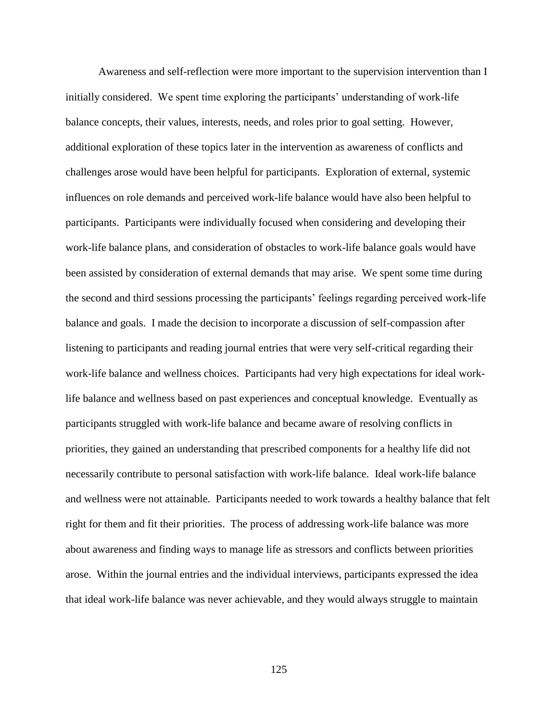Awareness and self-reflection were more important to the supervision intervention than I initially considered. We spent time exploring the participants' understanding of work-life balance concepts, their values, interests, needs, and roles prior to goal setting. However, additional exploration of these topics later in the intervention as awareness of conflicts and challenges arose would have been helpful for participants. Exploration of external, systemic influences on role demands and perceived work-life balance would have also been helpful to participants. Participants were individually focused when considering and developing their work-life balance plans, and consideration of obstacles to work-life balance goals would have been assisted by consideration of external demands that may arise. We spent some time during the second and third sessions processing the participants' feelings regarding perceived work-life balance and goals. I made the decision to incorporate a discussion of self-compassion after listening to participants and reading journal entries that were very self-critical regarding their work-life balance and wellness choices. Participants had very high expectations for ideal worklife balance and wellness based on past experiences and conceptual knowledge. Eventually as participants struggled with work-life balance and became aware of resolving conflicts in priorities, they gained an understanding that prescribed components for a healthy life did not necessarily contribute to personal satisfaction with work-life balance. Ideal work-life balance and wellness were not attainable. Participants needed to work towards a healthy balance that felt right for them and fit their priorities. The process of addressing work-life balance was more about awareness and finding ways to manage life as stressors and conflicts between priorities arose. Within the journal entries and the individual interviews, participants expressed the idea that ideal work-life balance was never achievable, and they would always struggle to maintain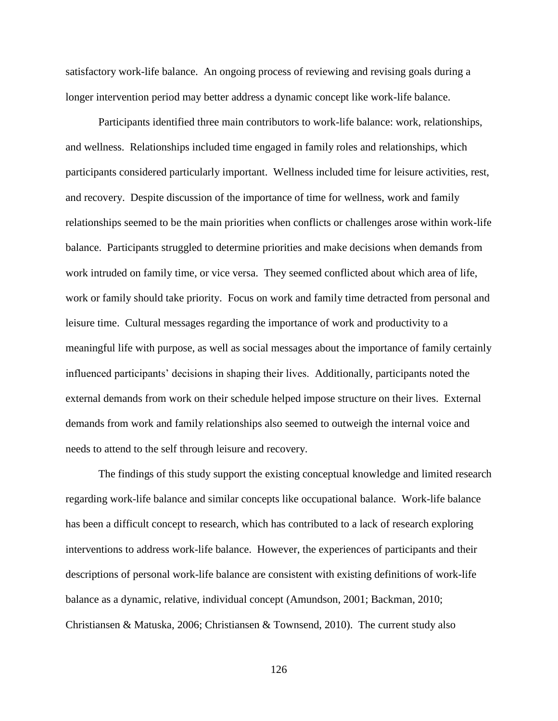satisfactory work-life balance. An ongoing process of reviewing and revising goals during a longer intervention period may better address a dynamic concept like work-life balance.

Participants identified three main contributors to work-life balance: work, relationships, and wellness. Relationships included time engaged in family roles and relationships, which participants considered particularly important. Wellness included time for leisure activities, rest, and recovery. Despite discussion of the importance of time for wellness, work and family relationships seemed to be the main priorities when conflicts or challenges arose within work-life balance. Participants struggled to determine priorities and make decisions when demands from work intruded on family time, or vice versa. They seemed conflicted about which area of life, work or family should take priority. Focus on work and family time detracted from personal and leisure time. Cultural messages regarding the importance of work and productivity to a meaningful life with purpose, as well as social messages about the importance of family certainly influenced participants' decisions in shaping their lives. Additionally, participants noted the external demands from work on their schedule helped impose structure on their lives. External demands from work and family relationships also seemed to outweigh the internal voice and needs to attend to the self through leisure and recovery.

The findings of this study support the existing conceptual knowledge and limited research regarding work-life balance and similar concepts like occupational balance. Work-life balance has been a difficult concept to research, which has contributed to a lack of research exploring interventions to address work-life balance. However, the experiences of participants and their descriptions of personal work-life balance are consistent with existing definitions of work-life balance as a dynamic, relative, individual concept (Amundson, 2001; Backman, 2010; Christiansen & Matuska, 2006; Christiansen & Townsend, 2010). The current study also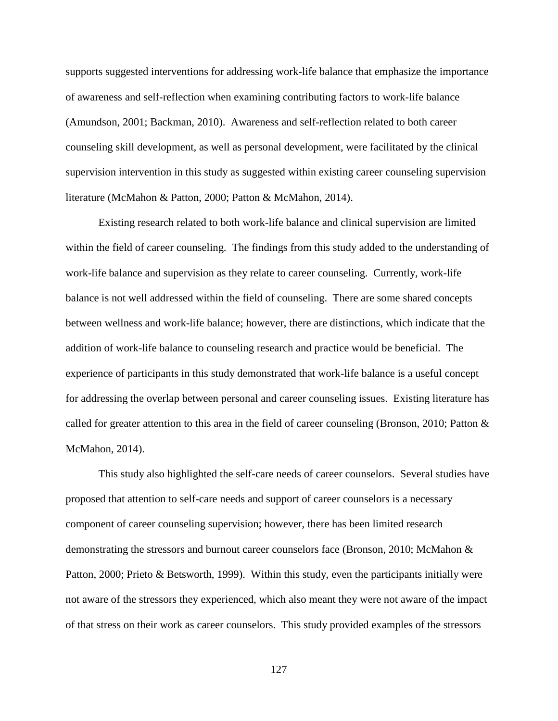supports suggested interventions for addressing work-life balance that emphasize the importance of awareness and self-reflection when examining contributing factors to work-life balance (Amundson, 2001; Backman, 2010). Awareness and self-reflection related to both career counseling skill development, as well as personal development, were facilitated by the clinical supervision intervention in this study as suggested within existing career counseling supervision literature (McMahon & Patton, 2000; Patton & McMahon, 2014).

Existing research related to both work-life balance and clinical supervision are limited within the field of career counseling. The findings from this study added to the understanding of work-life balance and supervision as they relate to career counseling. Currently, work-life balance is not well addressed within the field of counseling. There are some shared concepts between wellness and work-life balance; however, there are distinctions, which indicate that the addition of work-life balance to counseling research and practice would be beneficial. The experience of participants in this study demonstrated that work-life balance is a useful concept for addressing the overlap between personal and career counseling issues. Existing literature has called for greater attention to this area in the field of career counseling (Bronson, 2010; Patton & McMahon, 2014).

This study also highlighted the self-care needs of career counselors. Several studies have proposed that attention to self-care needs and support of career counselors is a necessary component of career counseling supervision; however, there has been limited research demonstrating the stressors and burnout career counselors face (Bronson, 2010; McMahon & Patton, 2000; Prieto & Betsworth, 1999). Within this study, even the participants initially were not aware of the stressors they experienced, which also meant they were not aware of the impact of that stress on their work as career counselors. This study provided examples of the stressors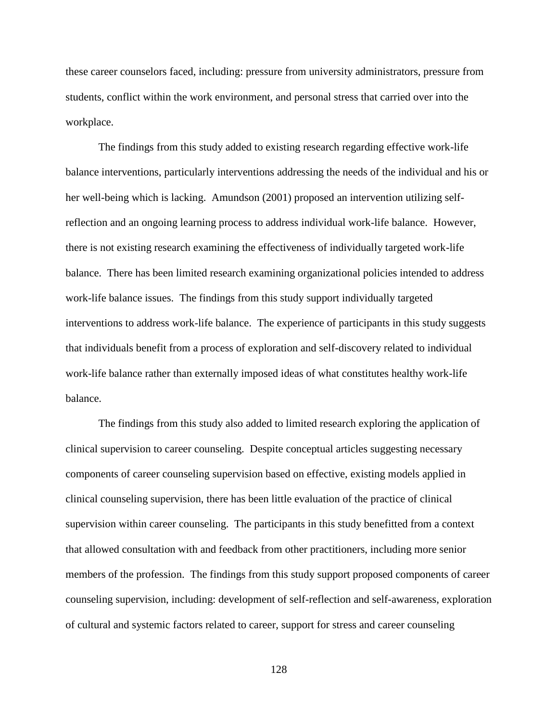these career counselors faced, including: pressure from university administrators, pressure from students, conflict within the work environment, and personal stress that carried over into the workplace.

The findings from this study added to existing research regarding effective work-life balance interventions, particularly interventions addressing the needs of the individual and his or her well-being which is lacking. Amundson (2001) proposed an intervention utilizing selfreflection and an ongoing learning process to address individual work-life balance. However, there is not existing research examining the effectiveness of individually targeted work-life balance. There has been limited research examining organizational policies intended to address work-life balance issues. The findings from this study support individually targeted interventions to address work-life balance. The experience of participants in this study suggests that individuals benefit from a process of exploration and self-discovery related to individual work-life balance rather than externally imposed ideas of what constitutes healthy work-life balance.

The findings from this study also added to limited research exploring the application of clinical supervision to career counseling. Despite conceptual articles suggesting necessary components of career counseling supervision based on effective, existing models applied in clinical counseling supervision, there has been little evaluation of the practice of clinical supervision within career counseling. The participants in this study benefitted from a context that allowed consultation with and feedback from other practitioners, including more senior members of the profession. The findings from this study support proposed components of career counseling supervision, including: development of self-reflection and self-awareness, exploration of cultural and systemic factors related to career, support for stress and career counseling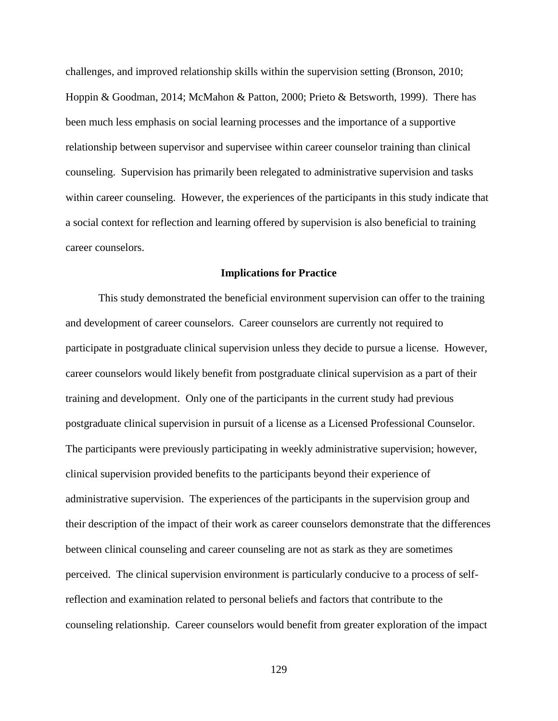challenges, and improved relationship skills within the supervision setting (Bronson, 2010; Hoppin & Goodman, 2014; McMahon & Patton, 2000; Prieto & Betsworth, 1999). There has been much less emphasis on social learning processes and the importance of a supportive relationship between supervisor and supervisee within career counselor training than clinical counseling. Supervision has primarily been relegated to administrative supervision and tasks within career counseling. However, the experiences of the participants in this study indicate that a social context for reflection and learning offered by supervision is also beneficial to training career counselors.

# **Implications for Practice**

This study demonstrated the beneficial environment supervision can offer to the training and development of career counselors. Career counselors are currently not required to participate in postgraduate clinical supervision unless they decide to pursue a license. However, career counselors would likely benefit from postgraduate clinical supervision as a part of their training and development. Only one of the participants in the current study had previous postgraduate clinical supervision in pursuit of a license as a Licensed Professional Counselor. The participants were previously participating in weekly administrative supervision; however, clinical supervision provided benefits to the participants beyond their experience of administrative supervision. The experiences of the participants in the supervision group and their description of the impact of their work as career counselors demonstrate that the differences between clinical counseling and career counseling are not as stark as they are sometimes perceived. The clinical supervision environment is particularly conducive to a process of selfreflection and examination related to personal beliefs and factors that contribute to the counseling relationship. Career counselors would benefit from greater exploration of the impact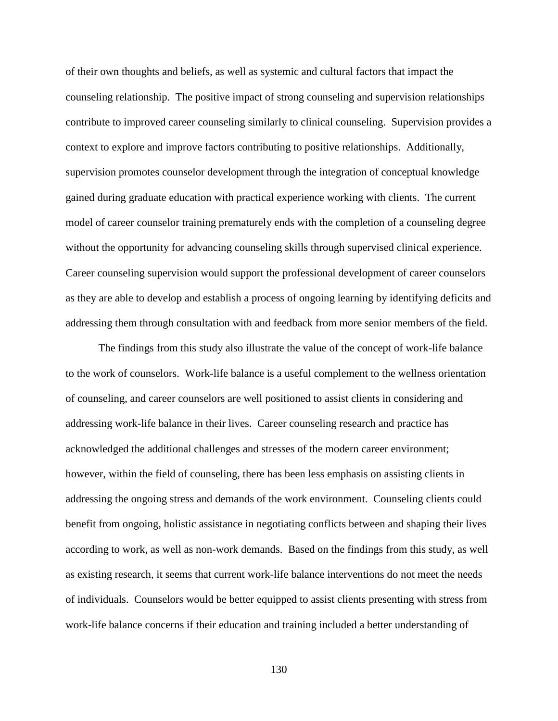of their own thoughts and beliefs, as well as systemic and cultural factors that impact the counseling relationship. The positive impact of strong counseling and supervision relationships contribute to improved career counseling similarly to clinical counseling. Supervision provides a context to explore and improve factors contributing to positive relationships. Additionally, supervision promotes counselor development through the integration of conceptual knowledge gained during graduate education with practical experience working with clients. The current model of career counselor training prematurely ends with the completion of a counseling degree without the opportunity for advancing counseling skills through supervised clinical experience. Career counseling supervision would support the professional development of career counselors as they are able to develop and establish a process of ongoing learning by identifying deficits and addressing them through consultation with and feedback from more senior members of the field.

The findings from this study also illustrate the value of the concept of work-life balance to the work of counselors. Work-life balance is a useful complement to the wellness orientation of counseling, and career counselors are well positioned to assist clients in considering and addressing work-life balance in their lives. Career counseling research and practice has acknowledged the additional challenges and stresses of the modern career environment; however, within the field of counseling, there has been less emphasis on assisting clients in addressing the ongoing stress and demands of the work environment. Counseling clients could benefit from ongoing, holistic assistance in negotiating conflicts between and shaping their lives according to work, as well as non-work demands. Based on the findings from this study, as well as existing research, it seems that current work-life balance interventions do not meet the needs of individuals. Counselors would be better equipped to assist clients presenting with stress from work-life balance concerns if their education and training included a better understanding of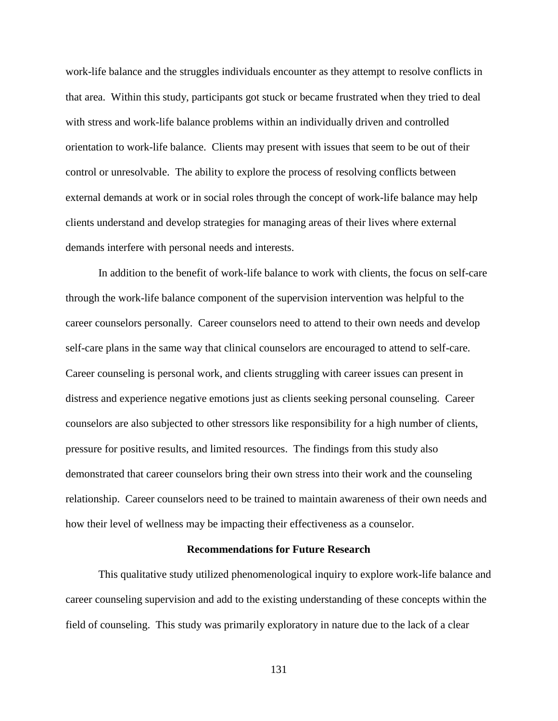work-life balance and the struggles individuals encounter as they attempt to resolve conflicts in that area. Within this study, participants got stuck or became frustrated when they tried to deal with stress and work-life balance problems within an individually driven and controlled orientation to work-life balance. Clients may present with issues that seem to be out of their control or unresolvable. The ability to explore the process of resolving conflicts between external demands at work or in social roles through the concept of work-life balance may help clients understand and develop strategies for managing areas of their lives where external demands interfere with personal needs and interests.

In addition to the benefit of work-life balance to work with clients, the focus on self-care through the work-life balance component of the supervision intervention was helpful to the career counselors personally. Career counselors need to attend to their own needs and develop self-care plans in the same way that clinical counselors are encouraged to attend to self-care. Career counseling is personal work, and clients struggling with career issues can present in distress and experience negative emotions just as clients seeking personal counseling. Career counselors are also subjected to other stressors like responsibility for a high number of clients, pressure for positive results, and limited resources. The findings from this study also demonstrated that career counselors bring their own stress into their work and the counseling relationship. Career counselors need to be trained to maintain awareness of their own needs and how their level of wellness may be impacting their effectiveness as a counselor.

## **Recommendations for Future Research**

This qualitative study utilized phenomenological inquiry to explore work-life balance and career counseling supervision and add to the existing understanding of these concepts within the field of counseling. This study was primarily exploratory in nature due to the lack of a clear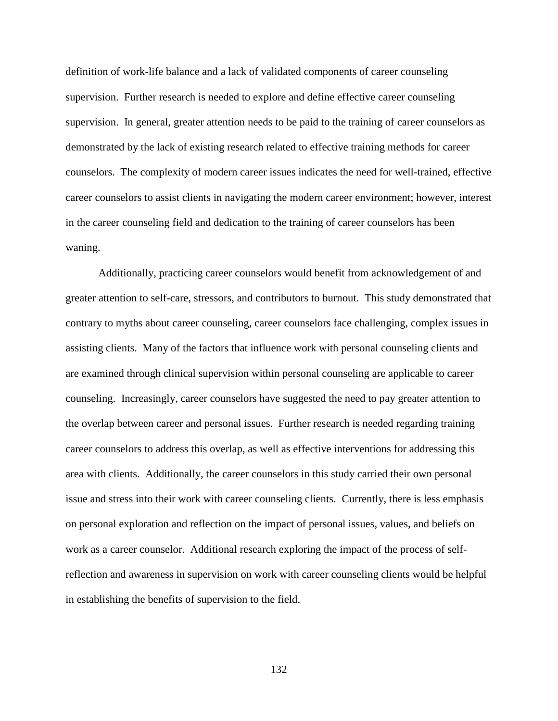definition of work-life balance and a lack of validated components of career counseling supervision. Further research is needed to explore and define effective career counseling supervision. In general, greater attention needs to be paid to the training of career counselors as demonstrated by the lack of existing research related to effective training methods for career counselors. The complexity of modern career issues indicates the need for well-trained, effective career counselors to assist clients in navigating the modern career environment; however, interest in the career counseling field and dedication to the training of career counselors has been waning.

Additionally, practicing career counselors would benefit from acknowledgement of and greater attention to self-care, stressors, and contributors to burnout. This study demonstrated that contrary to myths about career counseling, career counselors face challenging, complex issues in assisting clients. Many of the factors that influence work with personal counseling clients and are examined through clinical supervision within personal counseling are applicable to career counseling. Increasingly, career counselors have suggested the need to pay greater attention to the overlap between career and personal issues. Further research is needed regarding training career counselors to address this overlap, as well as effective interventions for addressing this area with clients. Additionally, the career counselors in this study carried their own personal issue and stress into their work with career counseling clients. Currently, there is less emphasis on personal exploration and reflection on the impact of personal issues, values, and beliefs on work as a career counselor. Additional research exploring the impact of the process of selfreflection and awareness in supervision on work with career counseling clients would be helpful in establishing the benefits of supervision to the field.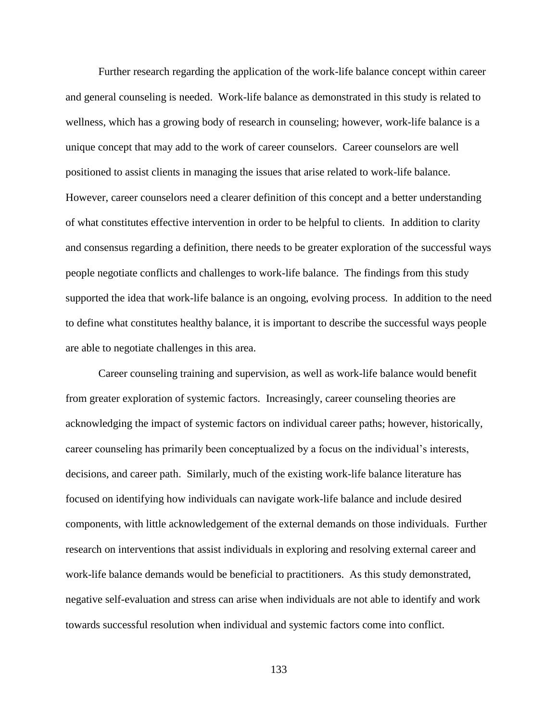Further research regarding the application of the work-life balance concept within career and general counseling is needed. Work-life balance as demonstrated in this study is related to wellness, which has a growing body of research in counseling; however, work-life balance is a unique concept that may add to the work of career counselors. Career counselors are well positioned to assist clients in managing the issues that arise related to work-life balance. However, career counselors need a clearer definition of this concept and a better understanding of what constitutes effective intervention in order to be helpful to clients. In addition to clarity and consensus regarding a definition, there needs to be greater exploration of the successful ways people negotiate conflicts and challenges to work-life balance. The findings from this study supported the idea that work-life balance is an ongoing, evolving process. In addition to the need to define what constitutes healthy balance, it is important to describe the successful ways people are able to negotiate challenges in this area.

Career counseling training and supervision, as well as work-life balance would benefit from greater exploration of systemic factors. Increasingly, career counseling theories are acknowledging the impact of systemic factors on individual career paths; however, historically, career counseling has primarily been conceptualized by a focus on the individual's interests, decisions, and career path. Similarly, much of the existing work-life balance literature has focused on identifying how individuals can navigate work-life balance and include desired components, with little acknowledgement of the external demands on those individuals. Further research on interventions that assist individuals in exploring and resolving external career and work-life balance demands would be beneficial to practitioners. As this study demonstrated, negative self-evaluation and stress can arise when individuals are not able to identify and work towards successful resolution when individual and systemic factors come into conflict.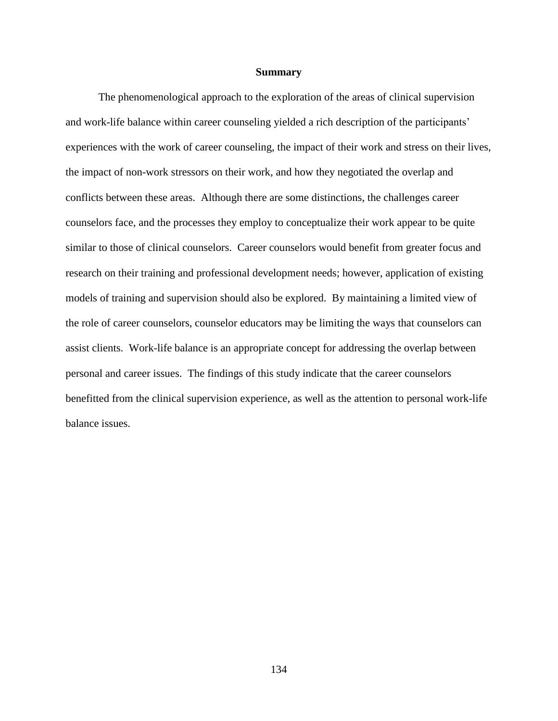# **Summary**

The phenomenological approach to the exploration of the areas of clinical supervision and work-life balance within career counseling yielded a rich description of the participants' experiences with the work of career counseling, the impact of their work and stress on their lives, the impact of non-work stressors on their work, and how they negotiated the overlap and conflicts between these areas. Although there are some distinctions, the challenges career counselors face, and the processes they employ to conceptualize their work appear to be quite similar to those of clinical counselors. Career counselors would benefit from greater focus and research on their training and professional development needs; however, application of existing models of training and supervision should also be explored. By maintaining a limited view of the role of career counselors, counselor educators may be limiting the ways that counselors can assist clients. Work-life balance is an appropriate concept for addressing the overlap between personal and career issues. The findings of this study indicate that the career counselors benefitted from the clinical supervision experience, as well as the attention to personal work-life balance issues.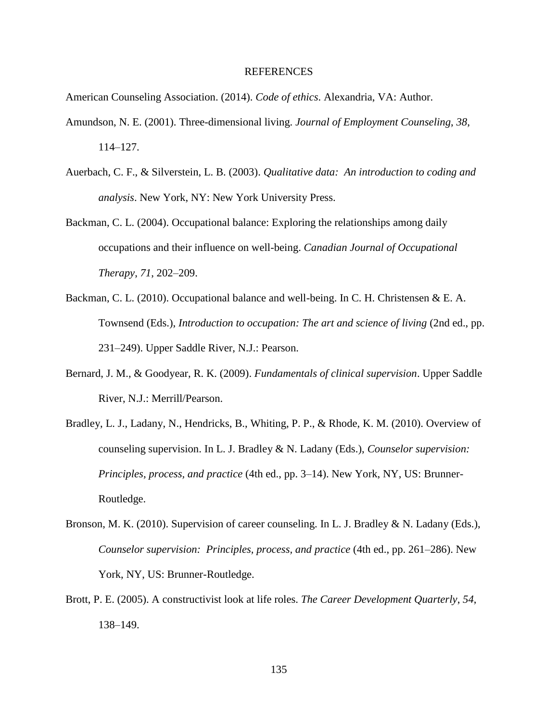#### REFERENCES

American Counseling Association. (2014). *Code of ethics*. Alexandria, VA: Author.

- Amundson, N. E. (2001). Three-dimensional living. *Journal of Employment Counseling*, *38*, 114–127.
- Auerbach, C. F., & Silverstein, L. B. (2003). *Qualitative data: An introduction to coding and analysis*. New York, NY: New York University Press.
- Backman, C. L. (2004). Occupational balance: Exploring the relationships among daily occupations and their influence on well-being. *Canadian Journal of Occupational Therapy*, *71*, 202–209.
- Backman, C. L. (2010). Occupational balance and well-being. In C. H. Christensen & E. A. Townsend (Eds.), *Introduction to occupation: The art and science of living* (2nd ed., pp. 231–249). Upper Saddle River, N.J.: Pearson.
- Bernard, J. M., & Goodyear, R. K. (2009). *Fundamentals of clinical supervision*. Upper Saddle River, N.J.: Merrill/Pearson.
- Bradley, L. J., Ladany, N., Hendricks, B., Whiting, P. P., & Rhode, K. M. (2010). Overview of counseling supervision. In L. J. Bradley & N. Ladany (Eds.), *Counselor supervision: Principles, process, and practice* (4th ed., pp. 3–14). New York, NY, US: Brunner-Routledge.
- Bronson, M. K. (2010). Supervision of career counseling. In L. J. Bradley & N. Ladany (Eds.), *Counselor supervision: Principles, process, and practice* (4th ed., pp. 261–286). New York, NY, US: Brunner-Routledge.
- Brott, P. E. (2005). A constructivist look at life roles. *The Career Development Quarterly*, *54*, 138–149.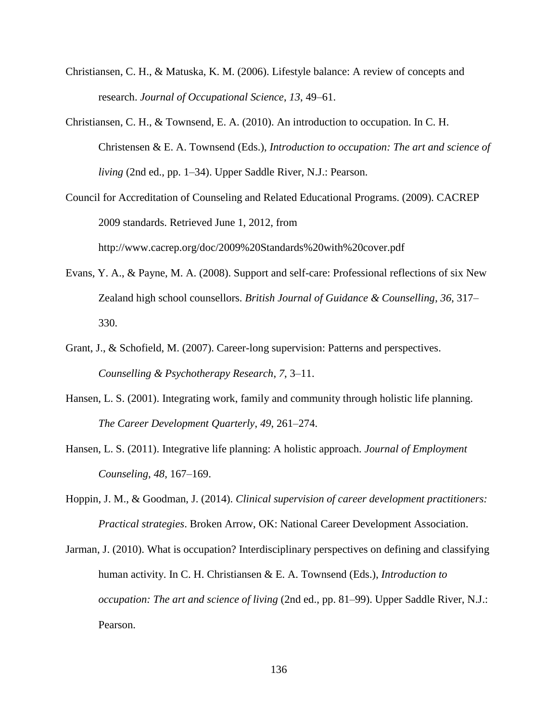- Christiansen, C. H., & Matuska, K. M. (2006). Lifestyle balance: A review of concepts and research. *Journal of Occupational Science*, *13*, 49–61.
- Christiansen, C. H., & Townsend, E. A. (2010). An introduction to occupation. In C. H. Christensen & E. A. Townsend (Eds.), *Introduction to occupation: The art and science of living* (2nd ed., pp. 1–34). Upper Saddle River, N.J.: Pearson.
- Council for Accreditation of Counseling and Related Educational Programs. (2009). CACREP 2009 standards. Retrieved June 1, 2012, from http://www.cacrep.org/doc/2009%20Standards%20with%20cover.pdf
- Evans, Y. A., & Payne, M. A. (2008). Support and self-care: Professional reflections of six New Zealand high school counsellors. *British Journal of Guidance & Counselling*, *36*, 317– 330.
- Grant, J., & Schofield, M. (2007). Career-long supervision: Patterns and perspectives. *Counselling & Psychotherapy Research*, *7*, 3–11.
- Hansen, L. S. (2001). Integrating work, family and community through holistic life planning. *The Career Development Quarterly*, *49*, 261–274.
- Hansen, L. S. (2011). Integrative life planning: A holistic approach. *Journal of Employment Counseling*, *48*, 167–169.
- Hoppin, J. M., & Goodman, J. (2014). *Clinical supervision of career development practitioners: Practical strategies*. Broken Arrow, OK: National Career Development Association.
- Jarman, J. (2010). What is occupation? Interdisciplinary perspectives on defining and classifying human activity. In C. H. Christiansen & E. A. Townsend (Eds.), *Introduction to occupation: The art and science of living* (2nd ed., pp. 81–99). Upper Saddle River, N.J.: Pearson.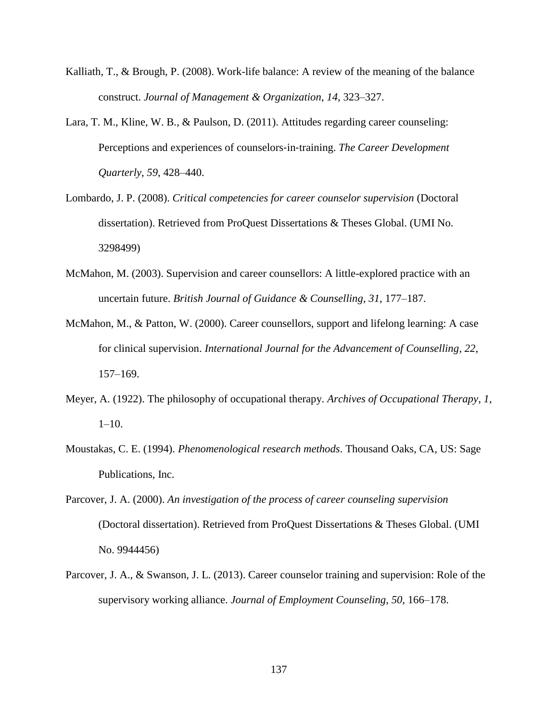- Kalliath, T., & Brough, P. (2008). Work-life balance: A review of the meaning of the balance construct. *Journal of Management & Organization*, *14*, 323–327.
- Lara, T. M., Kline, W. B., & Paulson, D. (2011). Attitudes regarding career counseling: Perceptions and experiences of counselors‐in‐training. *The Career Development Quarterly*, *59*, 428–440.
- Lombardo, J. P. (2008). *Critical competencies for career counselor supervision* (Doctoral dissertation). Retrieved from ProQuest Dissertations & Theses Global. (UMI No. 3298499)
- McMahon, M. (2003). Supervision and career counsellors: A little-explored practice with an uncertain future. *British Journal of Guidance & Counselling*, *31*, 177–187.
- McMahon, M., & Patton, W. (2000). Career counsellors, support and lifelong learning: A case for clinical supervision. *International Journal for the Advancement of Counselling*, *22*, 157–169.
- Meyer, A. (1922). The philosophy of occupational therapy. *Archives of Occupational Therapy*, *1*, 1–10.
- Moustakas, C. E. (1994). *Phenomenological research methods*. Thousand Oaks, CA, US: Sage Publications, Inc.
- Parcover, J. A. (2000). *An investigation of the process of career counseling supervision*  (Doctoral dissertation). Retrieved from ProQuest Dissertations & Theses Global. (UMI No. 9944456)
- Parcover, J. A., & Swanson, J. L. (2013). Career counselor training and supervision: Role of the supervisory working alliance. *Journal of Employment Counseling*, *50*, 166–178.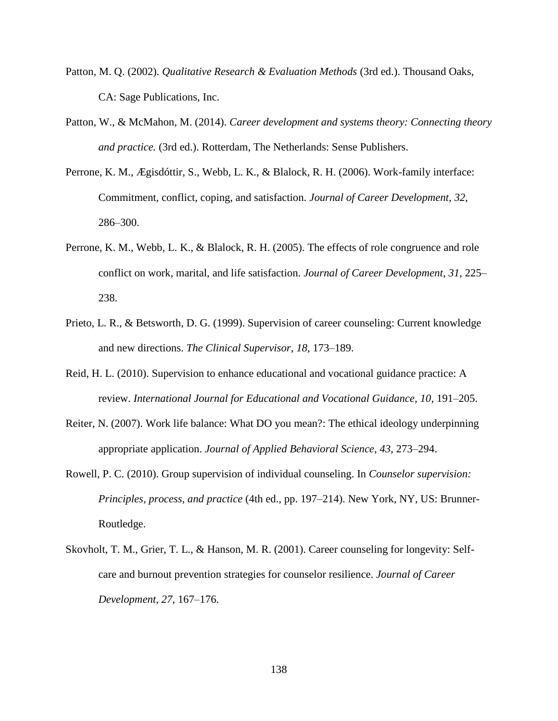- Patton, M. Q. (2002). *Qualitative Research & Evaluation Methods* (3rd ed.). Thousand Oaks, CA: Sage Publications, Inc.
- Patton, W., & McMahon, M. (2014). *Career development and systems theory: Connecting theory and practice.* (3rd ed.). Rotterdam, The Netherlands: Sense Publishers.
- Perrone, K. M., Ægisdóttir, S., Webb, L. K., & Blalock, R. H. (2006). Work-family interface: Commitment, conflict, coping, and satisfaction. *Journal of Career Development*, *32*, 286–300.
- Perrone, K. M., Webb, L. K., & Blalock, R. H. (2005). The effects of role congruence and role conflict on work, marital, and life satisfaction. *Journal of Career Development*, *31*, 225– 238.
- Prieto, L. R., & Betsworth, D. G. (1999). Supervision of career counseling: Current knowledge and new directions. *The Clinical Supervisor*, *18*, 173–189.
- Reid, H. L. (2010). Supervision to enhance educational and vocational guidance practice: A review. *International Journal for Educational and Vocational Guidance*, *10*, 191–205.
- Reiter, N. (2007). Work life balance: What DO you mean?: The ethical ideology underpinning appropriate application. *Journal of Applied Behavioral Science*, *43*, 273–294.
- Rowell, P. C. (2010). Group supervision of individual counseling. In *Counselor supervision: Principles, process, and practice* (4th ed., pp. 197–214). New York, NY, US: Brunner-Routledge.
- Skovholt, T. M., Grier, T. L., & Hanson, M. R. (2001). Career counseling for longevity: Selfcare and burnout prevention strategies for counselor resilience. *Journal of Career Development*, *27*, 167–176.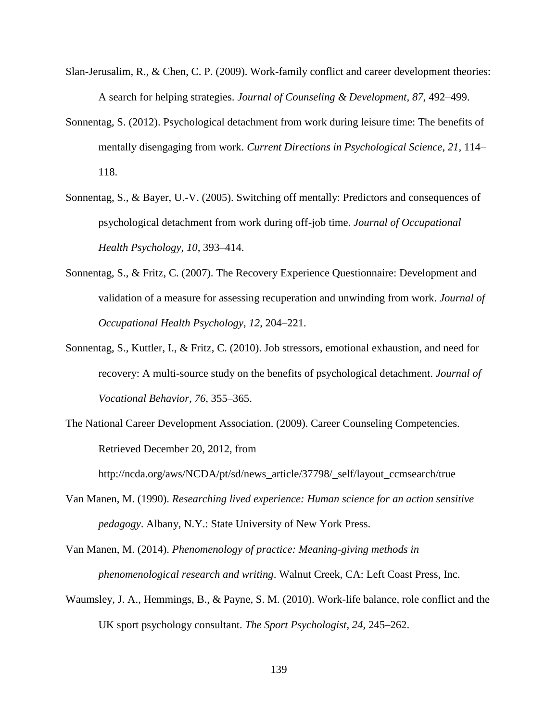- Slan-Jerusalim, R., & Chen, C. P. (2009). Work-family conflict and career development theories: A search for helping strategies. *Journal of Counseling & Development*, *87*, 492–499.
- Sonnentag, S. (2012). Psychological detachment from work during leisure time: The benefits of mentally disengaging from work. *Current Directions in Psychological Science*, *21*, 114– 118.
- Sonnentag, S., & Bayer, U.-V. (2005). Switching off mentally: Predictors and consequences of psychological detachment from work during off-job time. *Journal of Occupational Health Psychology*, *10*, 393–414.
- Sonnentag, S., & Fritz, C. (2007). The Recovery Experience Questionnaire: Development and validation of a measure for assessing recuperation and unwinding from work. *Journal of Occupational Health Psychology*, *12*, 204–221.
- Sonnentag, S., Kuttler, I., & Fritz, C. (2010). Job stressors, emotional exhaustion, and need for recovery: A multi-source study on the benefits of psychological detachment. *Journal of Vocational Behavior*, *76*, 355–365.
- The National Career Development Association. (2009). Career Counseling Competencies. Retrieved December 20, 2012, from

http://ncda.org/aws/NCDA/pt/sd/news\_article/37798/\_self/layout\_ccmsearch/true

- Van Manen, M. (1990). *Researching lived experience: Human science for an action sensitive pedagogy*. Albany, N.Y.: State University of New York Press.
- Van Manen, M. (2014). *Phenomenology of practice: Meaning-giving methods in phenomenological research and writing*. Walnut Creek, CA: Left Coast Press, Inc.
- Waumsley, J. A., Hemmings, B., & Payne, S. M. (2010). Work-life balance, role conflict and the UK sport psychology consultant. *The Sport Psychologist*, *24*, 245–262.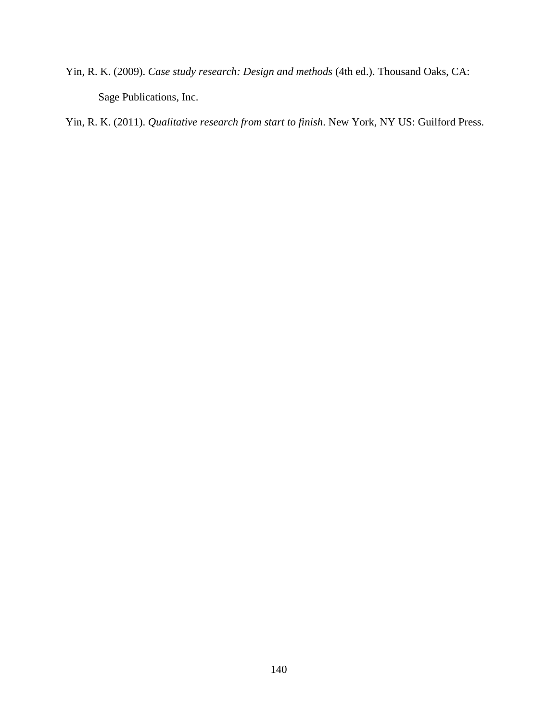Yin, R. K. (2009). *Case study research: Design and methods* (4th ed.). Thousand Oaks, CA: Sage Publications, Inc.

Yin, R. K. (2011). *Qualitative research from start to finish*. New York, NY US: Guilford Press.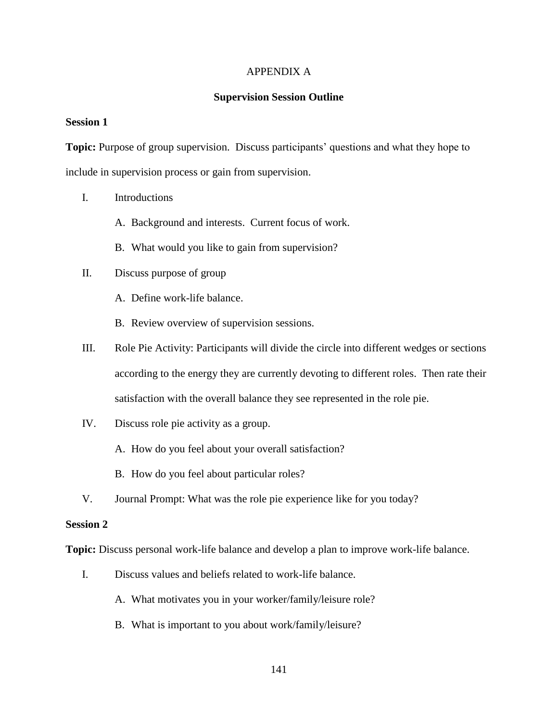#### APPENDIX A

#### **Supervision Session Outline**

#### **Session 1**

**Topic:** Purpose of group supervision. Discuss participants' questions and what they hope to include in supervision process or gain from supervision.

- I. Introductions
	- A. Background and interests. Current focus of work.
	- B. What would you like to gain from supervision?
- II. Discuss purpose of group
	- A. Define work-life balance.
	- B. Review overview of supervision sessions.
- III. Role Pie Activity: Participants will divide the circle into different wedges or sections according to the energy they are currently devoting to different roles. Then rate their satisfaction with the overall balance they see represented in the role pie.
- IV. Discuss role pie activity as a group.
	- A. How do you feel about your overall satisfaction?
	- B. How do you feel about particular roles?
- V. Journal Prompt: What was the role pie experience like for you today?

## **Session 2**

**Topic:** Discuss personal work-life balance and develop a plan to improve work-life balance.

- I. Discuss values and beliefs related to work-life balance.
	- A. What motivates you in your worker/family/leisure role?
	- B. What is important to you about work/family/leisure?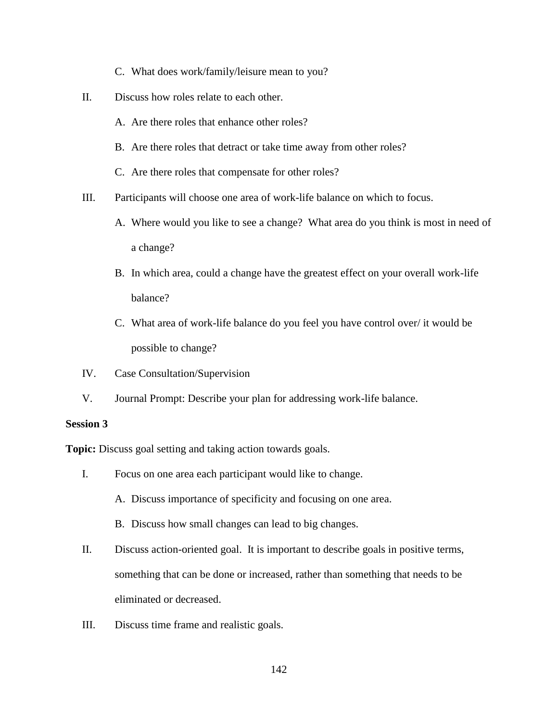- C. What does work/family/leisure mean to you?
- II. Discuss how roles relate to each other.
	- A. Are there roles that enhance other roles?
	- B. Are there roles that detract or take time away from other roles?
	- C. Are there roles that compensate for other roles?
- III. Participants will choose one area of work-life balance on which to focus.
	- A. Where would you like to see a change? What area do you think is most in need of a change?
	- B. In which area, could a change have the greatest effect on your overall work-life balance?
	- C. What area of work-life balance do you feel you have control over/ it would be possible to change?
- IV. Case Consultation/Supervision
- V. Journal Prompt: Describe your plan for addressing work-life balance.

#### **Session 3**

**Topic:** Discuss goal setting and taking action towards goals.

- I. Focus on one area each participant would like to change.
	- A. Discuss importance of specificity and focusing on one area.
	- B. Discuss how small changes can lead to big changes.
- II. Discuss action-oriented goal. It is important to describe goals in positive terms, something that can be done or increased, rather than something that needs to be eliminated or decreased.
- III. Discuss time frame and realistic goals.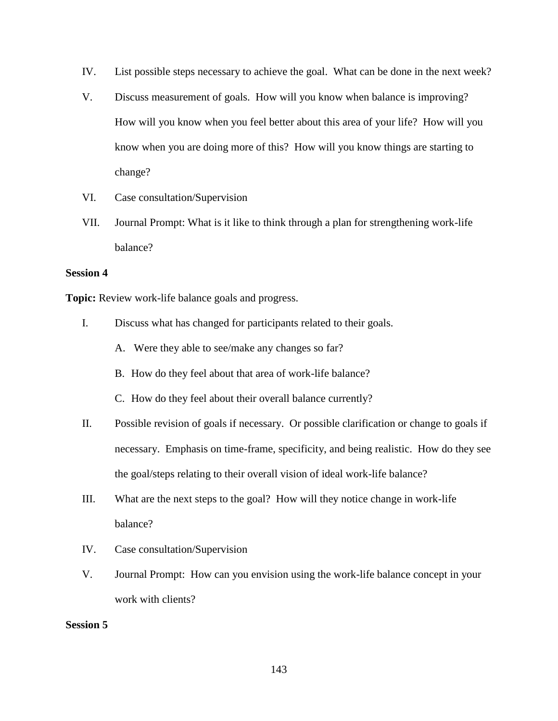- IV. List possible steps necessary to achieve the goal. What can be done in the next week?
- V. Discuss measurement of goals. How will you know when balance is improving? How will you know when you feel better about this area of your life? How will you know when you are doing more of this? How will you know things are starting to change?
- VI. Case consultation/Supervision
- VII. Journal Prompt: What is it like to think through a plan for strengthening work-life balance?

## **Session 4**

**Topic:** Review work-life balance goals and progress.

- I. Discuss what has changed for participants related to their goals.
	- A. Were they able to see/make any changes so far?
	- B. How do they feel about that area of work-life balance?
	- C. How do they feel about their overall balance currently?
- II. Possible revision of goals if necessary. Or possible clarification or change to goals if necessary. Emphasis on time-frame, specificity, and being realistic. How do they see the goal/steps relating to their overall vision of ideal work-life balance?
- III. What are the next steps to the goal? How will they notice change in work-life balance?
- IV. Case consultation/Supervision
- V. Journal Prompt: How can you envision using the work-life balance concept in your work with clients?

#### **Session 5**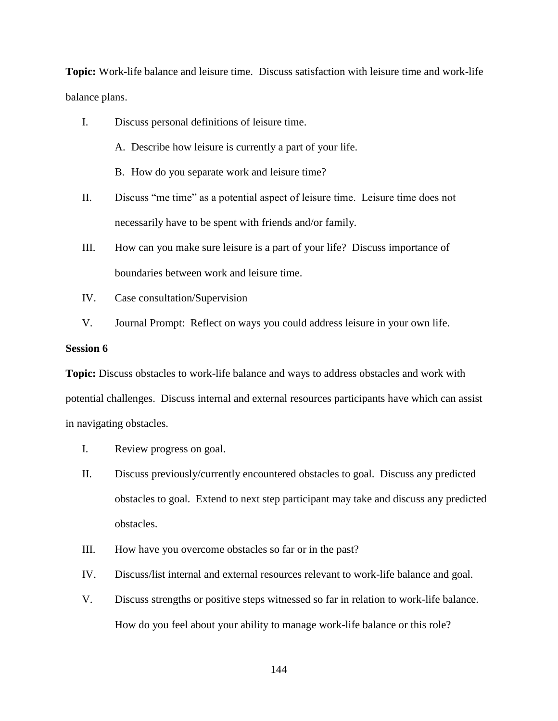**Topic:** Work-life balance and leisure time. Discuss satisfaction with leisure time and work-life balance plans.

- I. Discuss personal definitions of leisure time.
	- A. Describe how leisure is currently a part of your life.
	- B. How do you separate work and leisure time?
- II. Discuss "me time" as a potential aspect of leisure time. Leisure time does not necessarily have to be spent with friends and/or family.
- III. How can you make sure leisure is a part of your life? Discuss importance of boundaries between work and leisure time.
- IV. Case consultation/Supervision
- V. Journal Prompt: Reflect on ways you could address leisure in your own life.

#### **Session 6**

**Topic:** Discuss obstacles to work-life balance and ways to address obstacles and work with potential challenges. Discuss internal and external resources participants have which can assist in navigating obstacles.

- I. Review progress on goal.
- II. Discuss previously/currently encountered obstacles to goal. Discuss any predicted obstacles to goal. Extend to next step participant may take and discuss any predicted obstacles.
- III. How have you overcome obstacles so far or in the past?
- IV. Discuss/list internal and external resources relevant to work-life balance and goal.
- V. Discuss strengths or positive steps witnessed so far in relation to work-life balance. How do you feel about your ability to manage work-life balance or this role?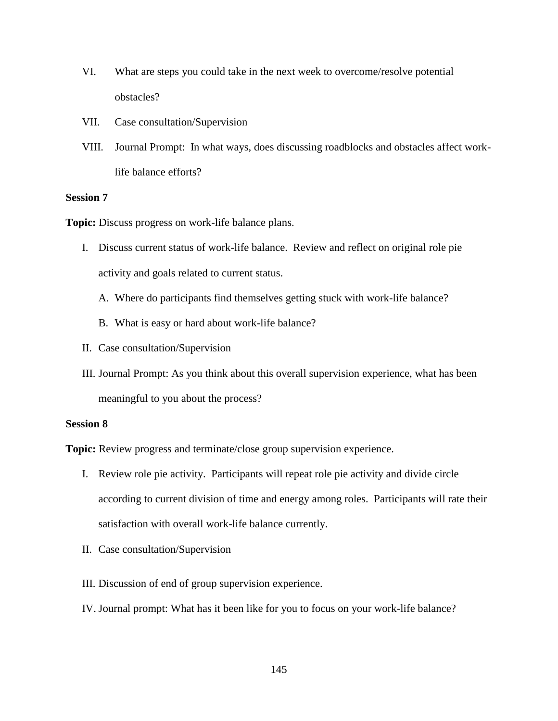- VI. What are steps you could take in the next week to overcome/resolve potential obstacles?
- VII. Case consultation/Supervision
- VIII. Journal Prompt: In what ways, does discussing roadblocks and obstacles affect worklife balance efforts?

#### **Session 7**

**Topic:** Discuss progress on work-life balance plans.

- I. Discuss current status of work-life balance. Review and reflect on original role pie activity and goals related to current status.
	- A. Where do participants find themselves getting stuck with work-life balance?
	- B. What is easy or hard about work-life balance?
- II. Case consultation/Supervision
- III. Journal Prompt: As you think about this overall supervision experience, what has been meaningful to you about the process?

#### **Session 8**

**Topic:** Review progress and terminate/close group supervision experience.

- I. Review role pie activity. Participants will repeat role pie activity and divide circle according to current division of time and energy among roles. Participants will rate their satisfaction with overall work-life balance currently.
- II. Case consultation/Supervision
- III. Discussion of end of group supervision experience.
- IV. Journal prompt: What has it been like for you to focus on your work-life balance?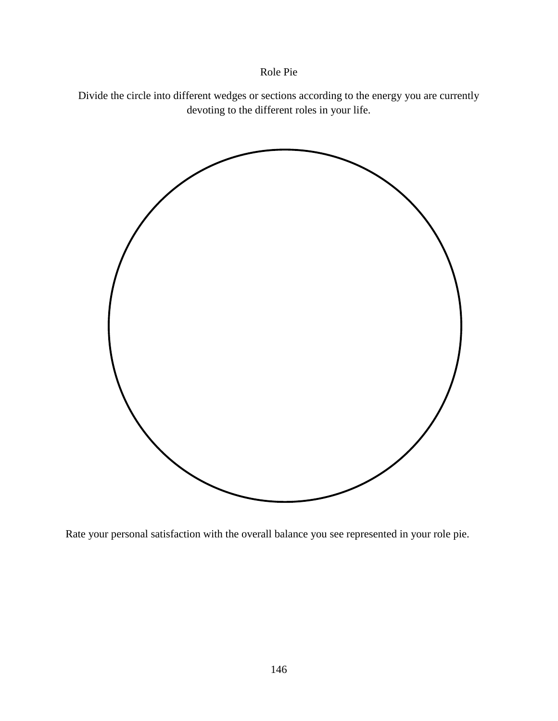## Role Pie

Divide the circle into different wedges or sections according to the energy you are currently devoting to the different roles in your life.



Rate your personal satisfaction with the overall balance you see represented in your role pie.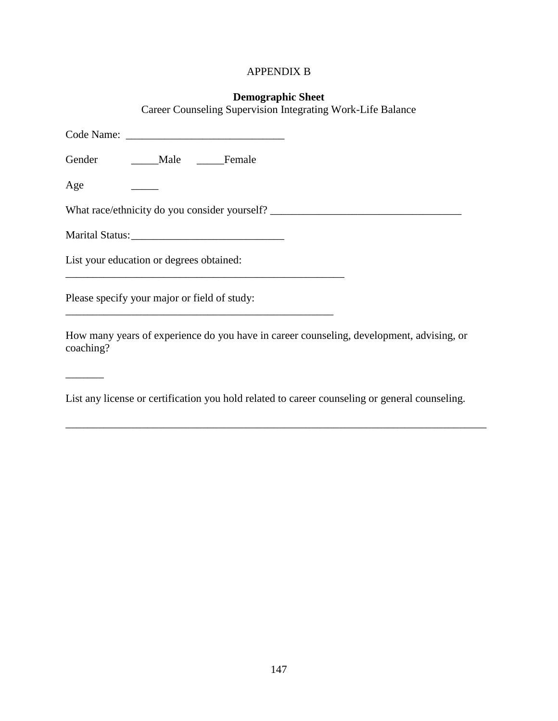## APPENDIX B

# **Demographic Sheet**

Career Counseling Supervision Integrating Work-Life Balance

| Gender Male Female                                                                                    |
|-------------------------------------------------------------------------------------------------------|
| Age                                                                                                   |
| What race/ethnicity do you consider yourself?                                                         |
|                                                                                                       |
| List your education or degrees obtained:                                                              |
| Please specify your major or field of study:                                                          |
| How many years of experience do you have in career counseling, development, advising, or<br>coaching? |

List any license or certification you hold related to career counseling or general counseling.

\_\_\_\_\_\_\_\_\_\_\_\_\_\_\_\_\_\_\_\_\_\_\_\_\_\_\_\_\_\_\_\_\_\_\_\_\_\_\_\_\_\_\_\_\_\_\_\_\_\_\_\_\_\_\_\_\_\_\_\_\_\_\_\_\_\_\_\_\_\_\_\_\_\_\_\_\_

\_\_\_\_\_\_\_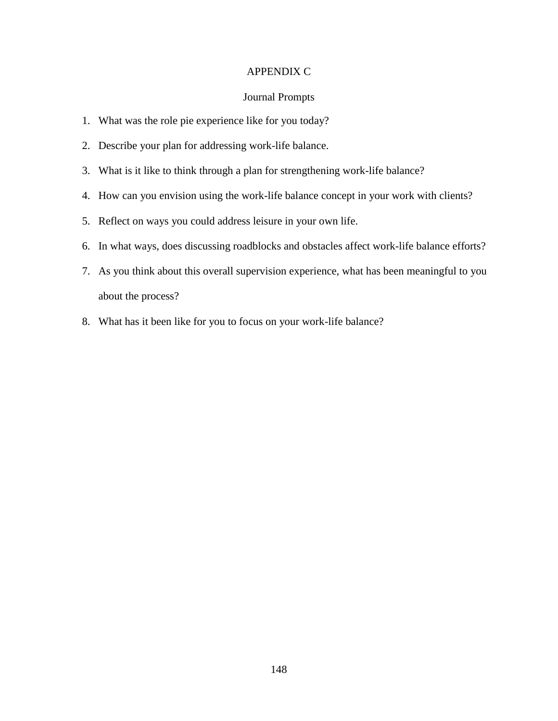## APPENDIX C

#### Journal Prompts

- 1. What was the role pie experience like for you today?
- 2. Describe your plan for addressing work-life balance.
- 3. What is it like to think through a plan for strengthening work-life balance?
- 4. How can you envision using the work-life balance concept in your work with clients?
- 5. Reflect on ways you could address leisure in your own life.
- 6. In what ways, does discussing roadblocks and obstacles affect work-life balance efforts?
- 7. As you think about this overall supervision experience, what has been meaningful to you about the process?
- 8. What has it been like for you to focus on your work-life balance?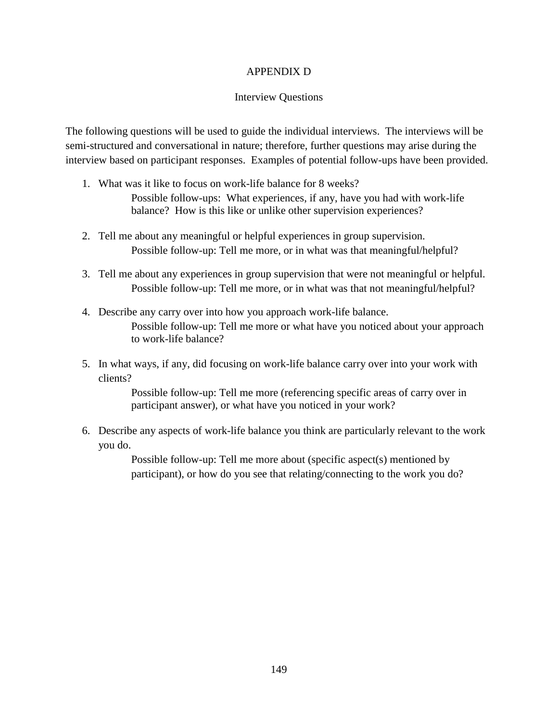## APPENDIX D

#### Interview Questions

The following questions will be used to guide the individual interviews. The interviews will be semi-structured and conversational in nature; therefore, further questions may arise during the interview based on participant responses. Examples of potential follow-ups have been provided.

- 1. What was it like to focus on work-life balance for 8 weeks? Possible follow-ups: What experiences, if any, have you had with work-life balance? How is this like or unlike other supervision experiences?
- 2. Tell me about any meaningful or helpful experiences in group supervision. Possible follow-up: Tell me more, or in what was that meaningful/helpful?
- 3. Tell me about any experiences in group supervision that were not meaningful or helpful. Possible follow-up: Tell me more, or in what was that not meaningful/helpful?
- 4. Describe any carry over into how you approach work-life balance. Possible follow-up: Tell me more or what have you noticed about your approach to work-life balance?
- 5. In what ways, if any, did focusing on work-life balance carry over into your work with clients?

Possible follow-up: Tell me more (referencing specific areas of carry over in participant answer), or what have you noticed in your work?

6. Describe any aspects of work-life balance you think are particularly relevant to the work you do.

> Possible follow-up: Tell me more about (specific aspect(s) mentioned by participant), or how do you see that relating/connecting to the work you do?